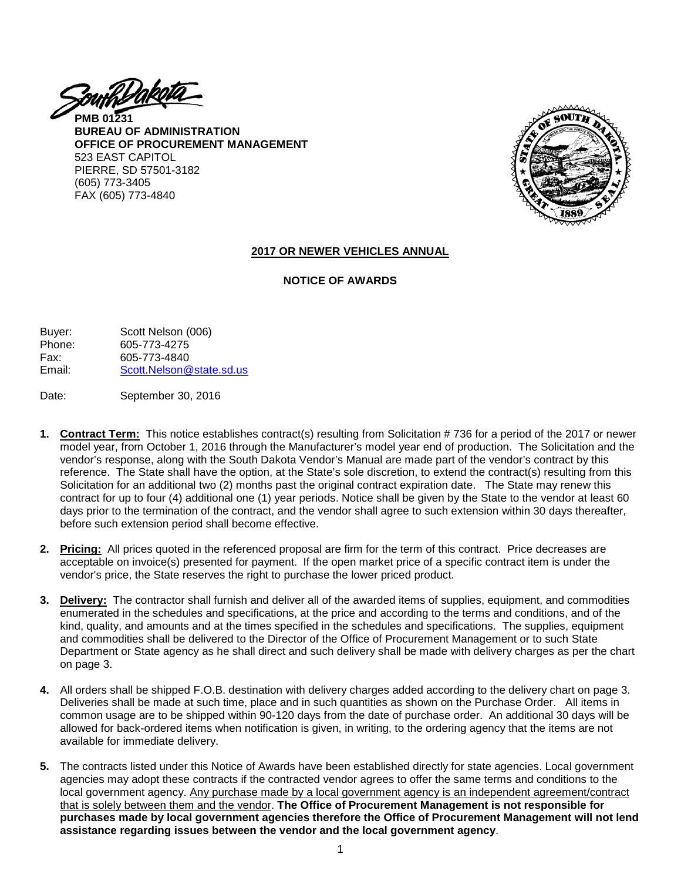<u>ZouthDakotá</u>

**PMB 01231 BUREAU OF ADMINISTRATION OFFICE OF PROCUREMENT MANAGEMENT** 523 EAST CAPITOL PIERRE, SD 57501-3182 (605) 773-3405 FAX (605) 773-4840



#### **2017 OR NEWER VEHICLES ANNUAL**

#### **NOTICE OF AWARDS**

| Buyer: | Scott Nelson (006)       |
|--------|--------------------------|
| Phone: | 605-773-4275             |
| Fax:   | 605-773-4840             |
| Email: | Scott.Nelson@state.sd.us |

Date: September 30, 2016

- **1. Contract Term:** This notice establishes contract(s) resulting from Solicitation # 736 for a period of the 2017 or newer model year, from October 1, 2016 through the Manufacturer's model year end of production. The Solicitation and the vendor's response, along with the South Dakota Vendor's Manual are made part of the vendor's contract by this reference. The State shall have the option, at the State's sole discretion, to extend the contract(s) resulting from this Solicitation for an additional two (2) months past the original contract expiration date. The State may renew this contract for up to four (4) additional one (1) year periods. Notice shall be given by the State to the vendor at least 60 days prior to the termination of the contract, and the vendor shall agree to such extension within 30 days thereafter, before such extension period shall become effective.
- **2. Pricing:** All prices quoted in the referenced proposal are firm for the term of this contract. Price decreases are acceptable on invoice(s) presented for payment. If the open market price of a specific contract item is under the vendor's price, the State reserves the right to purchase the lower priced product.
- **3. Delivery:** The contractor shall furnish and deliver all of the awarded items of supplies, equipment, and commodities enumerated in the schedules and specifications, at the price and according to the terms and conditions, and of the kind, quality, and amounts and at the times specified in the schedules and specifications. The supplies, equipment and commodities shall be delivered to the Director of the Office of Procurement Management or to such State Department or State agency as he shall direct and such delivery shall be made with delivery charges as per the chart on page 3.
- **4.** All orders shall be shipped F.O.B. destination with delivery charges added according to the delivery chart on page 3. Deliveries shall be made at such time, place and in such quantities as shown on the Purchase Order. All items in common usage are to be shipped within 90-120 days from the date of purchase order. An additional 30 days will be allowed for back-ordered items when notification is given, in writing, to the ordering agency that the items are not available for immediate delivery.
- **5.** The contracts listed under this Notice of Awards have been established directly for state agencies. Local government agencies may adopt these contracts if the contracted vendor agrees to offer the same terms and conditions to the local government agency. Any purchase made by a local government agency is an independent agreement/contract that is solely between them and the vendor. **The Office of Procurement Management is not responsible for purchases made by local government agencies therefore the Office of Procurement Management will not lend assistance regarding issues between the vendor and the local government agency**.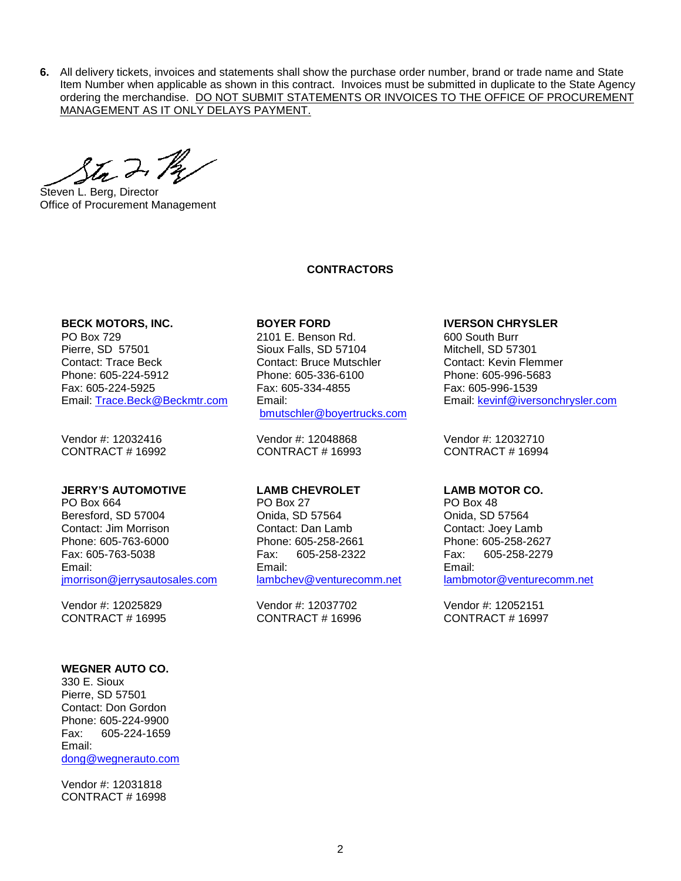**6.** All delivery tickets, invoices and statements shall show the purchase order number, brand or trade name and State Item Number when applicable as shown in this contract. Invoices must be submitted in duplicate to the State Agency ordering the merchandise. DO NOT SUBMIT STATEMENTS OR INVOICES TO THE OFFICE OF PROCUREMENT MANAGEMENT AS IT ONLY DELAYS PAYMENT.

Sta 2. Pa

Steven L. Berg, Director Office of Procurement Management

#### **CONTRACTORS**

**BECK MOTORS, INC. BOYER FORD IVERSON CHRYSLER** Pierre, SD 57501 Sioux Falls, SD 57104 Mitchell, SD 57301 Contact: Trace Beck 
Contact: Contact: Bruce Mutschler Contact: Kevin Flemmer<br>
Phone: 605-224-5912 Phone: 605-336-6100 Phone: 605-996-5683 Fax: 605-224-5925 Fax: 605-334-4855 Fax: 605-996-1539 Email: [Trace.Beck@Beckmtr.com](mailto:Trace.Beck@Beckmtr.com) Email:

Vendor #: 12032416 Vendor #: 12048868 Vendor #: 12032710<br>CONTRACT # 16992 CONTRACT # 16993 CONTRACT # 16994

#### **JERRY'S AUTOMOTIVE LAMB CHEVROLET LAMB MOTOR CO.**

PO Box 664 PO Box 27 PO Box 48 Beresford, SD 57004 Onida, SD 57564 Onida, SD 57564 Contact: Jim Morrison Contact: Dan Lamb Contact: Joey Lamb Phone: 605-763-6000 Phone: 605-258-2661 Phone: 605-258-2627 Fax: 605-763-5038 Fax: 605-258-2322 Fax: 605-258-2279 Email: [jmorrison@jerrysautosales.com](mailto:jmorrison@jerrysautosales.com)

Vendor #: 12025829 Vendor #: 12037702 Vendor #: 12052151<br>CONTRACT # 16995 CONTRACT # 16996 CONTRACT # 16997

#### **WEGNER AUTO CO.**

330 E. Sioux Pierre, SD 57501 Contact: Don Gordon Phone: 605-224-9900 Fax: 605-224-1659 Email: [dong@wegnerauto.com](mailto:dong@wegnerauto.com)

Vendor #: 12031818 CONTRACT # 16998

2101 E. Benson Rd. Phone: 605-336-6100 [bmutschler@boyertrucks.com](mailto:bmutschler@boyertrucks.com)

CONTRACT # 16993

Email: [lambchev@venturecomm.net](mailto:lambchev@venturecomm.net)

CONTRACT # 16996

Email: [kevinf@iversonchrysler.com](mailto:kevinf@iversonchrysler.com)

Email: [lambmotor@venturecomm.net](mailto:lambmotor@venturecomm.net)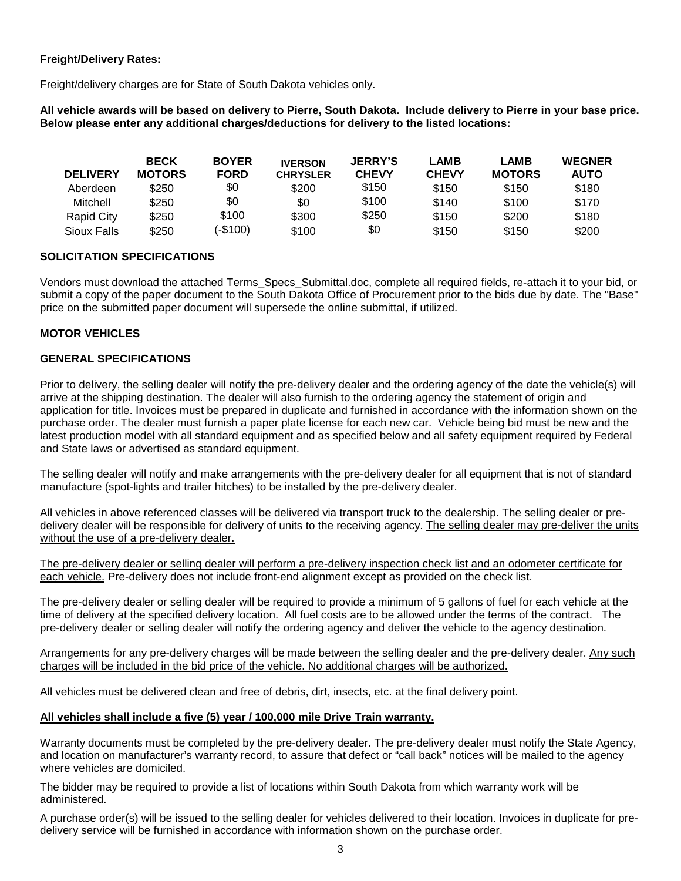# **Freight/Delivery Rates:**

Freight/delivery charges are for State of South Dakota vehicles only.

**All vehicle awards will be based on delivery to Pierre, South Dakota. Include delivery to Pierre in your base price. Below please enter any additional charges/deductions for delivery to the listed locations:**

| <b>DELIVERY</b> | <b>BECK</b><br><b>MOTORS</b> | <b>BOYER</b><br><b>FORD</b> | <b>IVERSON</b><br><b>CHRYSLER</b> | <b>JERRY'S</b><br><b>CHEVY</b> | <b>LAMB</b><br><b>CHEVY</b> | <b>LAMB</b><br><b>MOTORS</b> | <b>WEGNER</b><br><b>AUTO</b> |
|-----------------|------------------------------|-----------------------------|-----------------------------------|--------------------------------|-----------------------------|------------------------------|------------------------------|
|                 |                              |                             |                                   |                                |                             |                              |                              |
| Aberdeen        | \$250                        | \$0                         | \$200                             | \$150                          | \$150                       | \$150                        | \$180                        |
| Mitchell        | \$250                        | \$0                         | \$0                               | \$100                          | \$140                       | \$100                        | \$170                        |
| Rapid City      | \$250                        | \$100                       | \$300                             | \$250                          | \$150                       | \$200                        | \$180                        |
| Sioux Falls     | \$250                        | (-\$100)                    | \$100                             | \$0                            | \$150                       | \$150                        | \$200                        |

# **SOLICITATION SPECIFICATIONS**

Vendors must download the attached Terms\_Specs\_Submittal.doc, complete all required fields, re-attach it to your bid, or submit a copy of the paper document to the South Dakota Office of Procurement prior to the bids due by date. The "Base" price on the submitted paper document will supersede the online submittal, if utilized.

# **MOTOR VEHICLES**

# **GENERAL SPECIFICATIONS**

Prior to delivery, the selling dealer will notify the pre-delivery dealer and the ordering agency of the date the vehicle(s) will arrive at the shipping destination. The dealer will also furnish to the ordering agency the statement of origin and application for title. Invoices must be prepared in duplicate and furnished in accordance with the information shown on the purchase order. The dealer must furnish a paper plate license for each new car. Vehicle being bid must be new and the latest production model with all standard equipment and as specified below and all safety equipment required by Federal and State laws or advertised as standard equipment.

The selling dealer will notify and make arrangements with the pre-delivery dealer for all equipment that is not of standard manufacture (spot-lights and trailer hitches) to be installed by the pre-delivery dealer.

All vehicles in above referenced classes will be delivered via transport truck to the dealership. The selling dealer or predelivery dealer will be responsible for delivery of units to the receiving agency. The selling dealer may pre-deliver the units without the use of a pre-delivery dealer.

The pre-delivery dealer or selling dealer will perform a pre-delivery inspection check list and an odometer certificate for each vehicle. Pre-delivery does not include front-end alignment except as provided on the check list.

The pre-delivery dealer or selling dealer will be required to provide a minimum of 5 gallons of fuel for each vehicle at the time of delivery at the specified delivery location. All fuel costs are to be allowed under the terms of the contract. The pre-delivery dealer or selling dealer will notify the ordering agency and deliver the vehicle to the agency destination.

Arrangements for any pre-delivery charges will be made between the selling dealer and the pre-delivery dealer. Any such charges will be included in the bid price of the vehicle. No additional charges will be authorized.

All vehicles must be delivered clean and free of debris, dirt, insects, etc. at the final delivery point.

#### **All vehicles shall include a five (5) year / 100,000 mile Drive Train warranty.**

Warranty documents must be completed by the pre-delivery dealer. The pre-delivery dealer must notify the State Agency, and location on manufacturer's warranty record, to assure that defect or "call back" notices will be mailed to the agency where vehicles are domiciled.

The bidder may be required to provide a list of locations within South Dakota from which warranty work will be administered.

A purchase order(s) will be issued to the selling dealer for vehicles delivered to their location. Invoices in duplicate for predelivery service will be furnished in accordance with information shown on the purchase order.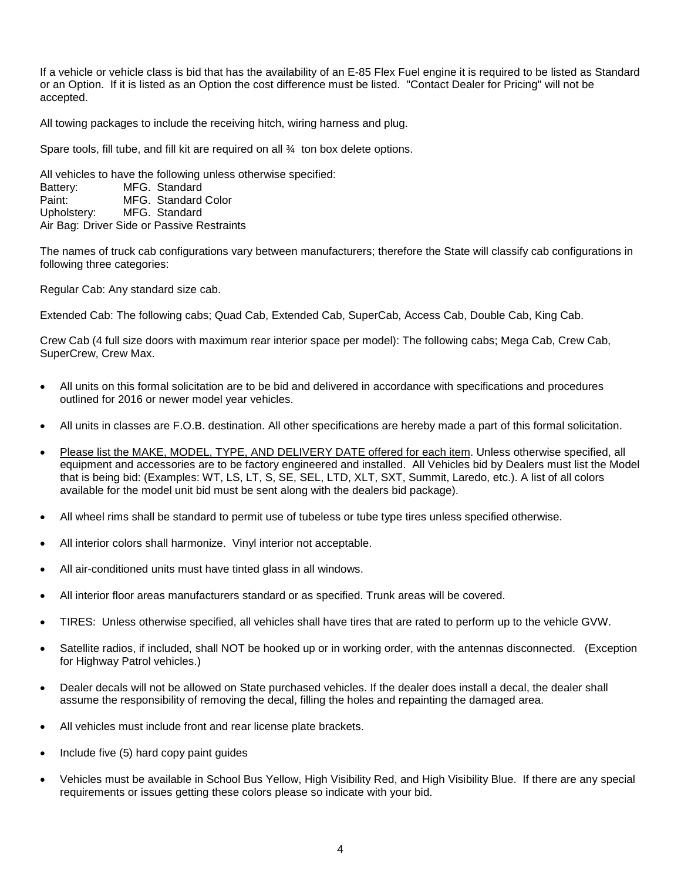If a vehicle or vehicle class is bid that has the availability of an E-85 Flex Fuel engine it is required to be listed as Standard or an Option. If it is listed as an Option the cost difference must be listed. "Contact Dealer for Pricing" will not be accepted.

All towing packages to include the receiving hitch, wiring harness and plug.

Spare tools, fill tube, and fill kit are required on all  $\frac{3}{4}$  ton box delete options.

All vehicles to have the following unless otherwise specified: Battery: MFG. Standard Paint: MFG. Standard Color Upholstery: MFG. Standard Air Bag: Driver Side or Passive Restraints

The names of truck cab configurations vary between manufacturers; therefore the State will classify cab configurations in following three categories:

Regular Cab: Any standard size cab.

Extended Cab: The following cabs; Quad Cab, Extended Cab, SuperCab, Access Cab, Double Cab, King Cab.

Crew Cab (4 full size doors with maximum rear interior space per model): The following cabs; Mega Cab, Crew Cab, SuperCrew, Crew Max.

- All units on this formal solicitation are to be bid and delivered in accordance with specifications and procedures outlined for 2016 or newer model year vehicles.
- All units in classes are F.O.B. destination. All other specifications are hereby made a part of this formal solicitation.
- Please list the MAKE, MODEL, TYPE, AND DELIVERY DATE offered for each item. Unless otherwise specified, all equipment and accessories are to be factory engineered and installed. All Vehicles bid by Dealers must list the Model that is being bid: (Examples: WT, LS, LT, S, SE, SEL, LTD, XLT, SXT, Summit, Laredo, etc.). A list of all colors available for the model unit bid must be sent along with the dealers bid package).
- All wheel rims shall be standard to permit use of tubeless or tube type tires unless specified otherwise.
- All interior colors shall harmonize. Vinyl interior not acceptable.
- All air-conditioned units must have tinted glass in all windows.
- All interior floor areas manufacturers standard or as specified. Trunk areas will be covered.
- TIRES: Unless otherwise specified, all vehicles shall have tires that are rated to perform up to the vehicle GVW.
- Satellite radios, if included, shall NOT be hooked up or in working order, with the antennas disconnected. (Exception for Highway Patrol vehicles.)
- Dealer decals will not be allowed on State purchased vehicles. If the dealer does install a decal, the dealer shall assume the responsibility of removing the decal, filling the holes and repainting the damaged area.
- All vehicles must include front and rear license plate brackets.
- Include five (5) hard copy paint guides
- Vehicles must be available in School Bus Yellow, High Visibility Red, and High Visibility Blue. If there are any special requirements or issues getting these colors please so indicate with your bid.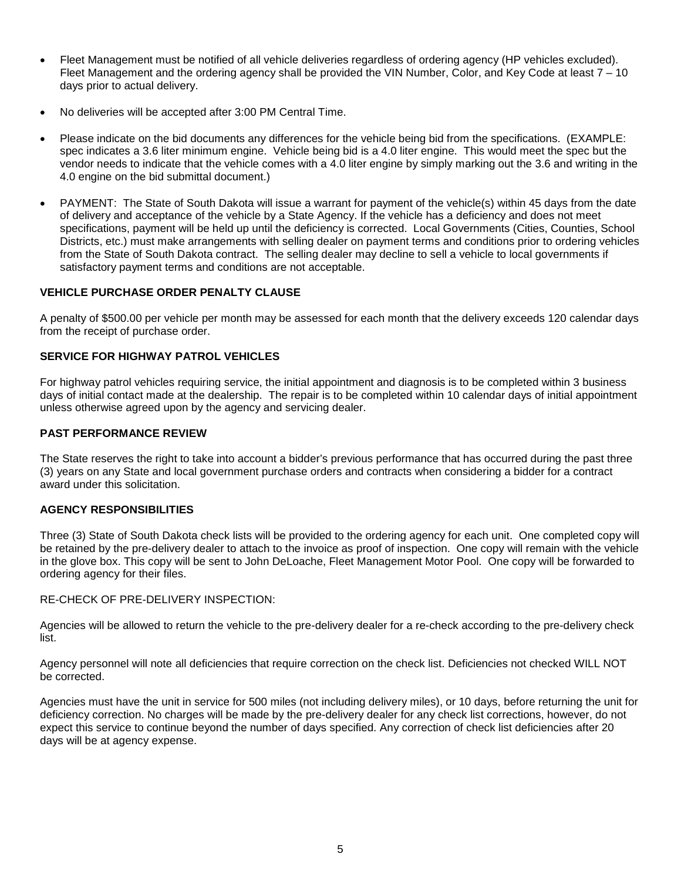- Fleet Management must be notified of all vehicle deliveries regardless of ordering agency (HP vehicles excluded). Fleet Management and the ordering agency shall be provided the VIN Number, Color, and Key Code at least 7 – 10 days prior to actual delivery.
- No deliveries will be accepted after 3:00 PM Central Time.
- Please indicate on the bid documents any differences for the vehicle being bid from the specifications. (EXAMPLE: spec indicates a 3.6 liter minimum engine. Vehicle being bid is a 4.0 liter engine. This would meet the spec but the vendor needs to indicate that the vehicle comes with a 4.0 liter engine by simply marking out the 3.6 and writing in the 4.0 engine on the bid submittal document.)
- PAYMENT: The State of South Dakota will issue a warrant for payment of the vehicle(s) within 45 days from the date of delivery and acceptance of the vehicle by a State Agency. If the vehicle has a deficiency and does not meet specifications, payment will be held up until the deficiency is corrected. Local Governments (Cities, Counties, School Districts, etc.) must make arrangements with selling dealer on payment terms and conditions prior to ordering vehicles from the State of South Dakota contract. The selling dealer may decline to sell a vehicle to local governments if satisfactory payment terms and conditions are not acceptable.

# **VEHICLE PURCHASE ORDER PENALTY CLAUSE**

A penalty of \$500.00 per vehicle per month may be assessed for each month that the delivery exceeds 120 calendar days from the receipt of purchase order.

# **SERVICE FOR HIGHWAY PATROL VEHICLES**

For highway patrol vehicles requiring service, the initial appointment and diagnosis is to be completed within 3 business days of initial contact made at the dealership. The repair is to be completed within 10 calendar days of initial appointment unless otherwise agreed upon by the agency and servicing dealer.

#### **PAST PERFORMANCE REVIEW**

The State reserves the right to take into account a bidder's previous performance that has occurred during the past three (3) years on any State and local government purchase orders and contracts when considering a bidder for a contract award under this solicitation.

## **AGENCY RESPONSIBILITIES**

Three (3) State of South Dakota check lists will be provided to the ordering agency for each unit. One completed copy will be retained by the pre-delivery dealer to attach to the invoice as proof of inspection. One copy will remain with the vehicle in the glove box. This copy will be sent to John DeLoache, Fleet Management Motor Pool. One copy will be forwarded to ordering agency for their files.

RE-CHECK OF PRE-DELIVERY INSPECTION:

Agencies will be allowed to return the vehicle to the pre-delivery dealer for a re-check according to the pre-delivery check list.

Agency personnel will note all deficiencies that require correction on the check list. Deficiencies not checked WILL NOT be corrected.

Agencies must have the unit in service for 500 miles (not including delivery miles), or 10 days, before returning the unit for deficiency correction. No charges will be made by the pre-delivery dealer for any check list corrections, however, do not expect this service to continue beyond the number of days specified. Any correction of check list deficiencies after 20 days will be at agency expense.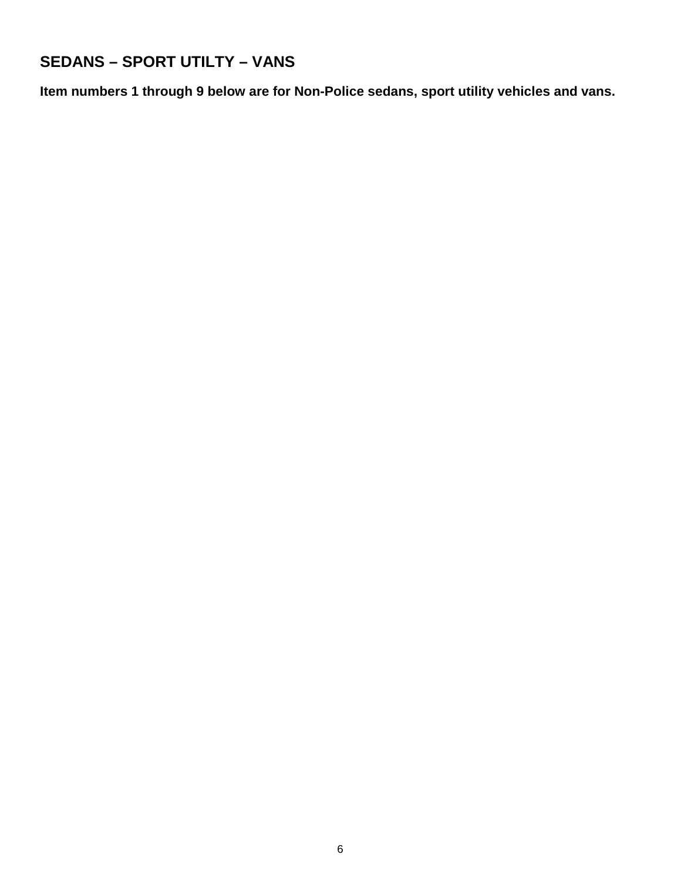# **SEDANS – SPORT UTILTY – VANS**

**Item numbers 1 through 9 below are for Non-Police sedans, sport utility vehicles and vans.**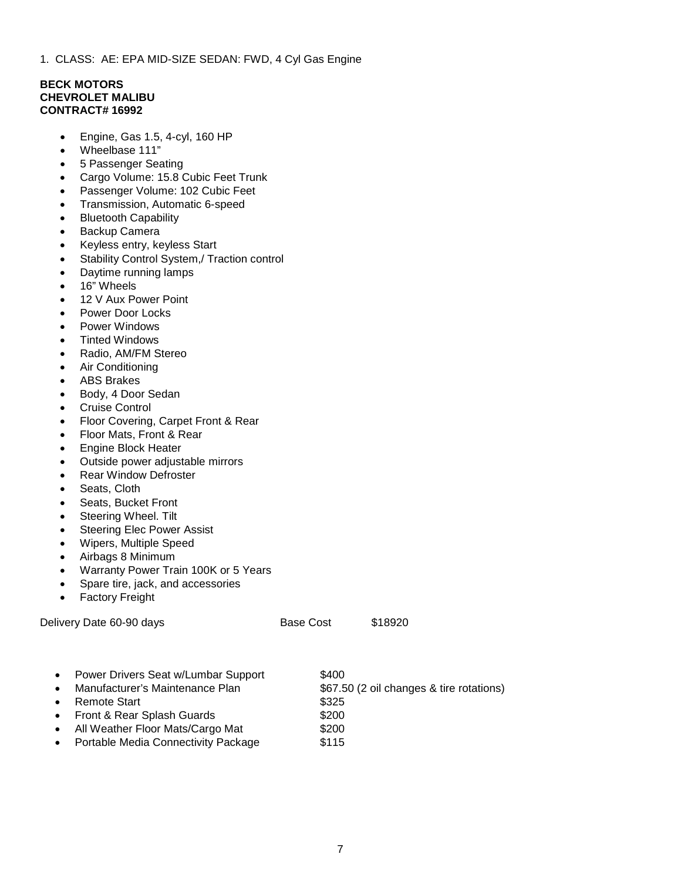1. CLASS: AE: EPA MID-SIZE SEDAN: FWD, 4 Cyl Gas Engine

#### **BECK MOTORS CHEVROLET MALIBU CONTRACT# 16992**

- Engine, Gas 1.5, 4-cyl, 160 HP
- Wheelbase 111"
- 5 Passenger Seating
- Cargo Volume: 15.8 Cubic Feet Trunk
- Passenger Volume: 102 Cubic Feet
- Transmission, Automatic 6-speed
- Bluetooth Capability
- Backup Camera
- Keyless entry, keyless Start
- Stability Control System,/ Traction control
- Daytime running lamps
- 16" Wheels
- 12 V Aux Power Point
- Power Door Locks
- Power Windows
- Tinted Windows
- Radio, AM/FM Stereo
- Air Conditioning
- ABS Brakes
- Body, 4 Door Sedan
- Cruise Control
- Floor Covering, Carpet Front & Rear
- Floor Mats, Front & Rear
- Engine Block Heater
- Outside power adjustable mirrors
- Rear Window Defroster
- Seats, Cloth
- Seats, Bucket Front
- Steering Wheel. Tilt
- Steering Elec Power Assist
- Wipers, Multiple Speed
- Airbags 8 Minimum
- Warranty Power Train 100K or 5 Years
- Spare tire, jack, and accessories
- Factory Freight

Delivery Date 60-90 days Base Cost \$18920

- Power Drivers Seat w/Lumbar Support \$400
- Manufacturer's Maintenance Plan \$67.50 (2 oil changes & tire rotations)
- 
- Promote Start<br>
Front & Rear Splash Guards
5200 • Front & Rear Splash Guards
- All Weather Floor Mats/Cargo Mat \$200
- Portable Media Connectivity Package \$115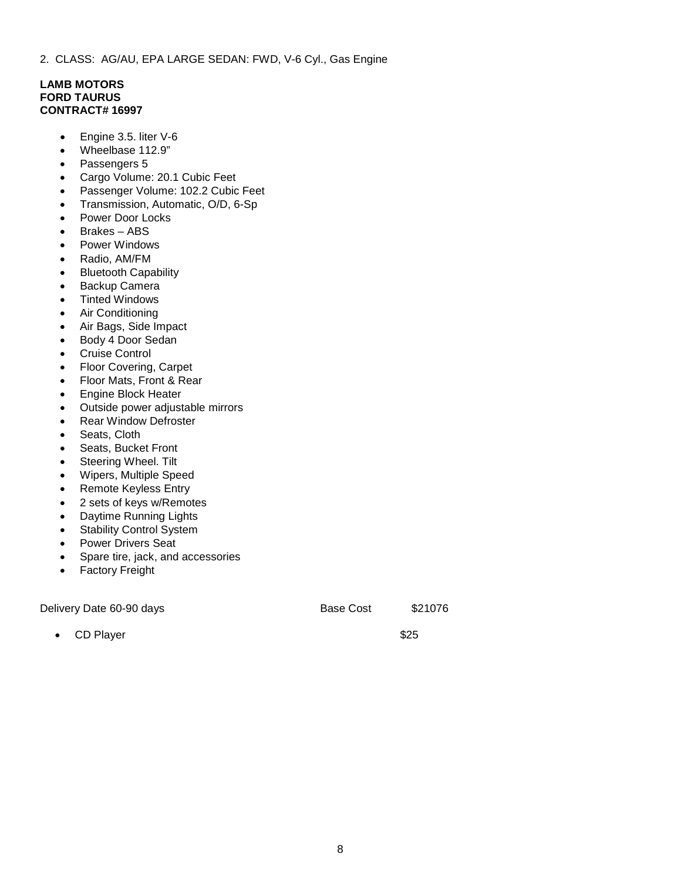### **LAMB MOTORS FORD TAURUS CONTRACT# 16997**

- Engine 3.5. liter V-6
- Wheelbase 112.9"
- Passengers 5
- Cargo Volume: 20.1 Cubic Feet
- Passenger Volume: 102.2 Cubic Feet
- Transmission, Automatic, O/D, 6-Sp
- Power Door Locks
- Brakes ABS
- Power Windows
- Radio, AM/FM
- Bluetooth Capability
- Backup Camera
- **Tinted Windows**
- Air Conditioning
- Air Bags, Side Impact
- Body 4 Door Sedan
- Cruise Control
- Floor Covering, Carpet
- Floor Mats, Front & Rear
- Engine Block Heater
- Outside power adjustable mirrors
- **Rear Window Defroster**
- Seats, Cloth
- Seats, Bucket Front
- Steering Wheel. Tilt
- Wipers, Multiple Speed
- Remote Keyless Entry
- 2 sets of keys w/Remotes
- Daytime Running Lights
- Stability Control System
- Power Drivers Seat
- Spare tire, jack, and accessories
- Factory Freight

Delivery Date 60-90 days Base Cost \$21076

• CD Player \$25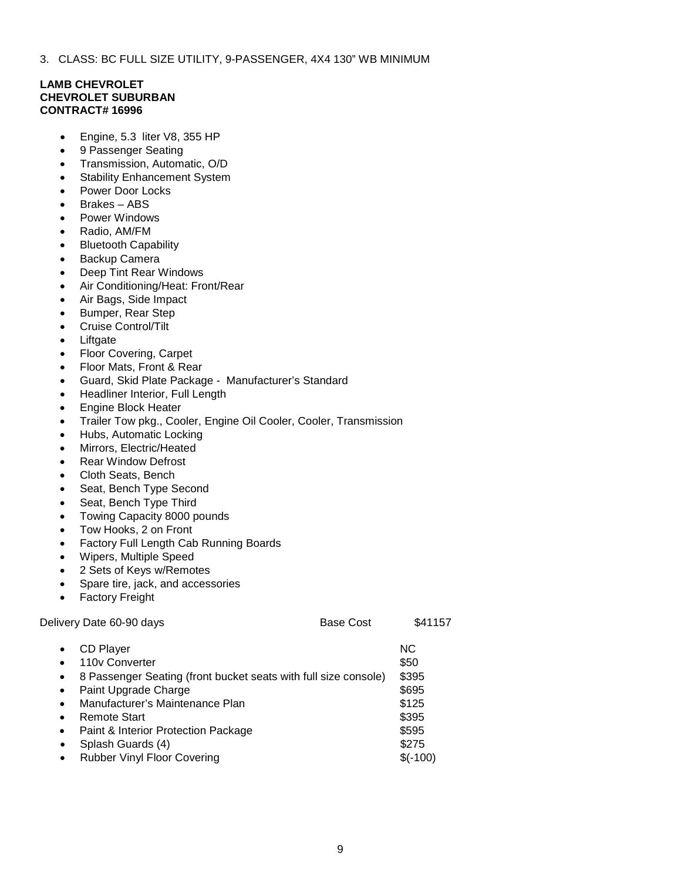3. CLASS: BC FULL SIZE UTILITY, 9-PASSENGER, 4X4 130" WB MINIMUM

# **LAMB CHEVROLET CHEVROLET SUBURBAN CONTRACT# 16996**

- Engine, 5.3 liter V8, 355 HP
- 9 Passenger Seating
- Transmission, Automatic, O/D
- Stability Enhancement System
- Power Door Locks
- Brakes ABS
- Power Windows
- Radio, AM/FM
- Bluetooth Capability
- Backup Camera
- Deep Tint Rear Windows
- Air Conditioning/Heat: Front/Rear
- Air Bags, Side Impact
- Bumper, Rear Step
- Cruise Control/Tilt
- **Liftgate**
- Floor Covering, Carpet
- Floor Mats, Front & Rear
- Guard, Skid Plate Package Manufacturer's Standard
- Headliner Interior, Full Length
- Engine Block Heater
- Trailer Tow pkg., Cooler, Engine Oil Cooler, Cooler, Transmission
- Hubs, Automatic Locking
- Mirrors, Electric/Heated
- **Rear Window Defrost**
- Cloth Seats, Bench
- Seat, Bench Type Second
- Seat, Bench Type Third
- Towing Capacity 8000 pounds
- Tow Hooks, 2 on Front
- Factory Full Length Cab Running Boards
- Wipers, Multiple Speed
- 2 Sets of Keys w/Remotes
- Spare tire, jack, and accessories
- Factory Freight

| Delivery Date 60-90 days                                                           | <b>Base Cost</b> | \$41157        |
|------------------------------------------------------------------------------------|------------------|----------------|
| CD Player<br>$\bullet$<br>110y Converter<br>$\bullet$                              |                  | NC.<br>\$50    |
| 8 Passenger Seating (front bucket seats with full size console)<br>$\bullet$       |                  | \$395          |
| Paint Upgrade Charge<br>$\bullet$<br>Manufacturer's Maintenance Plan<br>$\bullet$  |                  | \$695<br>\$125 |
| Remote Start<br>$\bullet$                                                          |                  | \$395          |
| Paint & Interior Protection Package<br>$\bullet$<br>Splash Guards (4)<br>$\bullet$ |                  | \$595<br>\$275 |
| <b>Rubber Vinyl Floor Covering</b><br>$\bullet$                                    |                  | $$(-100)$      |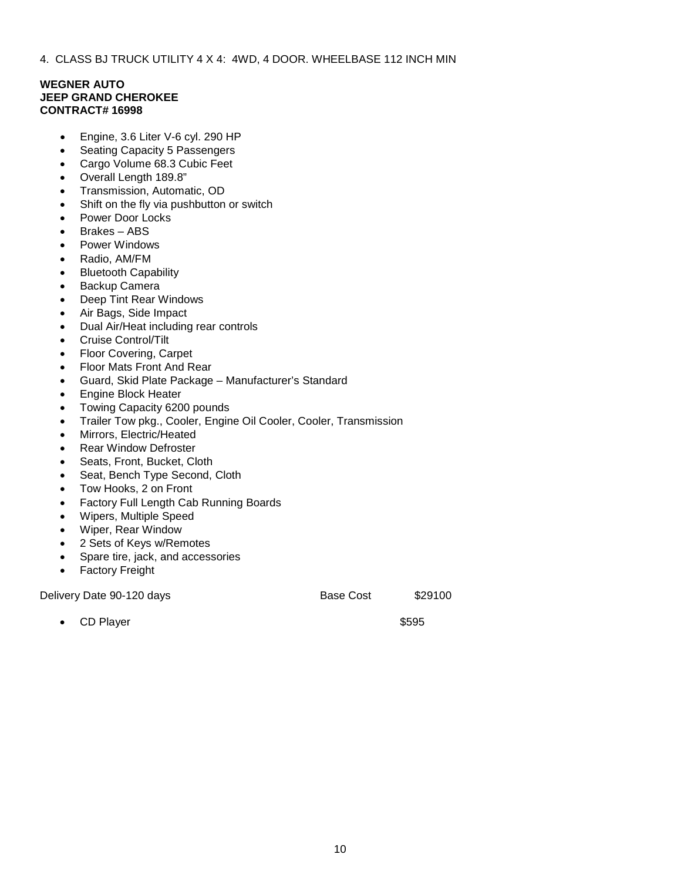4. CLASS BJ TRUCK UTILITY 4 X 4: 4WD, 4 DOOR. WHEELBASE 112 INCH MIN

## **WEGNER AUTO JEEP GRAND CHEROKEE CONTRACT# 16998**

- Engine, 3.6 Liter V-6 cyl. 290 HP
- Seating Capacity 5 Passengers
- Cargo Volume 68.3 Cubic Feet
- Overall Length 189.8"
- Transmission, Automatic, OD
- Shift on the fly via pushbutton or switch
- Power Door Locks
- Brakes ABS
- Power Windows
- Radio, AM/FM
- Bluetooth Capability
- Backup Camera
- Deep Tint Rear Windows
- Air Bags, Side Impact
- Dual Air/Heat including rear controls
- Cruise Control/Tilt
- Floor Covering, Carpet
- Floor Mats Front And Rear
- Guard, Skid Plate Package Manufacturer's Standard
- Engine Block Heater
- Towing Capacity 6200 pounds
- Trailer Tow pkg., Cooler, Engine Oil Cooler, Cooler, Transmission
- Mirrors, Electric/Heated
- **Rear Window Defroster**
- Seats, Front, Bucket, Cloth
- Seat, Bench Type Second, Cloth
- Tow Hooks, 2 on Front
- Factory Full Length Cab Running Boards
- Wipers, Multiple Speed
- Wiper, Rear Window
- 2 Sets of Keys w/Remotes
- Spare tire, jack, and accessories
- Factory Freight

Delivery Date 90-120 days Base Cost \$29100

• CD Player \$595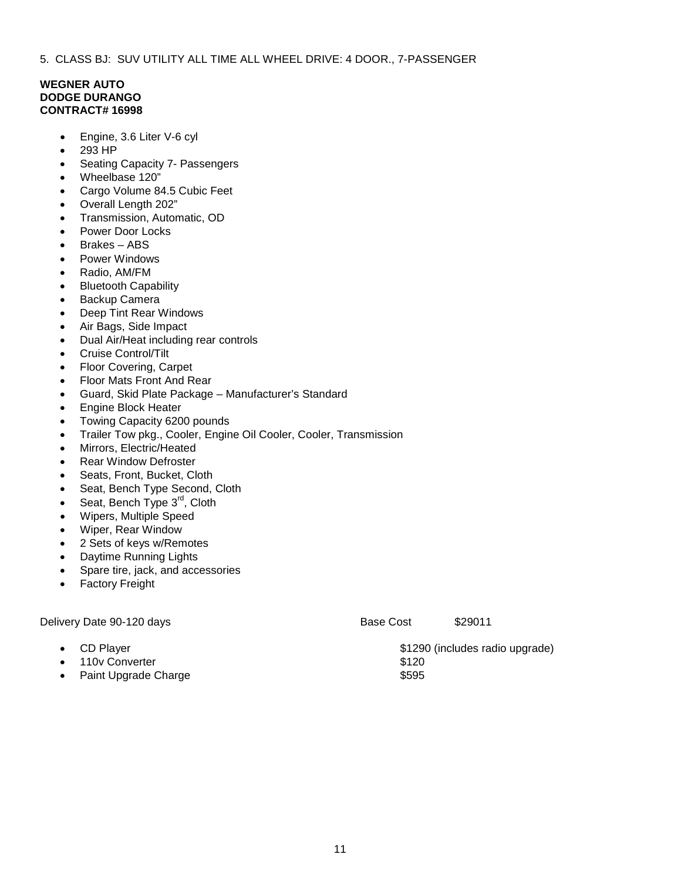5. CLASS BJ: SUV UTILITY ALL TIME ALL WHEEL DRIVE: 4 DOOR., 7-PASSENGER

#### **WEGNER AUTO DODGE DURANGO CONTRACT# 16998**

- Engine, 3.6 Liter V-6 cyl
- 293 HP
- Seating Capacity 7- Passengers
- Wheelbase 120"
- Cargo Volume 84.5 Cubic Feet
- Overall Length 202"
- Transmission, Automatic, OD
- Power Door Locks
- Brakes ABS
- Power Windows
- Radio, AM/FM
- Bluetooth Capability
- Backup Camera
- Deep Tint Rear Windows
- Air Bags, Side Impact
- Dual Air/Heat including rear controls
- Cruise Control/Tilt
- Floor Covering, Carpet
- Floor Mats Front And Rear
- Guard, Skid Plate Package Manufacturer's Standard
- Engine Block Heater
- Towing Capacity 6200 pounds
- Trailer Tow pkg., Cooler, Engine Oil Cooler, Cooler, Transmission
- Mirrors, Electric/Heated
- Rear Window Defroster
- Seats, Front, Bucket, Cloth
- Seat, Bench Type Second, Cloth
- Seat, Bench Type 3<sup>rd</sup>, Cloth
- Wipers, Multiple Speed
- Wiper, Rear Window
- 2 Sets of keys w/Remotes
- Daytime Running Lights
- Spare tire, jack, and accessories
- **Factory Freight**

Delivery Date 90-120 days **Base Cost** \$29011 **CD Player 6. CD Player 3. CD Player 3. CD Player 3. CD Player 3. CD Player 3. CO Player 3. CO Player 3. CO Player 3. CO Player 3. CO Player 3. CO Player 3. CO Player 3. CO Player 3. CO Player 3. CO Player 3. CO Player 3.** and 110v Converter \$120 **Paint Upgrade Charge**   $$595$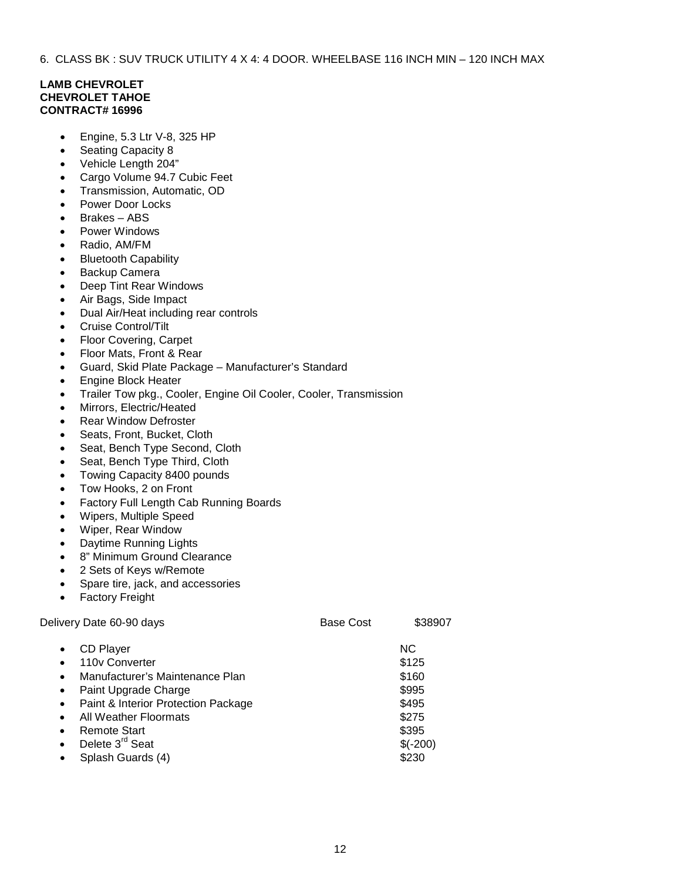6. CLASS BK : SUV TRUCK UTILITY 4 X 4: 4 DOOR. WHEELBASE 116 INCH MIN – 120 INCH MAX

### **LAMB CHEVROLET CHEVROLET TAHOE CONTRACT# 16996**

- Engine, 5.3 Ltr V-8, 325 HP
- Seating Capacity 8
- Vehicle Length 204"
- Cargo Volume 94.7 Cubic Feet
- Transmission, Automatic, OD
- Power Door Locks
- Brakes ABS
- Power Windows
- Radio, AM/FM
- Bluetooth Capability
- Backup Camera
- Deep Tint Rear Windows
- Air Bags, Side Impact
- Dual Air/Heat including rear controls
- Cruise Control/Tilt
- Floor Covering, Carpet
- Floor Mats, Front & Rear
- Guard, Skid Plate Package Manufacturer's Standard
- Engine Block Heater
- Trailer Tow pkg., Cooler, Engine Oil Cooler, Cooler, Transmission
- Mirrors, Electric/Heated
- Rear Window Defroster
- Seats, Front, Bucket, Cloth
- Seat, Bench Type Second, Cloth
- Seat, Bench Type Third, Cloth
- Towing Capacity 8400 pounds
- Tow Hooks, 2 on Front
- Factory Full Length Cab Running Boards
- Wipers, Multiple Speed
- Wiper, Rear Window
- Daytime Running Lights
- 8" Minimum Ground Clearance
- 2 Sets of Keys w/Remote
- Spare tire, jack, and accessories
- Factory Freight

| Delivery Date 60-90 days                                                                                                                                                                                                                                                                                                           | <b>Base Cost</b> | \$38907                                                                         |
|------------------------------------------------------------------------------------------------------------------------------------------------------------------------------------------------------------------------------------------------------------------------------------------------------------------------------------|------------------|---------------------------------------------------------------------------------|
| CD Player<br>$\bullet$<br>110y Converter<br>Manufacturer's Maintenance Plan<br>$\bullet$<br>Paint Upgrade Charge<br>$\bullet$<br>Paint & Interior Protection Package<br>$\bullet$<br>All Weather Floormats<br>$\bullet$<br>Remote Start<br>$\bullet$<br>Delete 3 <sup>rd</sup> Seat<br>$\bullet$<br>Splash Guards (4)<br>$\bullet$ |                  | NC.<br>\$125<br>\$160<br>\$995<br>\$495<br>\$275<br>\$395<br>$$(-200)$<br>\$230 |
|                                                                                                                                                                                                                                                                                                                                    |                  |                                                                                 |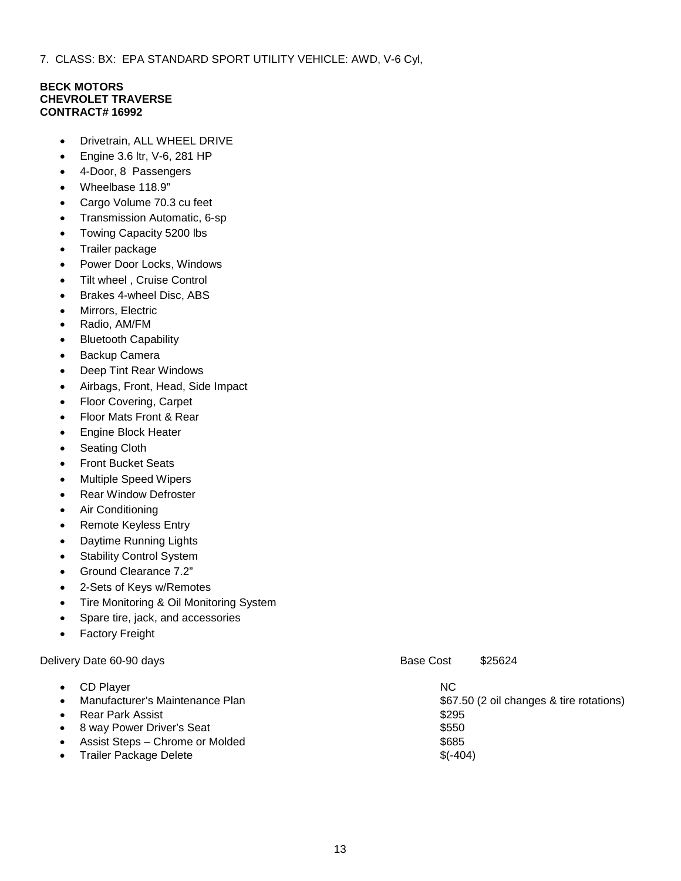7. CLASS: BX: EPA STANDARD SPORT UTILITY VEHICLE: AWD, V-6 Cyl,

#### **BECK MOTORS CHEVROLET TRAVERSE CONTRACT# 16992**

- Drivetrain, ALL WHEEL DRIVE
- Engine 3.6 ltr, V-6, 281 HP
- 4-Door, 8 Passengers
- Wheelbase 118.9"
- Cargo Volume 70.3 cu feet
- Transmission Automatic, 6-sp
- Towing Capacity 5200 lbs
- Trailer package
- Power Door Locks, Windows
- Tilt wheel, Cruise Control
- Brakes 4-wheel Disc, ABS
- Mirrors, Electric
- Radio, AM/FM
- Bluetooth Capability
- Backup Camera
- Deep Tint Rear Windows
- Airbags, Front, Head, Side Impact
- Floor Covering, Carpet
- Floor Mats Front & Rear
- Engine Block Heater
- Seating Cloth
- Front Bucket Seats
- Multiple Speed Wipers
- **Rear Window Defroster**
- Air Conditioning
- Remote Keyless Entry
- Daytime Running Lights
- **Stability Control System**
- Ground Clearance 7.2"
- 2-Sets of Keys w/Remotes
- Tire Monitoring & Oil Monitoring System
- Spare tire, jack, and accessories
- Factory Freight

Delivery Date 60-90 days **Base Cost** \$25624

| $\bullet$ | CD Player                       | <b>NC</b>                                |
|-----------|---------------------------------|------------------------------------------|
| $\bullet$ | Manufacturer's Maintenance Plan | \$67.50 (2 oil changes & tire rotations) |
| $\bullet$ | Rear Park Assist                | \$295                                    |
|           | • 8 way Power Driver's Seat     | \$550                                    |
| $\bullet$ | Assist Steps - Chrome or Molded | \$685                                    |
| $\bullet$ | <b>Trailer Package Delete</b>   | $$(-404)$                                |
|           |                                 |                                          |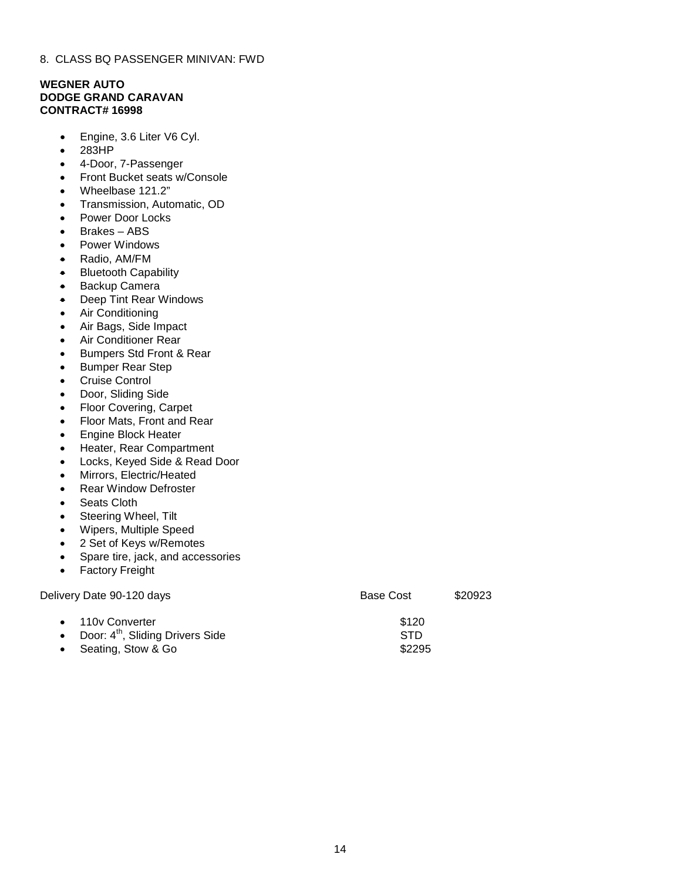# **WEGNER AUTO DODGE GRAND CARAVAN CONTRACT# 16998**

- Engine, 3.6 Liter V6 Cyl.
- 283HP
- 4-Door, 7-Passenger
- Front Bucket seats w/Console
- Wheelbase 121.2"
- Transmission, Automatic, OD
- Power Door Locks
- Brakes ABS
- Power Windows
- Radio, AM/FM
- Bluetooth Capability
- Backup Camera
- Deep Tint Rear Windows
- Air Conditioning
- Air Bags, Side Impact
- Air Conditioner Rear
- Bumpers Std Front & Rear
- Bumper Rear Step
- Cruise Control
- Door, Sliding Side
- Floor Covering, Carpet
- Floor Mats, Front and Rear
- Engine Block Heater
- Heater, Rear Compartment
- Locks, Keyed Side & Read Door
- Mirrors, Electric/Heated
- Rear Window Defroster
- Seats Cloth
- Steering Wheel, Tilt
- Wipers, Multiple Speed
- 2 Set of Keys w/Remotes
- Spare tire, jack, and accessories
- Factory Freight

| Delivery Date 90-120 days                                                        | Base Cost                     | \$20923 |
|----------------------------------------------------------------------------------|-------------------------------|---------|
| • 110y Converter<br>• Door: $4th$ , Sliding Drivers Side<br>• Seating, Stow & Go | \$120<br><b>STD</b><br>\$2295 |         |
|                                                                                  |                               |         |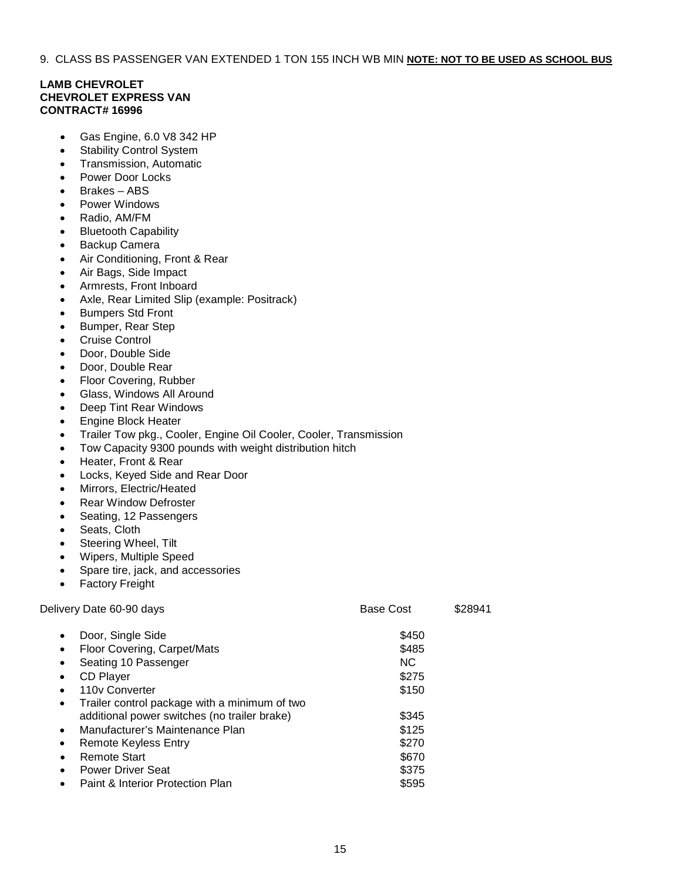9. CLASS BS PASSENGER VAN EXTENDED 1 TON 155 INCH WB MIN **NOTE: NOT TO BE USED AS SCHOOL BUS**

# **LAMB CHEVROLET CHEVROLET EXPRESS VAN CONTRACT# 16996**

- Gas Engine, 6.0 V8 342 HP
- Stability Control System
- Transmission, Automatic
- Power Door Locks
- Brakes ABS
- Power Windows
- Radio, AM/FM
- Bluetooth Capability
- Backup Camera
- Air Conditioning, Front & Rear
- Air Bags, Side Impact
- Armrests, Front Inboard
- Axle, Rear Limited Slip (example: Positrack)
- Bumpers Std Front
- Bumper, Rear Step
- Cruise Control
- Door, Double Side
- Door, Double Rear
- Floor Covering, Rubber
- Glass, Windows All Around
- Deep Tint Rear Windows
- Engine Block Heater
- Trailer Tow pkg., Cooler, Engine Oil Cooler, Cooler, Transmission
- Tow Capacity 9300 pounds with weight distribution hitch
- Heater, Front & Rear
- Locks, Keyed Side and Rear Door
- Mirrors, Electric/Heated
- **Rear Window Defroster**
- Seating, 12 Passengers
- Seats, Cloth
- Steering Wheel, Tilt
- Wipers, Multiple Speed
- Spare tire, jack, and accessories
- **Factory Freight**

| Delivery Date 60-90 days                                   | <b>Base Cost</b> | \$28941 |
|------------------------------------------------------------|------------------|---------|
| Door, Single Side<br>$\bullet$                             | \$450            |         |
| Floor Covering, Carpet/Mats<br>٠                           | \$485            |         |
| Seating 10 Passenger<br>$\bullet$                          | NC.              |         |
| CD Player<br>٠                                             | \$275            |         |
| 110y Converter<br>$\bullet$                                | \$150            |         |
| Trailer control package with a minimum of two<br>$\bullet$ |                  |         |
| additional power switches (no trailer brake)               | \$345            |         |
| Manufacturer's Maintenance Plan<br>$\bullet$               | \$125            |         |
| <b>Remote Keyless Entry</b><br>٠                           | \$270            |         |
| <b>Remote Start</b><br>$\bullet$                           | \$670            |         |
| <b>Power Driver Seat</b><br>$\bullet$                      | \$375            |         |
| Paint & Interior Protection Plan<br>$\bullet$              | \$595            |         |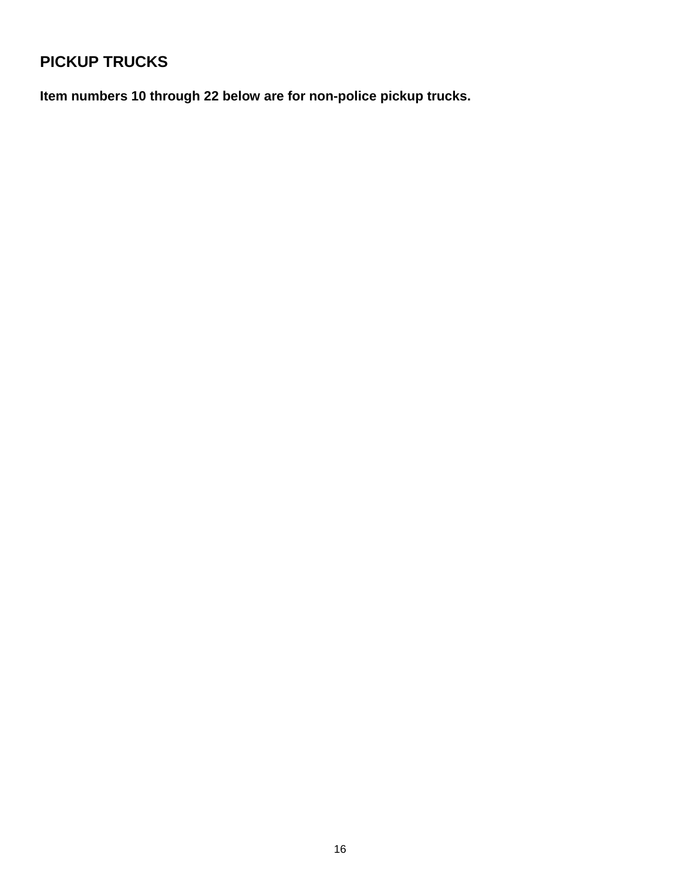# **PICKUP TRUCKS**

**Item numbers 10 through 22 below are for non-police pickup trucks.**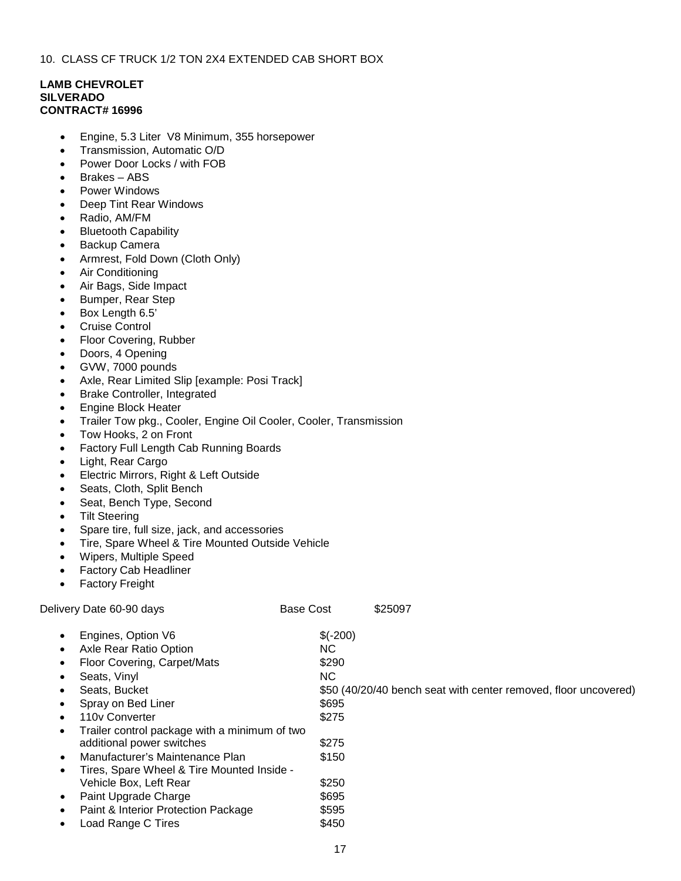# **LAMB CHEVROLET SILVERADO CONTRACT# 16996**

- Engine, 5.3 Liter V8 Minimum, 355 horsepower
- Transmission, Automatic O/D
- Power Door Locks / with FOB
- Brakes ABS
- Power Windows
- Deep Tint Rear Windows
- Radio, AM/FM
- Bluetooth Capability
- Backup Camera
- Armrest, Fold Down (Cloth Only)
- Air Conditioning
- Air Bags, Side Impact
- Bumper, Rear Step
- Box Length 6.5'
- Cruise Control
- Floor Covering, Rubber
- Doors, 4 Opening
- GVW, 7000 pounds
- Axle, Rear Limited Slip [example: Posi Track]
- Brake Controller, Integrated
- Engine Block Heater
- Trailer Tow pkg., Cooler, Engine Oil Cooler, Cooler, Transmission
- Tow Hooks, 2 on Front
- Factory Full Length Cab Running Boards
- Light, Rear Cargo
- Electric Mirrors, Right & Left Outside
- Seats, Cloth, Split Bench
- Seat, Bench Type, Second
- Tilt Steering
- Spare tire, full size, jack, and accessories
- Tire, Spare Wheel & Tire Mounted Outside Vehicle
- Wipers, Multiple Speed
- Factory Cab Headliner
- **Factory Freight**

|           | Delivery Date 60-90 days                      | <b>Base Cost</b> | \$25097                                                         |
|-----------|-----------------------------------------------|------------------|-----------------------------------------------------------------|
| $\bullet$ | Engines, Option V6                            | $$(-200)$        |                                                                 |
| ٠         | Axle Rear Ratio Option                        | NC.              |                                                                 |
| $\bullet$ | Floor Covering, Carpet/Mats                   | \$290            |                                                                 |
| ٠         | Seats, Vinyl                                  | NC.              |                                                                 |
| ٠         | Seats, Bucket                                 |                  | \$50 (40/20/40 bench seat with center removed, floor uncovered) |
| ٠         | Spray on Bed Liner                            | \$695            |                                                                 |
| $\bullet$ | 110y Converter                                | \$275            |                                                                 |
| $\bullet$ | Trailer control package with a minimum of two |                  |                                                                 |
|           | additional power switches                     | \$275            |                                                                 |
| $\bullet$ | Manufacturer's Maintenance Plan               | \$150            |                                                                 |
| ٠         | Tires, Spare Wheel & Tire Mounted Inside -    |                  |                                                                 |
|           | Vehicle Box, Left Rear                        | \$250            |                                                                 |
| $\bullet$ | Paint Upgrade Charge                          | \$695            |                                                                 |
| ٠         | Paint & Interior Protection Package           | \$595            |                                                                 |
| ٠         | Load Range C Tires                            | \$450            |                                                                 |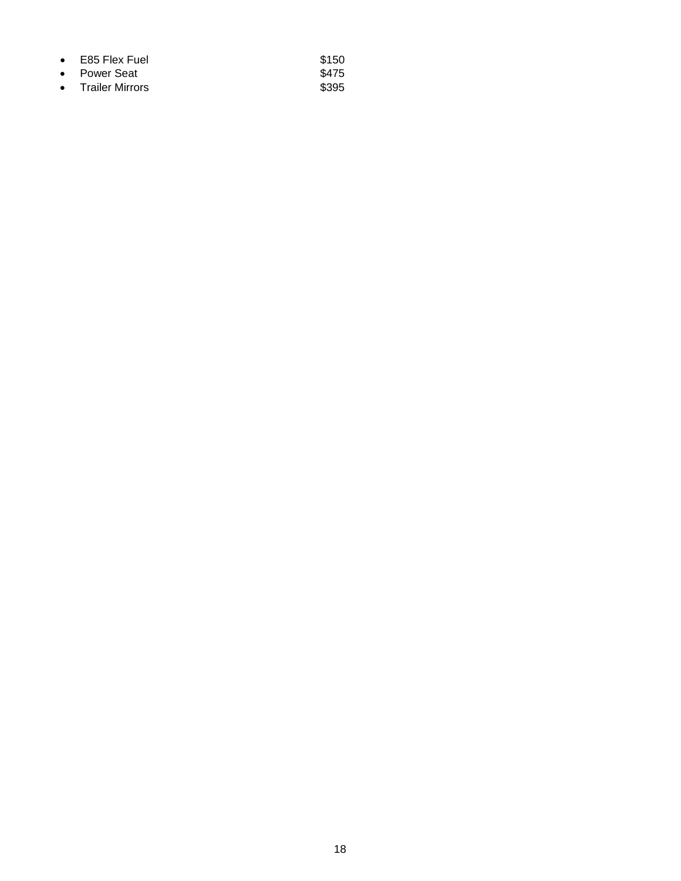| $\bullet$ E85 Flex Fuel | \$150 |
|-------------------------|-------|
| • Power Seat            | \$475 |
| • Trailer Mirrors       | \$395 |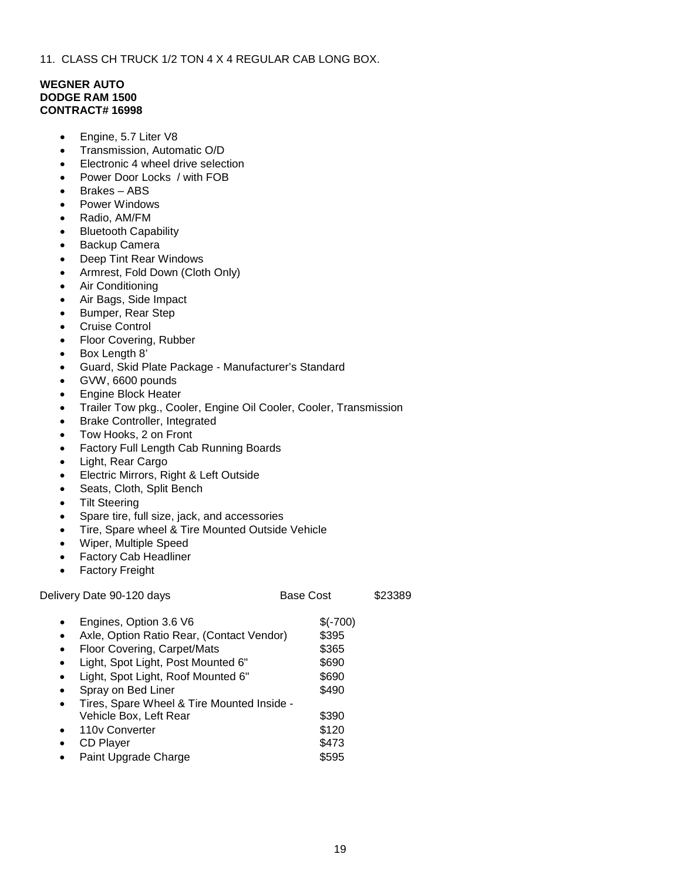11. CLASS CH TRUCK 1/2 TON 4 X 4 REGULAR CAB LONG BOX.

# **WEGNER AUTO DODGE RAM 1500 CONTRACT# 16998**

- Engine, 5.7 Liter V8
- Transmission, Automatic O/D
- Electronic 4 wheel drive selection
- Power Door Locks / with FOB
- Brakes ABS
- Power Windows
- Radio, AM/FM
- Bluetooth Capability
- Backup Camera
- Deep Tint Rear Windows
- Armrest, Fold Down (Cloth Only)
- Air Conditioning
- Air Bags, Side Impact
- Bumper, Rear Step
- Cruise Control
- Floor Covering, Rubber
- Box Length 8'
- Guard, Skid Plate Package Manufacturer's Standard
- GVW, 6600 pounds
- Engine Block Heater
- Trailer Tow pkg., Cooler, Engine Oil Cooler, Cooler, Transmission
- Brake Controller, Integrated
- Tow Hooks, 2 on Front
- Factory Full Length Cab Running Boards
- Light, Rear Cargo
- Electric Mirrors, Right & Left Outside
- Seats, Cloth, Split Bench
- Tilt Steering
- Spare tire, full size, jack, and accessories
- Tire, Spare wheel & Tire Mounted Outside Vehicle
- Wiper, Multiple Speed
- Factory Cab Headliner
- Factory Freight

| Delivery Date 90-120 days                                                                                                                                                                        | Base Cost                        | \$23389 |
|--------------------------------------------------------------------------------------------------------------------------------------------------------------------------------------------------|----------------------------------|---------|
| Engines, Option 3.6 V6<br>$\bullet$<br>Axle, Option Ratio Rear, (Contact Vendor)<br>٠<br>Floor Covering, Carpet/Mats<br>$\bullet$                                                                | $$(-700)$<br>\$395<br>\$365      |         |
| Light, Spot Light, Post Mounted 6"<br>$\bullet$<br>Light, Spot Light, Roof Mounted 6"<br>$\bullet$<br>Spray on Bed Liner<br>$\bullet$<br>Tires, Spare Wheel & Tire Mounted Inside -<br>$\bullet$ | \$690<br>\$690<br>\$490          |         |
| Vehicle Box, Left Rear<br>110y Converter<br>$\bullet$<br><b>CD Player</b><br>$\bullet$<br>Paint Upgrade Charge                                                                                   | \$390<br>\$120<br>\$473<br>\$595 |         |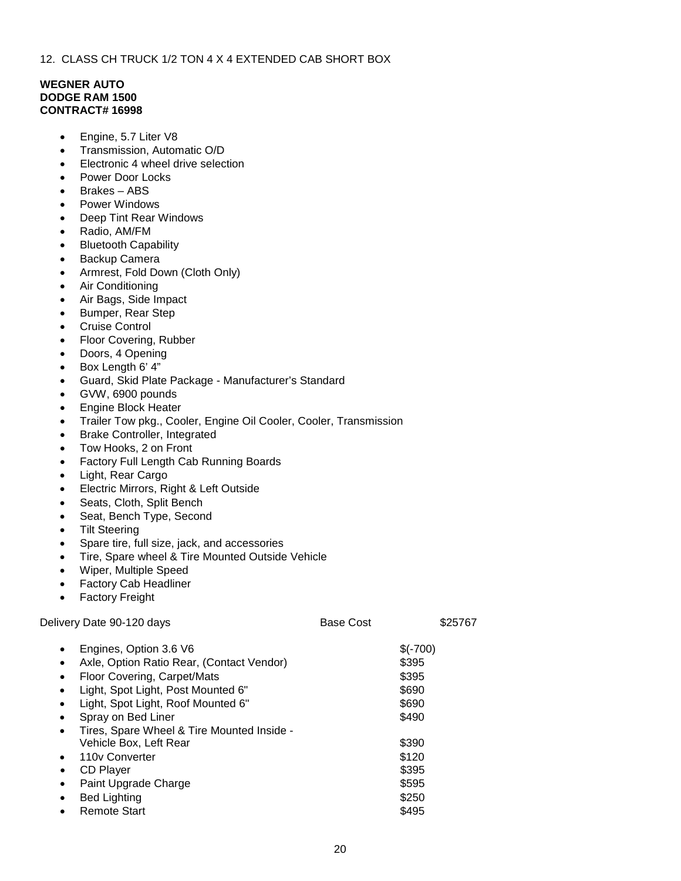# **WEGNER AUTO DODGE RAM 1500 CONTRACT# 16998**

- Engine, 5.7 Liter V8
- Transmission, Automatic O/D
- Electronic 4 wheel drive selection
- Power Door Locks
- Brakes ABS
- Power Windows
- Deep Tint Rear Windows
- Radio, AM/FM
- **Bluetooth Capability**
- Backup Camera
- Armrest, Fold Down (Cloth Only)
- Air Conditioning
- Air Bags, Side Impact
- Bumper, Rear Step
- Cruise Control
- Floor Covering, Rubber
- Doors, 4 Opening
- Box Length 6' 4"
- Guard, Skid Plate Package Manufacturer's Standard
- GVW, 6900 pounds
- Engine Block Heater
- Trailer Tow pkg., Cooler, Engine Oil Cooler, Cooler, Transmission
- Brake Controller, Integrated
- Tow Hooks, 2 on Front
- Factory Full Length Cab Running Boards
- Light, Rear Cargo
- Electric Mirrors, Right & Left Outside
- Seats, Cloth, Split Bench
- Seat, Bench Type, Second
- **Tilt Steering**
- Spare tire, full size, jack, and accessories
- Tire, Spare wheel & Tire Mounted Outside Vehicle
- Wiper, Multiple Speed
- Factory Cab Headliner
- Factory Freight

| Delivery Date 90-120 days                                                                                                                                                                                                                                                                                                                     | <b>Base Cost</b> | \$25767                                                |
|-----------------------------------------------------------------------------------------------------------------------------------------------------------------------------------------------------------------------------------------------------------------------------------------------------------------------------------------------|------------------|--------------------------------------------------------|
| Engines, Option 3.6 V6<br>$\bullet$<br>Axle, Option Ratio Rear, (Contact Vendor)<br>$\bullet$<br>Floor Covering, Carpet/Mats<br>$\bullet$<br>Light, Spot Light, Post Mounted 6"<br>$\bullet$<br>Light, Spot Light, Roof Mounted 6"<br>$\bullet$<br>Spray on Bed Liner<br>$\bullet$<br>Tires, Spare Wheel & Tire Mounted Inside -<br>$\bullet$ |                  | $$(-700)$<br>\$395<br>\$395<br>\$690<br>\$690<br>\$490 |
| Vehicle Box, Left Rear<br>110y Converter<br>$\bullet$<br>CD Player<br>$\bullet$<br>Paint Upgrade Charge<br>$\bullet$<br><b>Bed Lighting</b>                                                                                                                                                                                                   |                  | \$390<br>\$120<br>\$395<br>\$595<br>\$250              |

**Property** Remote Start  $\sim$  8495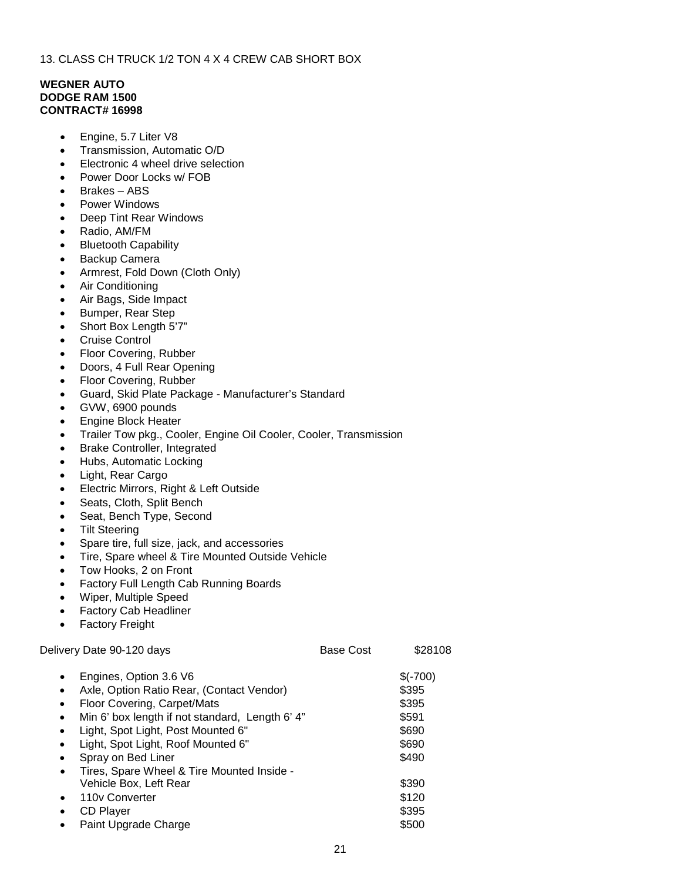# **WEGNER AUTO DODGE RAM 1500 CONTRACT# 16998**

- Engine, 5.7 Liter V8
- Transmission, Automatic O/D
- Electronic 4 wheel drive selection
- Power Door Locks w/ FOB
- Brakes ABS
- Power Windows
- Deep Tint Rear Windows
- Radio, AM/FM
- **Bluetooth Capability**
- Backup Camera
- Armrest, Fold Down (Cloth Only)
- Air Conditioning
- Air Bags, Side Impact
- Bumper, Rear Step
- Short Box Length 5'7"
- Cruise Control
- Floor Covering, Rubber
- Doors, 4 Full Rear Opening
- Floor Covering, Rubber
- Guard, Skid Plate Package Manufacturer's Standard
- GVW, 6900 pounds
- Engine Block Heater
- Trailer Tow pkg., Cooler, Engine Oil Cooler, Cooler, Transmission
- Brake Controller, Integrated
- Hubs, Automatic Locking
- Light, Rear Cargo
- Electric Mirrors, Right & Left Outside
- Seats, Cloth, Split Bench
- Seat, Bench Type, Second
- **Tilt Steering**
- Spare tire, full size, jack, and accessories
- Tire, Spare wheel & Tire Mounted Outside Vehicle
- Tow Hooks, 2 on Front
- Factory Full Length Cab Running Boards
- Wiper, Multiple Speed
- Factory Cab Headliner
- **Factory Freight**

| Delivery Date 90-120 days                                    | <b>Base Cost</b> | \$28108   |
|--------------------------------------------------------------|------------------|-----------|
| Engines, Option 3.6 V6<br>$\bullet$                          |                  | $$(-700)$ |
| Axle, Option Ratio Rear, (Contact Vendor)<br>$\bullet$       |                  | \$395     |
| Floor Covering, Carpet/Mats<br>$\bullet$                     |                  | \$395     |
| Min 6' box length if not standard, Length 6' 4"<br>$\bullet$ |                  | \$591     |
| Light, Spot Light, Post Mounted 6"<br>$\bullet$              |                  | \$690     |
| Light, Spot Light, Roof Mounted 6"<br>$\bullet$              |                  | \$690     |
| Spray on Bed Liner                                           |                  | \$490     |
| Tires, Spare Wheel & Tire Mounted Inside -<br>$\bullet$      |                  |           |
| Vehicle Box, Left Rear                                       |                  | \$390     |
| 110y Converter<br>$\bullet$                                  |                  | \$120     |
| <b>CD Player</b><br>$\bullet$                                |                  | \$395     |
| Paint Upgrade Charge                                         |                  | \$500     |
|                                                              |                  |           |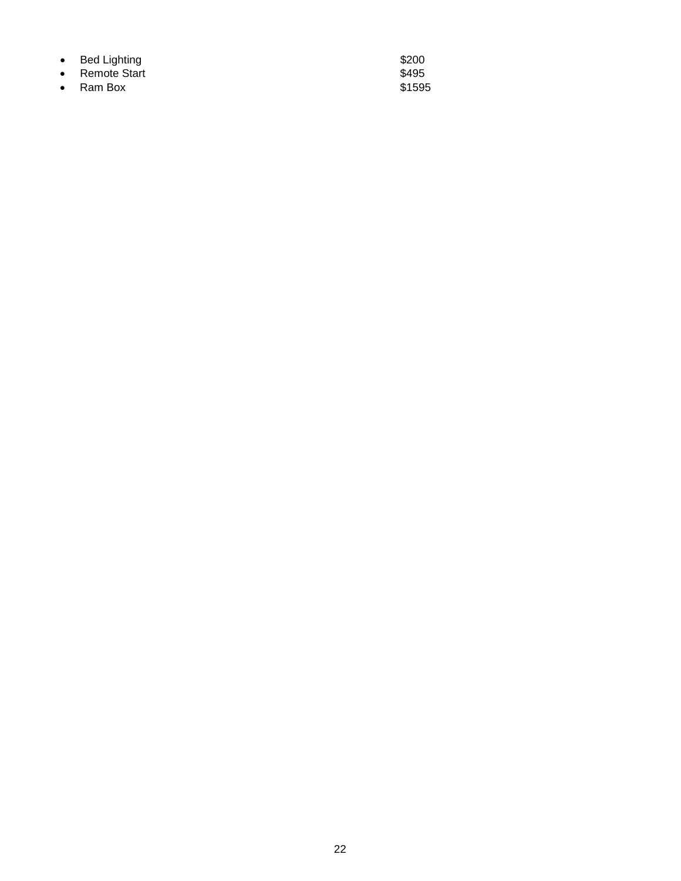- Bed Lighting the state of the state of the S200 state  $\sim$
- Remote Start **\$495** • Remote Start<br>• Ram Box \$1595<br>• Ram Box \$1595
-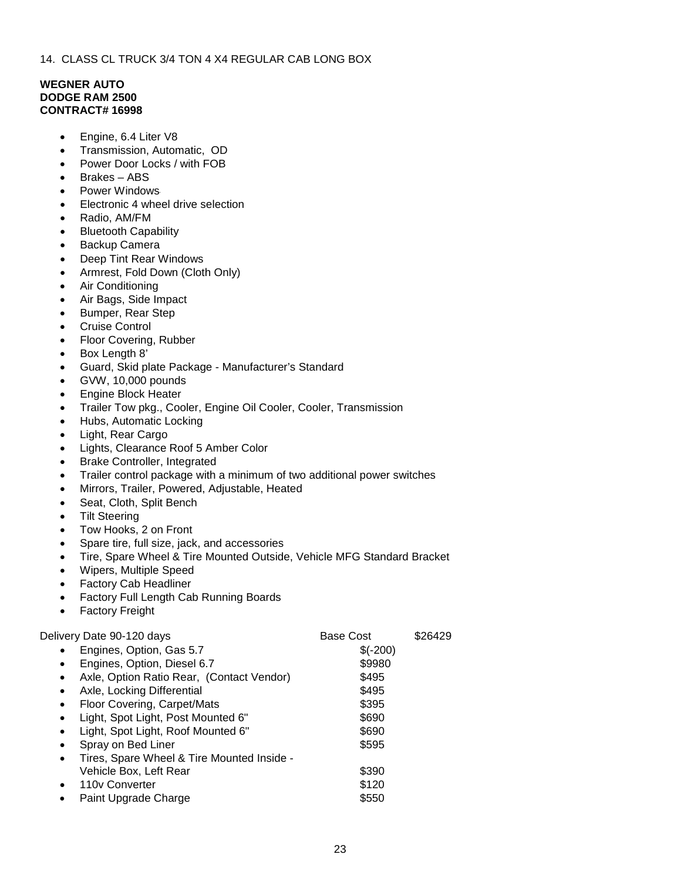14. CLASS CL TRUCK 3/4 TON 4 X4 REGULAR CAB LONG BOX

# **WEGNER AUTO DODGE RAM 2500 CONTRACT# 16998**

- Engine, 6.4 Liter V8
- Transmission, Automatic, OD
- Power Door Locks / with FOB
- Brakes ABS
- Power Windows
- Electronic 4 wheel drive selection
- Radio, AM/FM
- Bluetooth Capability
- Backup Camera
- Deep Tint Rear Windows
- Armrest, Fold Down (Cloth Only)
- Air Conditioning
- Air Bags, Side Impact
- Bumper, Rear Step
- Cruise Control
- Floor Covering, Rubber
- Box Length 8'
- Guard, Skid plate Package Manufacturer's Standard
- GVW, 10,000 pounds
- Engine Block Heater
- Trailer Tow pkg., Cooler, Engine Oil Cooler, Cooler, Transmission
- Hubs, Automatic Locking
- Light, Rear Cargo
- Lights, Clearance Roof 5 Amber Color
- Brake Controller, Integrated
- Trailer control package with a minimum of two additional power switches
- Mirrors, Trailer, Powered, Adjustable, Heated
- Seat, Cloth, Split Bench
- **Tilt Steering**
- Tow Hooks, 2 on Front
- Spare tire, full size, jack, and accessories
- Tire, Spare Wheel & Tire Mounted Outside, Vehicle MFG Standard Bracket
- Wipers, Multiple Speed
- Factory Cab Headliner
- Factory Full Length Cab Running Boards
- Factory Freight

Delivery Date 90-120 days but be a second base Cost \$26429

|           |                                            | יטטע שטש  |  |
|-----------|--------------------------------------------|-----------|--|
| $\bullet$ | Engines, Option, Gas 5.7                   | $$(-200)$ |  |
| $\bullet$ | Engines, Option, Diesel 6.7                | \$9980    |  |
| $\bullet$ | Axle, Option Ratio Rear, (Contact Vendor)  | \$495     |  |
| $\bullet$ | Axle, Locking Differential                 | \$495     |  |
| $\bullet$ | Floor Covering, Carpet/Mats                | \$395     |  |
|           | Light, Spot Light, Post Mounted 6"         | \$690     |  |
| $\bullet$ | Light, Spot Light, Roof Mounted 6"         | \$690     |  |
|           | Spray on Bed Liner                         | \$595     |  |
|           | Tires, Spare Wheel & Tire Mounted Inside - |           |  |
|           | Vehicle Box, Left Rear                     | \$390     |  |
| $\bullet$ | 110y Converter                             | \$120     |  |
| $\bullet$ | Paint Upgrade Charge                       | \$550     |  |
|           |                                            |           |  |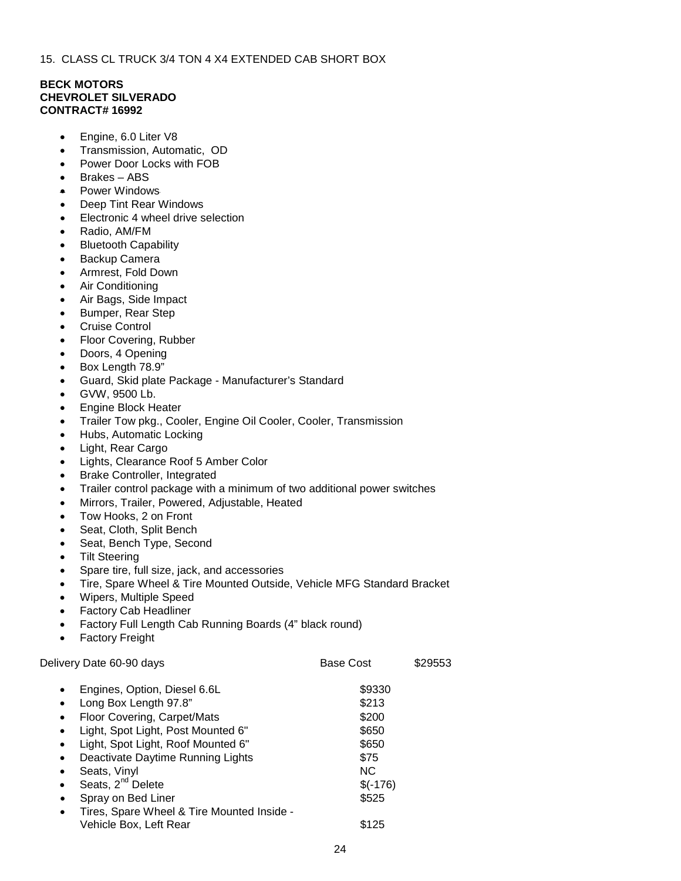15. CLASS CL TRUCK 3/4 TON 4 X4 EXTENDED CAB SHORT BOX

# **BECK MOTORS CHEVROLET SILVERADO CONTRACT# 16992**

- Engine, 6.0 Liter V8
- Transmission, Automatic, OD
- Power Door Locks with FOB
- Brakes ABS
- Power Windows
- Deep Tint Rear Windows
- Electronic 4 wheel drive selection
- Radio, AM/FM
- Bluetooth Capability
- Backup Camera
- Armrest, Fold Down
- Air Conditioning
- Air Bags, Side Impact
- Bumper, Rear Step
- Cruise Control
- Floor Covering, Rubber
- Doors, 4 Opening
- Box Length 78.9"
- Guard, Skid plate Package Manufacturer's Standard
- GVW, 9500 Lb.
- Engine Block Heater
- Trailer Tow pkg., Cooler, Engine Oil Cooler, Cooler, Transmission
- Hubs, Automatic Locking
- Light, Rear Cargo
- Lights, Clearance Roof 5 Amber Color
- Brake Controller, Integrated
- Trailer control package with a minimum of two additional power switches
- Mirrors, Trailer, Powered, Adjustable, Heated
- Tow Hooks, 2 on Front
- Seat, Cloth, Split Bench
- Seat, Bench Type, Second
- **Tilt Steering**
- Spare tire, full size, jack, and accessories
- Tire, Spare Wheel & Tire Mounted Outside, Vehicle MFG Standard Bracket
- Wipers, Multiple Speed
- Factory Cab Headliner
- Factory Full Length Cab Running Boards (4" black round)
- **Factory Freight**

Delivery Date 60-90 days **Base Cost** \$29553 Engines, Option, Diesel 6.6L \$9330 Long Box Length 97.8" **\$213** Floor Covering, Carpet/Mats  $$200$ Light, Spot Light, Post Mounted 6" \$650 Light, Spot Light, Roof Mounted 6" \$650 **Deactivate Daytime Running Lights \$75 Seats, Vinyl NC** Seats,  $2^{nd}$  Delete  $\sqrt{6}$  S(-176) **Spray on Bed Liner \$525** • Tires, Spare Wheel & Tire Mounted Inside - Vehicle Box, Left Rear \$125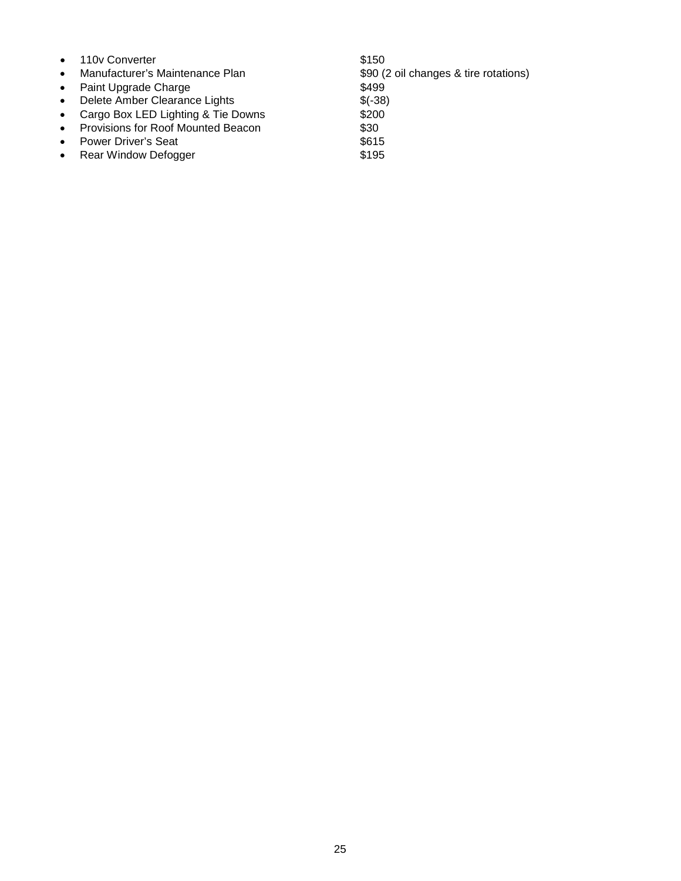- 
- 110v Converter \$150
- 
- Paint Upgrade Charge \$499<br>• Delete Amber Clearance Lights \$ (-38) • Delete Amber Clearance Lights \$(-38)
- Cargo Box LED Lighting  $&$  Tie Downs
- Provisions for Roof Mounted Beacon \$30<br>• Power Driver's Seat \$615
- 
- Power Driver's Seat \$615<br>• Rear Window Defogger \$195 • Rear Window Defogger

• Manufacturer's Maintenance Plan \$90 (2 oil changes & tire rotations)<br>• Paint Upgrade Charge \$499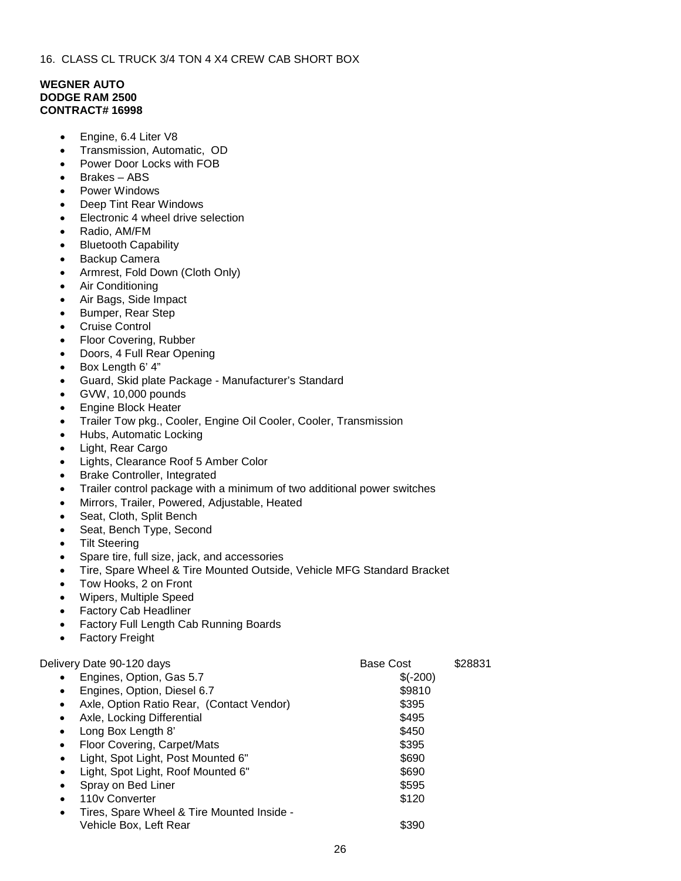# **WEGNER AUTO DODGE RAM 2500 CONTRACT# 16998**

- Engine, 6.4 Liter V8
- Transmission, Automatic, OD
- Power Door Locks with FOB
- Brakes ABS
- Power Windows
- Deep Tint Rear Windows
- Electronic 4 wheel drive selection
- Radio, AM/FM
- Bluetooth Capability
- Backup Camera
- Armrest, Fold Down (Cloth Only)
- Air Conditioning
- Air Bags, Side Impact
- Bumper, Rear Step
- Cruise Control
- Floor Covering, Rubber
- Doors, 4 Full Rear Opening
- Box Length 6' 4"
- Guard, Skid plate Package Manufacturer's Standard
- GVW, 10,000 pounds
- Engine Block Heater
- Trailer Tow pkg., Cooler, Engine Oil Cooler, Cooler, Transmission
- Hubs, Automatic Locking
- Light, Rear Cargo
- Lights, Clearance Roof 5 Amber Color
- Brake Controller, Integrated
- Trailer control package with a minimum of two additional power switches
- Mirrors, Trailer, Powered, Adjustable, Heated
- Seat, Cloth, Split Bench
- Seat, Bench Type, Second
- Tilt Steering
- Spare tire, full size, jack, and accessories
- Tire, Spare Wheel & Tire Mounted Outside, Vehicle MFG Standard Bracket
- Tow Hooks, 2 on Front
- Wipers, Multiple Speed
- Factory Cab Headliner
- Factory Full Length Cab Running Boards
- Factory Freight

| Delivery Date 90-120 days                               | <b>Base Cost</b> | \$28831 |
|---------------------------------------------------------|------------------|---------|
| Engines, Option, Gas 5.7<br>$\bullet$                   | $$(-200)$        |         |
| Engines, Option, Diesel 6.7<br>$\bullet$                | \$9810           |         |
| Axle, Option Ratio Rear, (Contact Vendor)<br>$\bullet$  | \$395            |         |
| Axle, Locking Differential<br>$\bullet$                 | \$495            |         |
| Long Box Length 8'<br>$\bullet$                         | \$450            |         |
| Floor Covering, Carpet/Mats<br>$\bullet$                | \$395            |         |
| Light, Spot Light, Post Mounted 6"<br>$\bullet$         | \$690            |         |
| Light, Spot Light, Roof Mounted 6"                      | \$690            |         |
| Spray on Bed Liner<br>$\bullet$                         | \$595            |         |
| 110 <sub>v</sub> Converter<br>$\bullet$                 | \$120            |         |
| Tires, Spare Wheel & Tire Mounted Inside -<br>$\bullet$ |                  |         |
| Vehicle Box, Left Rear                                  | \$390            |         |
|                                                         |                  |         |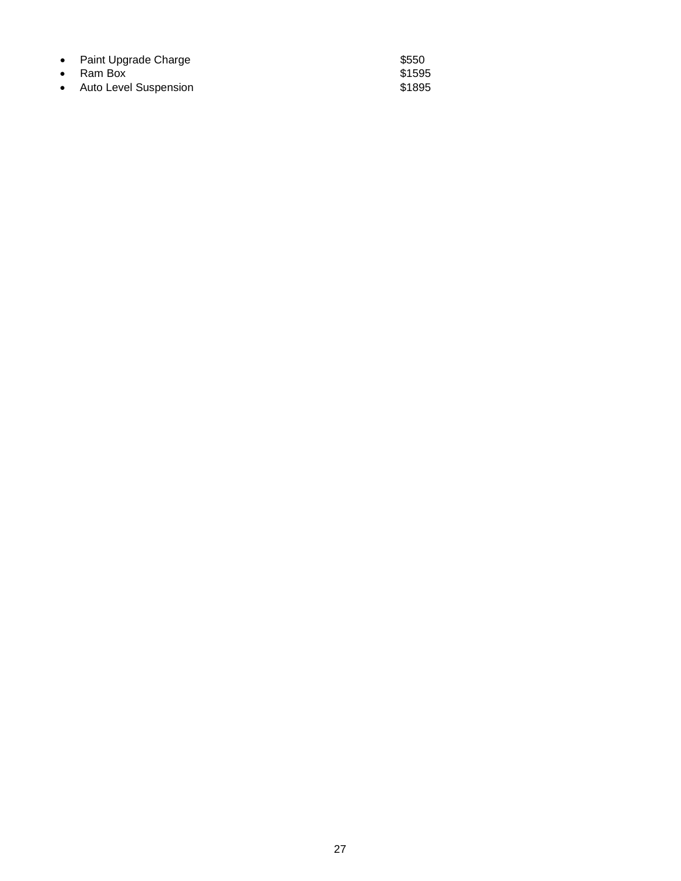| • Paint Upgrade Charge  | \$550  |
|-------------------------|--------|
| $\bullet$ Ram Box       | \$1595 |
| • Auto Level Suspension | \$1895 |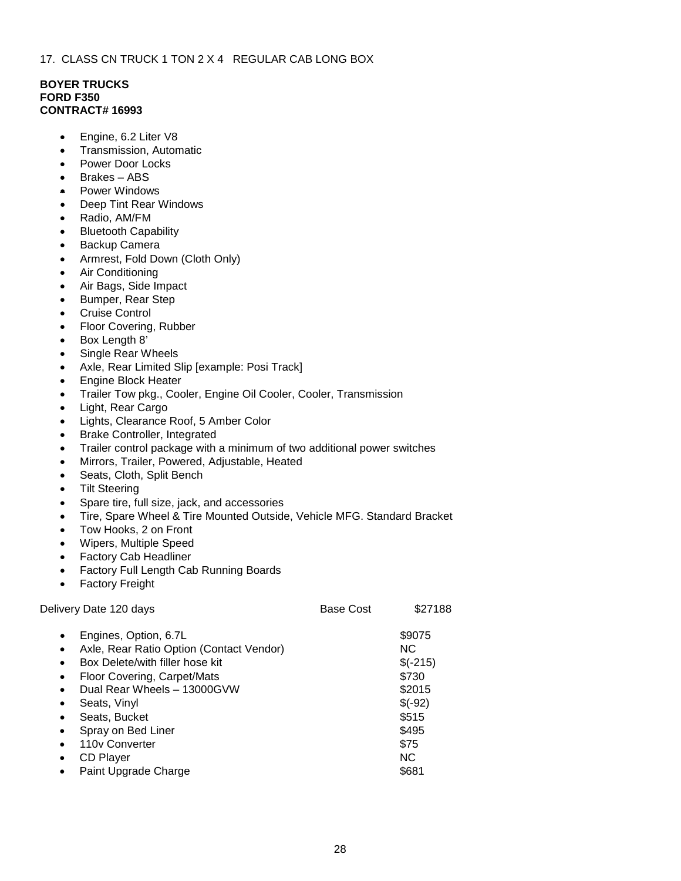## **BOYER TRUCKS FORD F350 CONTRACT# 16993**

- Engine, 6.2 Liter V8
- Transmission, Automatic
- Power Door Locks
- Brakes ABS
- Power Windows<br>● Deep Tint Rear \
- Deep Tint Rear Windows
- Radio, AM/FM
- Bluetooth Capability
- Backup Camera
- Armrest, Fold Down (Cloth Only)
- Air Conditioning
- Air Bags, Side Impact
- Bumper, Rear Step
- Cruise Control
- Floor Covering, Rubber
- Box Length 8'
- Single Rear Wheels
- Axle, Rear Limited Slip [example: Posi Track]
- Engine Block Heater
- Trailer Tow pkg., Cooler, Engine Oil Cooler, Cooler, Transmission
- Light, Rear Cargo
- Lights, Clearance Roof, 5 Amber Color
- **Brake Controller, Integrated**
- Trailer control package with a minimum of two additional power switches
- Mirrors, Trailer, Powered, Adjustable, Heated
- Seats, Cloth, Split Bench
- Tilt Steering
- Spare tire, full size, jack, and accessories
- Tire, Spare Wheel & Tire Mounted Outside, Vehicle MFG. Standard Bracket
- Tow Hooks, 2 on Front
- Wipers, Multiple Speed
- Factory Cab Headliner
- Factory Full Length Cab Running Boards
- **Factory Freight**

| Delivery Date 120 days                                                                                                                                                                                                                                                                                                                                                                            | <b>Base Cost</b> | \$27188                                                                                          |
|---------------------------------------------------------------------------------------------------------------------------------------------------------------------------------------------------------------------------------------------------------------------------------------------------------------------------------------------------------------------------------------------------|------------------|--------------------------------------------------------------------------------------------------|
| Engines, Option, 6.7L<br>$\bullet$<br>Axle, Rear Ratio Option (Contact Vendor)<br>$\bullet$<br>Box Delete/with filler hose kit<br>$\bullet$<br>Floor Covering, Carpet/Mats<br>$\bullet$<br>Dual Rear Wheels - 13000GVW<br>$\bullet$<br>Seats, Vinyl<br>$\bullet$<br>Seats, Bucket<br>$\bullet$<br>Spray on Bed Liner<br>$\bullet$<br>110y Converter<br>$\bullet$<br><b>CD Player</b><br>$\bullet$ |                  | \$9075<br>NC.<br>$$(-215)$<br>\$730<br>\$2015<br>$$(-92)$<br>\$515<br>\$495<br>\$75<br><b>NC</b> |
| Paint Upgrade Charge<br>$\bullet$                                                                                                                                                                                                                                                                                                                                                                 |                  | \$681                                                                                            |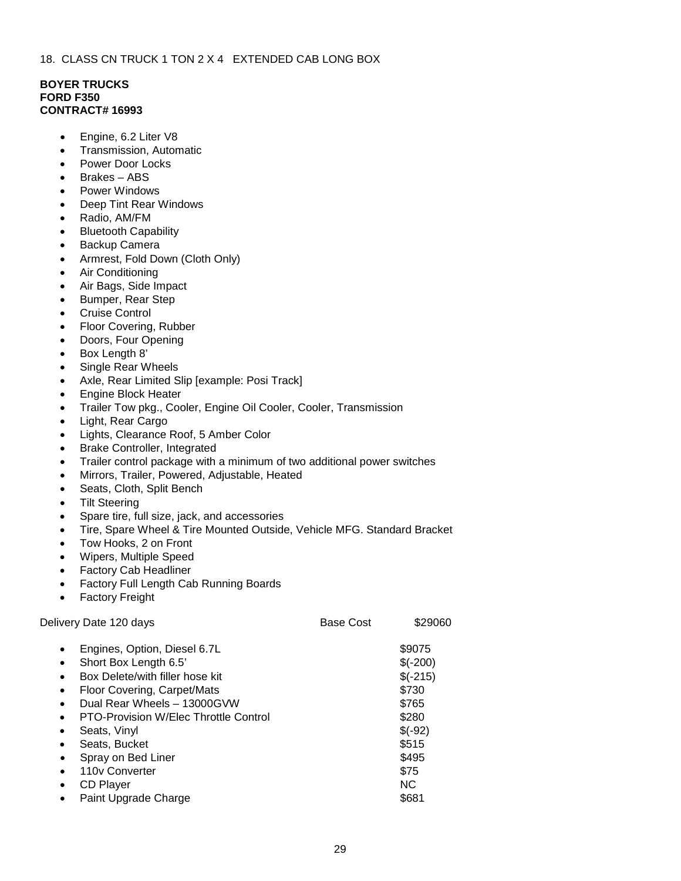## **BOYER TRUCKS FORD F350 CONTRACT# 16993**

- Engine, 6.2 Liter V8
- Transmission, Automatic
- Power Door Locks
- Brakes ABS
- Power Windows
- Deep Tint Rear Windows
- Radio, AM/FM
- Bluetooth Capability
- Backup Camera
- Armrest, Fold Down (Cloth Only)
- Air Conditioning
- Air Bags, Side Impact
- Bumper, Rear Step
- Cruise Control
- Floor Covering, Rubber
- Doors, Four Opening
- Box Length 8'
- Single Rear Wheels
- Axle, Rear Limited Slip [example: Posi Track]
- Engine Block Heater
- Trailer Tow pkg., Cooler, Engine Oil Cooler, Cooler, Transmission
- Light, Rear Cargo
- Lights, Clearance Roof, 5 Amber Color
- **Brake Controller, Integrated**
- Trailer control package with a minimum of two additional power switches
- Mirrors, Trailer, Powered, Adjustable, Heated
- Seats, Cloth, Split Bench
- **Tilt Steering**
- Spare tire, full size, jack, and accessories
- Tire, Spare Wheel & Tire Mounted Outside, Vehicle MFG. Standard Bracket
- Tow Hooks, 2 on Front
- Wipers, Multiple Speed
- Factory Cab Headliner
- Factory Full Length Cab Running Boards
- Factory Freight

| Delivery Date 120 days                                                                                                                                                                                                                                                                                                                                                                          | <b>Base Cost</b> | \$29060                                                                                                                 |
|-------------------------------------------------------------------------------------------------------------------------------------------------------------------------------------------------------------------------------------------------------------------------------------------------------------------------------------------------------------------------------------------------|------------------|-------------------------------------------------------------------------------------------------------------------------|
| Engines, Option, Diesel 6.7L<br>$\bullet$<br>Short Box Length 6.5'<br>$\bullet$<br>Box Delete/with filler hose kit<br>$\bullet$<br>Floor Covering, Carpet/Mats<br>$\bullet$<br>Dual Rear Wheels - 13000GVW<br>PTO-Provision W/Elec Throttle Control<br>Seats, Vinyl<br>٠<br>Seats, Bucket<br>٠<br>Spray on Bed Liner<br>$\bullet$<br>110y Converter<br><b>CD Player</b><br>Paint Upgrade Charge |                  | \$9075<br>$$(-200)$<br>$$(-215)$<br>\$730<br>\$765<br>\$280<br>$$(-92)$<br>\$515<br>\$495<br>\$75<br><b>NC</b><br>\$681 |
|                                                                                                                                                                                                                                                                                                                                                                                                 |                  |                                                                                                                         |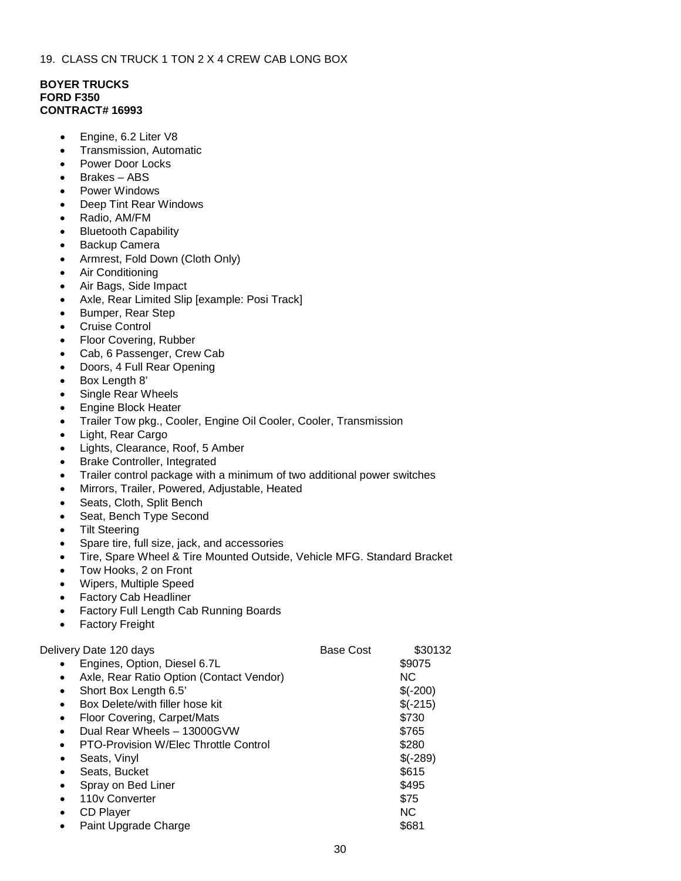## **BOYER TRUCKS FORD F350 CONTRACT# 16993**

- Engine, 6.2 Liter V8
- Transmission, Automatic
- Power Door Locks
- Brakes ABS
- Power Windows
- Deep Tint Rear Windows
- Radio, AM/FM
- Bluetooth Capability
- Backup Camera
- Armrest, Fold Down (Cloth Only)
- Air Conditioning
- Air Bags, Side Impact
- Axle, Rear Limited Slip [example: Posi Track]
- Bumper, Rear Step
- Cruise Control
- Floor Covering, Rubber
- Cab, 6 Passenger, Crew Cab
- Doors, 4 Full Rear Opening
- Box Length 8'
- Single Rear Wheels
- Engine Block Heater
- Trailer Tow pkg., Cooler, Engine Oil Cooler, Cooler, Transmission
- Light, Rear Cargo
- Lights, Clearance, Roof, 5 Amber
- Brake Controller, Integrated
- Trailer control package with a minimum of two additional power switches
- Mirrors, Trailer, Powered, Adjustable, Heated
- Seats, Cloth, Split Bench
- Seat, Bench Type Second
- **Tilt Steering**
- Spare tire, full size, jack, and accessories
- Tire, Spare Wheel & Tire Mounted Outside, Vehicle MFG. Standard Bracket
- Tow Hooks, 2 on Front
- Wipers, Multiple Speed
- Factory Cab Headliner
- Factory Full Length Cab Running Boards
- Factory Freight

| Engines, Option, Diesel 6.7L<br>\$9075<br>Axle, Rear Ratio Option (Contact Vendor)<br>NC.<br>$\bullet$<br>Short Box Length 6.5'<br>$$(-200)$<br>$\bullet$<br>$$(-215)$<br>Box Delete/with filler hose kit<br>$\bullet$<br>\$730<br>Floor Covering, Carpet/Mats<br>$\bullet$<br>Dual Rear Wheels - 13000GVW<br>\$765<br><b>PTO-Provision W/Elec Throttle Control</b><br>\$280<br>$\bullet$<br>$$(-289)$<br>Seats, Vinyl<br>٠<br>\$615<br>Seats, Bucket<br>$\bullet$<br>\$495<br>Spray on Bed Liner<br>$\bullet$<br>\$75<br>110 <sub>v</sub> Converter<br>$\bullet$<br><b>NC</b><br><b>CD Player</b><br>$\bullet$<br>\$681<br>Paint Upgrade Charge | Delivery Date 120 days | <b>Base Cost</b> | \$30132 |
|--------------------------------------------------------------------------------------------------------------------------------------------------------------------------------------------------------------------------------------------------------------------------------------------------------------------------------------------------------------------------------------------------------------------------------------------------------------------------------------------------------------------------------------------------------------------------------------------------------------------------------------------------|------------------------|------------------|---------|
|                                                                                                                                                                                                                                                                                                                                                                                                                                                                                                                                                                                                                                                  |                        |                  |         |
|                                                                                                                                                                                                                                                                                                                                                                                                                                                                                                                                                                                                                                                  |                        |                  |         |
|                                                                                                                                                                                                                                                                                                                                                                                                                                                                                                                                                                                                                                                  |                        |                  |         |
|                                                                                                                                                                                                                                                                                                                                                                                                                                                                                                                                                                                                                                                  |                        |                  |         |
|                                                                                                                                                                                                                                                                                                                                                                                                                                                                                                                                                                                                                                                  |                        |                  |         |
|                                                                                                                                                                                                                                                                                                                                                                                                                                                                                                                                                                                                                                                  |                        |                  |         |
|                                                                                                                                                                                                                                                                                                                                                                                                                                                                                                                                                                                                                                                  |                        |                  |         |
|                                                                                                                                                                                                                                                                                                                                                                                                                                                                                                                                                                                                                                                  |                        |                  |         |
|                                                                                                                                                                                                                                                                                                                                                                                                                                                                                                                                                                                                                                                  |                        |                  |         |
|                                                                                                                                                                                                                                                                                                                                                                                                                                                                                                                                                                                                                                                  |                        |                  |         |
|                                                                                                                                                                                                                                                                                                                                                                                                                                                                                                                                                                                                                                                  |                        |                  |         |
|                                                                                                                                                                                                                                                                                                                                                                                                                                                                                                                                                                                                                                                  |                        |                  |         |
|                                                                                                                                                                                                                                                                                                                                                                                                                                                                                                                                                                                                                                                  |                        |                  |         |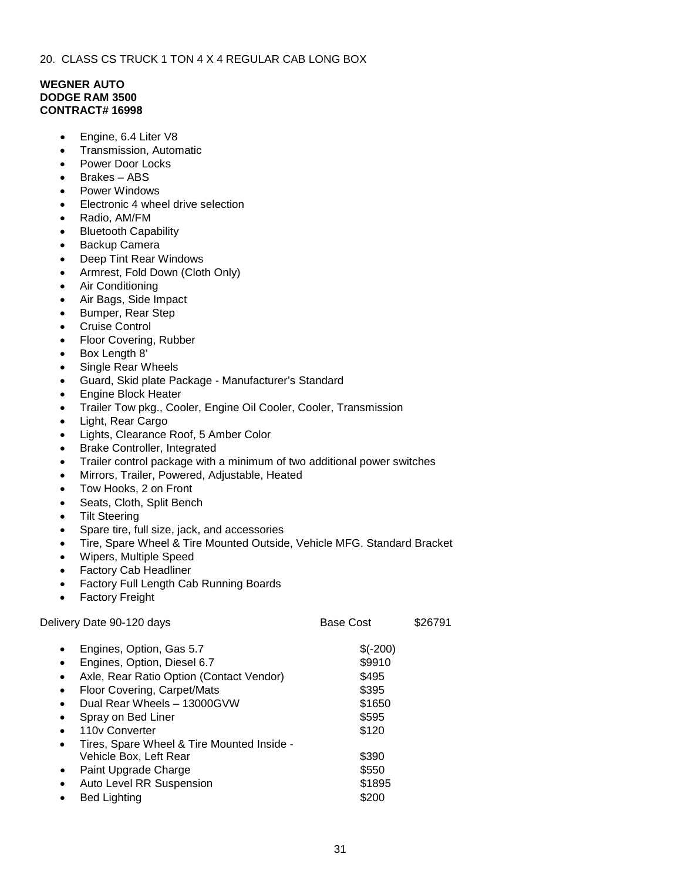# **WEGNER AUTO DODGE RAM 3500 CONTRACT# 16998**

- Engine, 6.4 Liter V8
- Transmission, Automatic
- Power Door Locks
- Brakes ABS
- Power Windows
- Electronic 4 wheel drive selection
- Radio, AM/FM
- Bluetooth Capability
- Backup Camera
- Deep Tint Rear Windows
- Armrest, Fold Down (Cloth Only)
- Air Conditioning
- Air Bags, Side Impact
- Bumper, Rear Step
- Cruise Control
- Floor Covering, Rubber
- Box Length 8'
- Single Rear Wheels
- Guard, Skid plate Package Manufacturer's Standard
- Engine Block Heater
- Trailer Tow pkg., Cooler, Engine Oil Cooler, Cooler, Transmission
- Light, Rear Cargo
- Lights, Clearance Roof, 5 Amber Color
- Brake Controller, Integrated
- Trailer control package with a minimum of two additional power switches
- Mirrors, Trailer, Powered, Adjustable, Heated
- Tow Hooks, 2 on Front
- Seats, Cloth, Split Bench
- Tilt Steering
- Spare tire, full size, jack, and accessories
- Tire, Spare Wheel & Tire Mounted Outside, Vehicle MFG. Standard Bracket
- Wipers, Multiple Speed
- Factory Cab Headliner
- Factory Full Length Cab Running Boards
- Factory Freight

| Delivery Date 90-120 days                               | Base Cost | \$26791 |
|---------------------------------------------------------|-----------|---------|
| Engines, Option, Gas 5.7<br>$\bullet$                   | $$(-200)$ |         |
| Engines, Option, Diesel 6.7<br>$\bullet$                | \$9910    |         |
| Axle, Rear Ratio Option (Contact Vendor)<br>$\bullet$   | \$495     |         |
| Floor Covering, Carpet/Mats<br>$\bullet$                | \$395     |         |
| Dual Rear Wheels - 13000GVW                             | \$1650    |         |
| Spray on Bed Liner<br>$\bullet$                         | \$595     |         |
| 110y Converter<br>$\bullet$                             | \$120     |         |
| Tires, Spare Wheel & Tire Mounted Inside -<br>$\bullet$ |           |         |
| Vehicle Box, Left Rear                                  | \$390     |         |
| Paint Upgrade Charge<br>$\bullet$                       | \$550     |         |
| Auto Level RR Suspension<br>$\bullet$                   | \$1895    |         |
| <b>Bed Lighting</b>                                     | \$200     |         |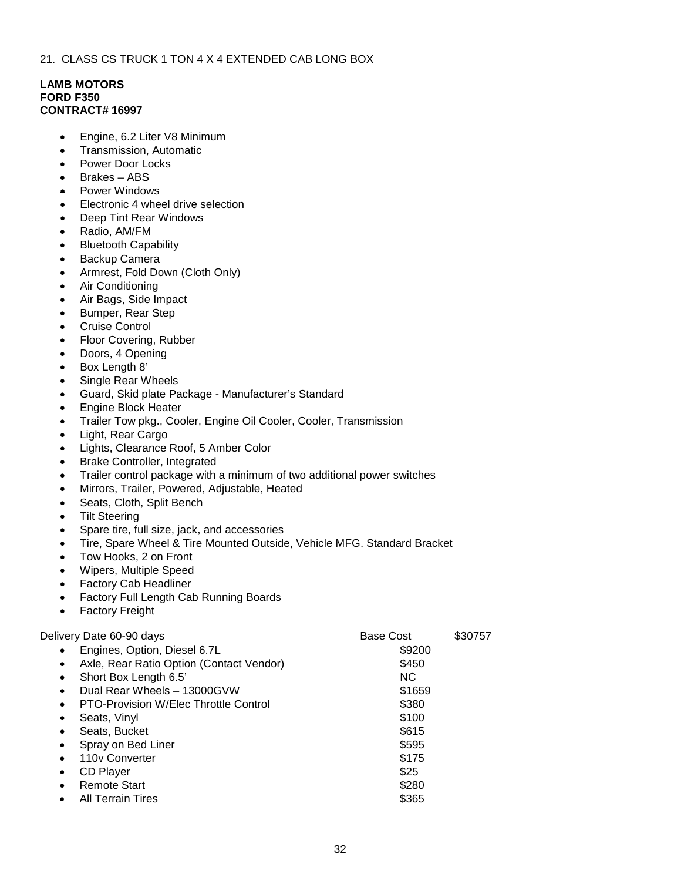### **LAMB MOTORS FORD F350 CONTRACT# 16997**

- Engine, 6.2 Liter V8 Minimum
- Transmission, Automatic
- Power Door Locks
- Brakes ABS
- Power Windows
- Electronic 4 wheel drive selection
- Deep Tint Rear Windows
- Radio, AM/FM
- Bluetooth Capability
- Backup Camera
- Armrest, Fold Down (Cloth Only)
- Air Conditioning
- Air Bags, Side Impact
- Bumper, Rear Step
- Cruise Control
- Floor Covering, Rubber
- Doors, 4 Opening
- Box Length 8'
- Single Rear Wheels
- Guard, Skid plate Package Manufacturer's Standard
- Engine Block Heater
- Trailer Tow pkg., Cooler, Engine Oil Cooler, Cooler, Transmission
- Light, Rear Cargo
- Lights, Clearance Roof, 5 Amber Color
- Brake Controller, Integrated
- Trailer control package with a minimum of two additional power switches
- Mirrors, Trailer, Powered, Adjustable, Heated
- Seats, Cloth, Split Bench
- **Tilt Steering**
- Spare tire, full size, jack, and accessories
- Tire, Spare Wheel & Tire Mounted Outside, Vehicle MFG. Standard Bracket
- Tow Hooks, 2 on Front
- Wipers, Multiple Speed
- Factory Cab Headliner
- Factory Full Length Cab Running Boards
- Factory Freight

# Delivery Date 60-90 days **Base Cost** \$30757 • Engines, Option, Diesel 6.7L \$9200 Axle, Rear Ratio Option (Contact Vendor) \$450 • Short Box Length 6.5' NC **Dual Rear Wheels – 13000GVW \$1659** PTO-Provision W/Elec Throttle Control **\$380** • Seats, Vinyl \$100 • Seats, Bucket \$615 **• Spray on Bed Liner \$595** and 110v Converter \$175 example of the state of the state of the state of the state of the state of the state of the state of the state of the state of the state of the state of the state of the state of the state of the state of the state of the example Start \$280 • All Terrain Tires \$365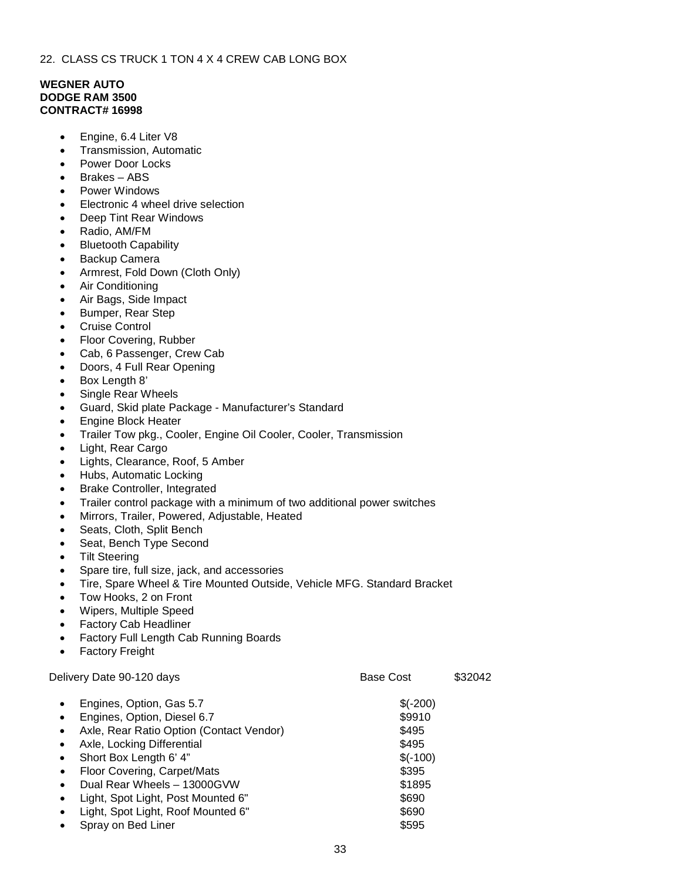# **WEGNER AUTO DODGE RAM 3500 CONTRACT# 16998**

- Engine, 6.4 Liter V8
- Transmission, Automatic
- Power Door Locks
- Brakes ABS
- Power Windows
- Electronic 4 wheel drive selection
- Deep Tint Rear Windows
- Radio, AM/FM
- Bluetooth Capability
- Backup Camera
- Armrest, Fold Down (Cloth Only)
- Air Conditioning
- Air Bags, Side Impact
- Bumper, Rear Step
- Cruise Control
- Floor Covering, Rubber
- Cab, 6 Passenger, Crew Cab
- Doors, 4 Full Rear Opening
- Box Length 8'
- Single Rear Wheels
- Guard, Skid plate Package Manufacturer's Standard
- Engine Block Heater
- Trailer Tow pkg., Cooler, Engine Oil Cooler, Cooler, Transmission
- Light, Rear Cargo
- Lights, Clearance, Roof, 5 Amber
- Hubs, Automatic Locking
- Brake Controller, Integrated
- Trailer control package with a minimum of two additional power switches
- Mirrors, Trailer, Powered, Adjustable, Heated
- Seats, Cloth, Split Bench
- Seat, Bench Type Second
- **Tilt Steering**
- Spare tire, full size, jack, and accessories
- Tire, Spare Wheel & Tire Mounted Outside, Vehicle MFG. Standard Bracket
- Tow Hooks, 2 on Front
- Wipers, Multiple Speed
- Factory Cab Headliner
- Factory Full Length Cab Running Boards
- Factory Freight

Delivery Date 90-120 days **Base Cost** \$32042 Engines, Option, Gas 5.7 \$(-200) **Engines, Option, Diesel 6.7** \$9910 Axle, Rear Ratio Option (Contact Vendor) \$495

- Axle, Locking Differential  $$495$
- Short Box Length 6' 4"  $\quad$  \$(-100)
- Floor Covering, Carpet/Mats **\$395**
- **Dual Rear Wheels 13000GVW \$1895**
- Light, Spot Light, Post Mounted 6"  $$690$
- Light, Spot Light, Roof Mounted 6" \$690
- Spray on Bed Liner \$595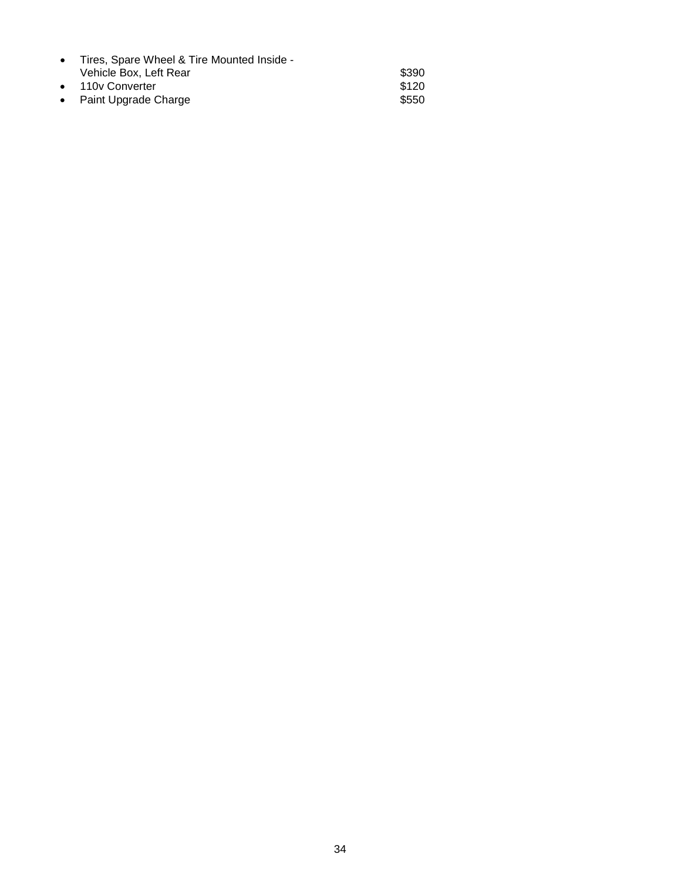| • Tires, Spare Wheel & Tire Mounted Inside - |       |
|----------------------------------------------|-------|
| Vehicle Box. Left Rear                       | \$390 |
| • 110y Converter                             | \$120 |
| • Paint Upgrade Charge                       | \$550 |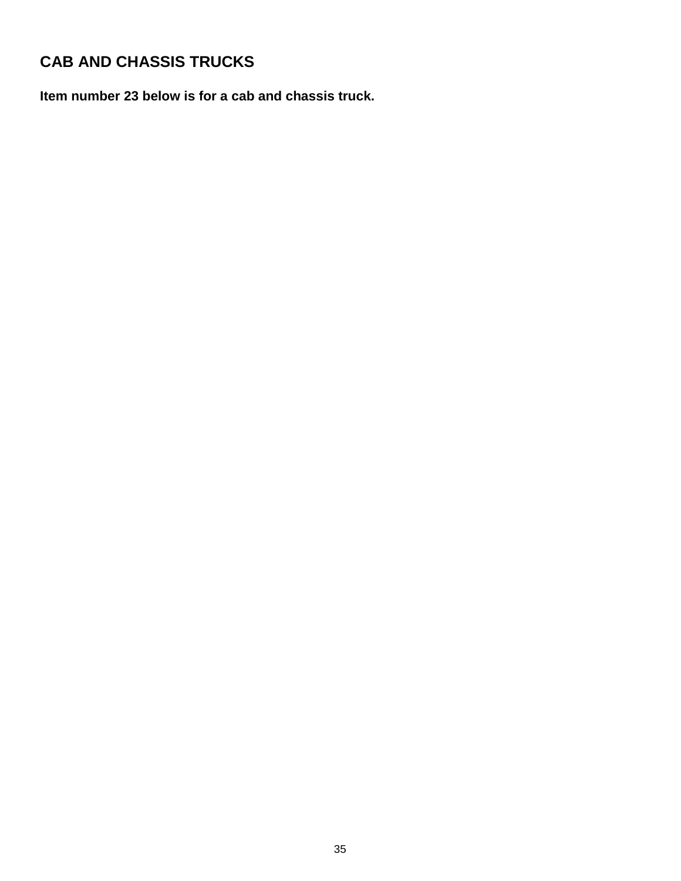# **CAB AND CHASSIS TRUCKS**

**Item number 23 below is for a cab and chassis truck.**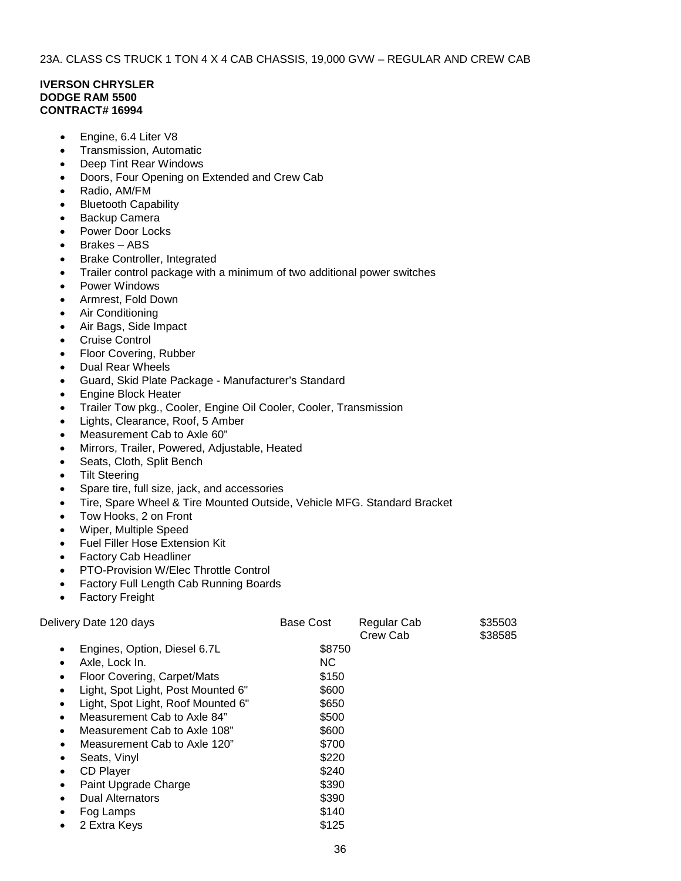### **IVERSON CHRYSLER DODGE RAM 5500 CONTRACT# 16994**

- Engine, 6.4 Liter V8
- Transmission, Automatic
- Deep Tint Rear Windows
- Doors, Four Opening on Extended and Crew Cab
- Radio, AM/FM
- Bluetooth Capability
- Backup Camera
- Power Door Locks
- Brakes ABS
- Brake Controller, Integrated
- Trailer control package with a minimum of two additional power switches
- Power Windows
- Armrest, Fold Down
- Air Conditioning
- Air Bags, Side Impact
- **Cruise Control**
- Floor Covering, Rubber
- Dual Rear Wheels
- Guard, Skid Plate Package Manufacturer's Standard
- Engine Block Heater
- Trailer Tow pkg., Cooler, Engine Oil Cooler, Cooler, Transmission
- Lights, Clearance, Roof, 5 Amber
- Measurement Cab to Axle 60"
- Mirrors, Trailer, Powered, Adjustable, Heated
- Seats, Cloth, Split Bench
- **Tilt Steering**
- Spare tire, full size, jack, and accessories
- Tire, Spare Wheel & Tire Mounted Outside, Vehicle MFG. Standard Bracket
- Tow Hooks, 2 on Front
- Wiper, Multiple Speed
- Fuel Filler Hose Extension Kit
- Factory Cab Headliner
- PTO-Provision W/Elec Throttle Control
- Factory Full Length Cab Running Boards
- Factory Freight

| Delivery Date 120 days                          | Base Cost | Regular Cab<br>Crew Cab | \$35503<br>\$38585 |
|-------------------------------------------------|-----------|-------------------------|--------------------|
| Engines, Option, Diesel 6.7L                    | \$8750    |                         |                    |
| Axle, Lock In.<br>٠                             | <b>NC</b> |                         |                    |
| Floor Covering, Carpet/Mats<br>٠                | \$150     |                         |                    |
| Light, Spot Light, Post Mounted 6"              | \$600     |                         |                    |
| Light, Spot Light, Roof Mounted 6"<br>$\bullet$ | \$650     |                         |                    |
| Measurement Cab to Axle 84"<br>٠                | \$500     |                         |                    |
| Measurement Cab to Axle 108"<br>$\bullet$       | \$600     |                         |                    |
| Measurement Cab to Axle 120"<br>٠               | \$700     |                         |                    |
| Seats, Vinyl<br>$\bullet$                       | \$220     |                         |                    |
| <b>CD Player</b><br>٠                           | \$240     |                         |                    |
| Paint Upgrade Charge<br>٠                       | \$390     |                         |                    |
| <b>Dual Alternators</b><br>٠                    | \$390     |                         |                    |
| Fog Lamps<br>٠                                  | \$140     |                         |                    |
| 2 Extra Keys                                    | \$125     |                         |                    |
|                                                 |           |                         |                    |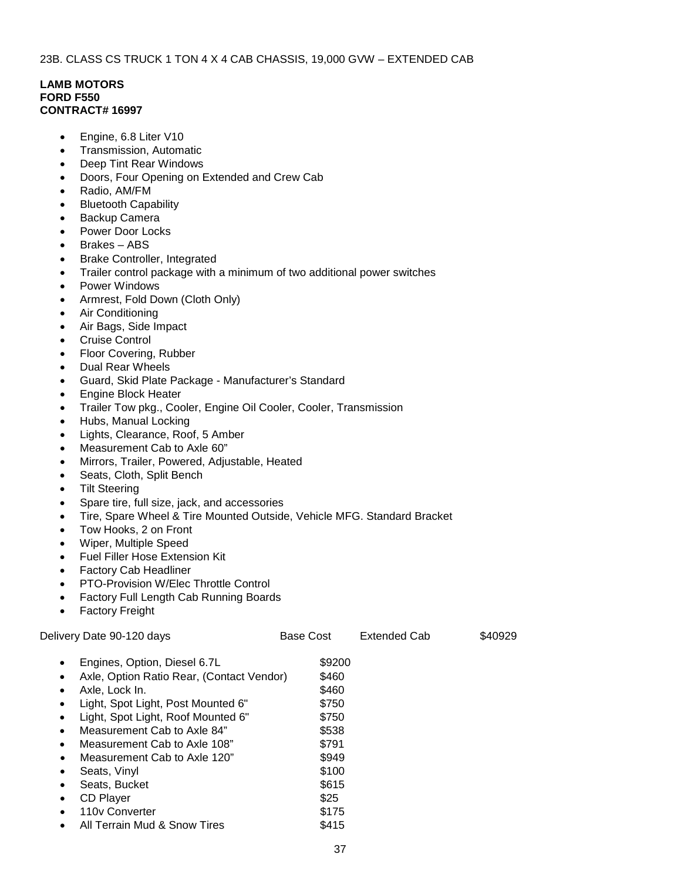#### 23B. CLASS CS TRUCK 1 TON 4 X 4 CAB CHASSIS, 19,000 GVW – EXTENDED CAB

### **LAMB MOTORS FORD F550 CONTRACT# 16997**

- Engine, 6.8 Liter V10
- Transmission, Automatic
- Deep Tint Rear Windows
- Doors, Four Opening on Extended and Crew Cab
- Radio, AM/FM
- Bluetooth Capability
- Backup Camera
- Power Door Locks
- Brakes ABS
- Brake Controller, Integrated
- Trailer control package with a minimum of two additional power switches
- Power Windows
- Armrest, Fold Down (Cloth Only)
- Air Conditioning
- Air Bags, Side Impact
- Cruise Control
- Floor Covering, Rubber
- Dual Rear Wheels
- Guard, Skid Plate Package Manufacturer's Standard
- Engine Block Heater
- Trailer Tow pkg., Cooler, Engine Oil Cooler, Cooler, Transmission
- Hubs, Manual Locking
- Lights, Clearance, Roof, 5 Amber
- Measurement Cab to Axle 60"
- Mirrors, Trailer, Powered, Adjustable, Heated
- Seats, Cloth, Split Bench
- **Tilt Steering**
- Spare tire, full size, jack, and accessories
- Tire, Spare Wheel & Tire Mounted Outside, Vehicle MFG. Standard Bracket
- Tow Hooks, 2 on Front
- Wiper, Multiple Speed
- Fuel Filler Hose Extension Kit
- Factory Cab Headliner
- PTO-Provision W/Elec Throttle Control
- Factory Full Length Cab Running Boards
- Factory Freight

| Delivery Date 90-120 days                              | <b>Base Cost</b> | <b>Extended Cab</b> | \$40929 |
|--------------------------------------------------------|------------------|---------------------|---------|
| Engines, Option, Diesel 6.7L<br>$\bullet$              | \$9200           |                     |         |
| Axle, Option Ratio Rear, (Contact Vendor)<br>$\bullet$ | \$460            |                     |         |
| Axle, Lock In.<br>٠                                    | \$460            |                     |         |
| Light, Spot Light, Post Mounted 6"<br>$\bullet$        | \$750            |                     |         |
| Light, Spot Light, Roof Mounted 6"<br>$\bullet$        | \$750            |                     |         |
| Measurement Cab to Axle 84"<br>$\bullet$               | \$538            |                     |         |
| Measurement Cab to Axle 108"<br>$\bullet$              | \$791            |                     |         |
| Measurement Cab to Axle 120"<br>$\bullet$              | \$949            |                     |         |
| Seats, Vinyl<br>٠                                      | \$100            |                     |         |
| Seats, Bucket<br>٠                                     | \$615            |                     |         |
| <b>CD Player</b><br>$\bullet$                          | \$25             |                     |         |
| 110 <sub>v</sub> Converter                             | \$175            |                     |         |
|                                                        |                  |                     |         |

All Terrain Mud & Snow Tires 6415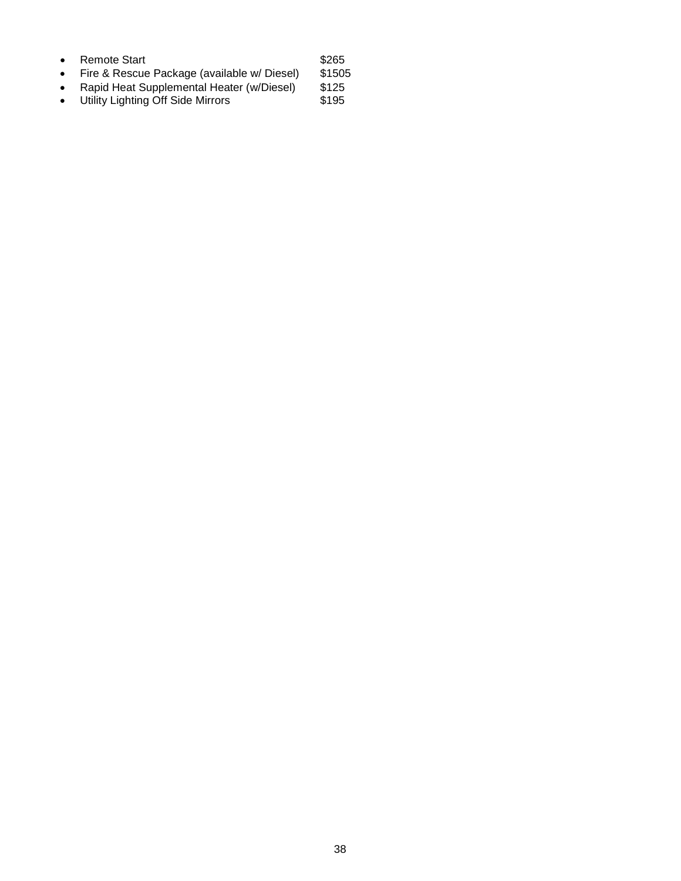| Remote Start                                | \$265 |
|---------------------------------------------|-------|
| Fire & Peccus Package (available w/ Diesel) | QABO  |

- Fire & Rescue Package (available w/ Diesel) \$1505<br>• Rapid Heat Supplemental Heater (w/Diesel) \$125
- Rapid Heat Supplemental Heater (w/Diesel) \$125
- Utility Lighting Off Side Mirrors **\$195**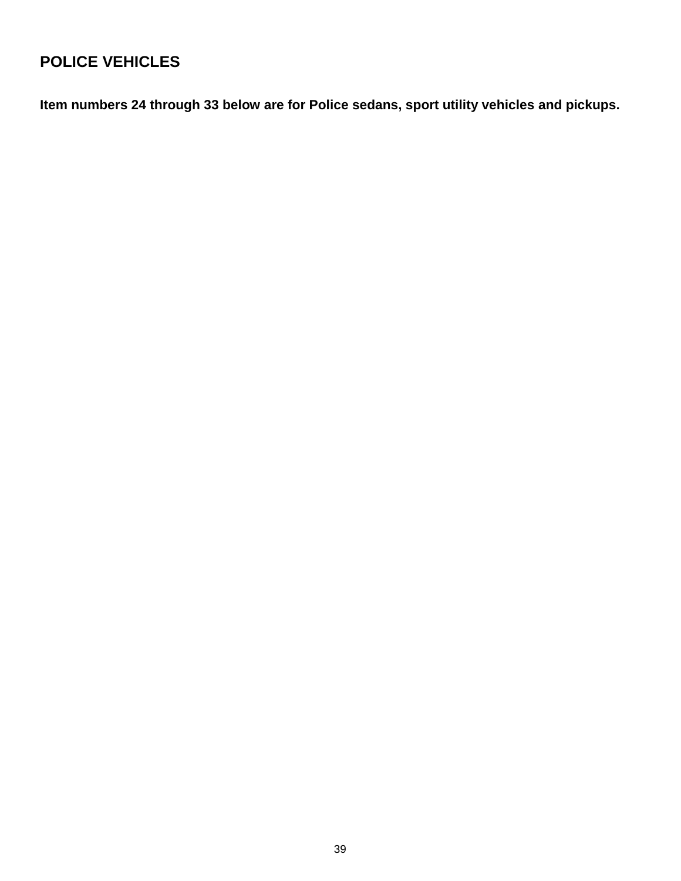# **POLICE VEHICLES**

**Item numbers 24 through 33 below are for Police sedans, sport utility vehicles and pickups.**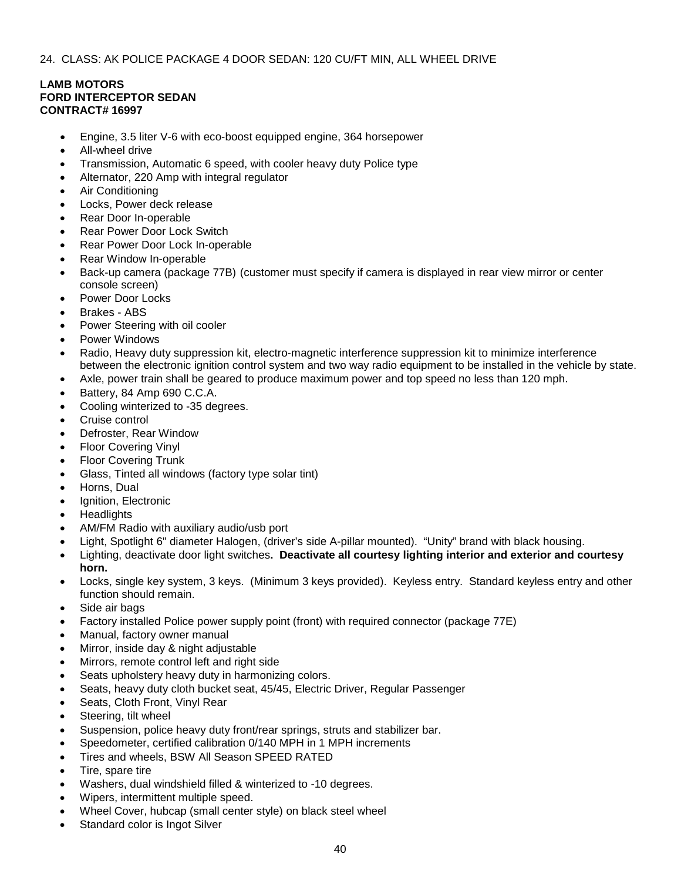### 24. CLASS: AK POLICE PACKAGE 4 DOOR SEDAN: 120 CU/FT MIN, ALL WHEEL DRIVE

# **LAMB MOTORS FORD INTERCEPTOR SEDAN CONTRACT# 16997**

- Engine, 3.5 liter V-6 with eco-boost equipped engine, 364 horsepower
- All-wheel drive
- Transmission, Automatic 6 speed, with cooler heavy duty Police type
- Alternator, 220 Amp with integral regulator
- Air Conditioning
- Locks, Power deck release
- Rear Door In-operable
- Rear Power Door Lock Switch
- Rear Power Door Lock In-operable
- Rear Window In-operable
- Back-up camera (package 77B) (customer must specify if camera is displayed in rear view mirror or center console screen)
- Power Door Locks
- Brakes ABS
- Power Steering with oil cooler
- Power Windows
- Radio, Heavy duty suppression kit, electro-magnetic interference suppression kit to minimize interference between the electronic ignition control system and two way radio equipment to be installed in the vehicle by state.
- Axle, power train shall be geared to produce maximum power and top speed no less than 120 mph.
- Battery, 84 Amp 690 C.C.A.
- Cooling winterized to -35 degrees.
- Cruise control
- Defroster, Rear Window
- Floor Covering Vinyl
- **Floor Covering Trunk**
- Glass, Tinted all windows (factory type solar tint)
- Horns, Dual
- Ignition, Electronic
- **Headlights**
- AM/FM Radio with auxiliary audio/usb port
- Light, Spotlight 6" diameter Halogen, (driver's side A-pillar mounted). "Unity" brand with black housing.
- Lighting, deactivate door light switches**. Deactivate all courtesy lighting interior and exterior and courtesy horn.**
- Locks, single key system, 3 keys. (Minimum 3 keys provided). Keyless entry. Standard keyless entry and other function should remain.
- Side air bags
- Factory installed Police power supply point (front) with required connector (package 77E)
- Manual, factory owner manual
- Mirror, inside day & night adjustable
- Mirrors, remote control left and right side
- Seats upholstery heavy duty in harmonizing colors.
- Seats, heavy duty cloth bucket seat, 45/45, Electric Driver, Regular Passenger
- Seats, Cloth Front, Vinyl Rear
- Steering, tilt wheel
- Suspension, police heavy duty front/rear springs, struts and stabilizer bar.
- Speedometer, certified calibration 0/140 MPH in 1 MPH increments
- Tires and wheels, BSW All Season SPEED RATED
- Tire, spare tire
- Washers, dual windshield filled & winterized to -10 degrees.
- Wipers, intermittent multiple speed.
- Wheel Cover, hubcap (small center style) on black steel wheel
- Standard color is Ingot Silver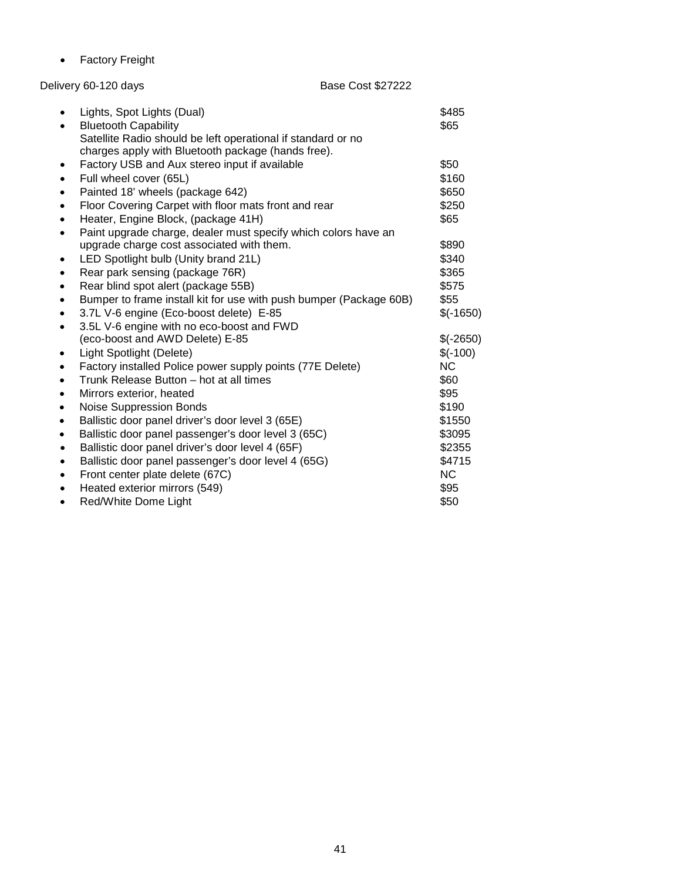• Factory Freight

# Delivery 60-120 days Base Cost \$27222

| $\bullet$ | Lights, Spot Lights (Dual)                                         | \$485      |
|-----------|--------------------------------------------------------------------|------------|
| $\bullet$ | <b>Bluetooth Capability</b>                                        | \$65       |
|           | Satellite Radio should be left operational if standard or no       |            |
|           | charges apply with Bluetooth package (hands free).                 |            |
| $\bullet$ | Factory USB and Aux stereo input if available                      | \$50       |
| $\bullet$ | Full wheel cover (65L)                                             | \$160      |
| $\bullet$ | Painted 18' wheels (package 642)                                   | \$650      |
| $\bullet$ | Floor Covering Carpet with floor mats front and rear               | \$250      |
| $\bullet$ | Heater, Engine Block, (package 41H)                                | \$65       |
| $\bullet$ | Paint upgrade charge, dealer must specify which colors have an     |            |
|           | upgrade charge cost associated with them.                          | \$890      |
| $\bullet$ | LED Spotlight bulb (Unity brand 21L)                               | \$340      |
| $\bullet$ | Rear park sensing (package 76R)                                    | \$365      |
| $\bullet$ | Rear blind spot alert (package 55B)                                | \$575      |
| $\bullet$ | Bumper to frame install kit for use with push bumper (Package 60B) | \$55       |
| $\bullet$ | 3.7L V-6 engine (Eco-boost delete) E-85                            | $$(-1650)$ |
| $\bullet$ | 3.5L V-6 engine with no eco-boost and FWD                          |            |
|           | (eco-boost and AWD Delete) E-85                                    | $$(-2650)$ |
| $\bullet$ | Light Spotlight (Delete)                                           | $$(-100)$  |
| $\bullet$ | Factory installed Police power supply points (77E Delete)          | <b>NC</b>  |
| $\bullet$ | Trunk Release Button - hot at all times                            | \$60       |
| $\bullet$ | Mirrors exterior, heated                                           | \$95       |
| $\bullet$ | Noise Suppression Bonds                                            | \$190      |
| $\bullet$ | Ballistic door panel driver's door level 3 (65E)                   | \$1550     |
| $\bullet$ | Ballistic door panel passenger's door level 3 (65C)                | \$3095     |
| $\bullet$ | Ballistic door panel driver's door level 4 (65F)                   | \$2355     |
| $\bullet$ | Ballistic door panel passenger's door level 4 (65G)                | \$4715     |
| $\bullet$ | Front center plate delete (67C)                                    | <b>NC</b>  |
| $\bullet$ | Heated exterior mirrors (549)                                      | \$95       |
| ٠         | Red/White Dome Light                                               | \$50       |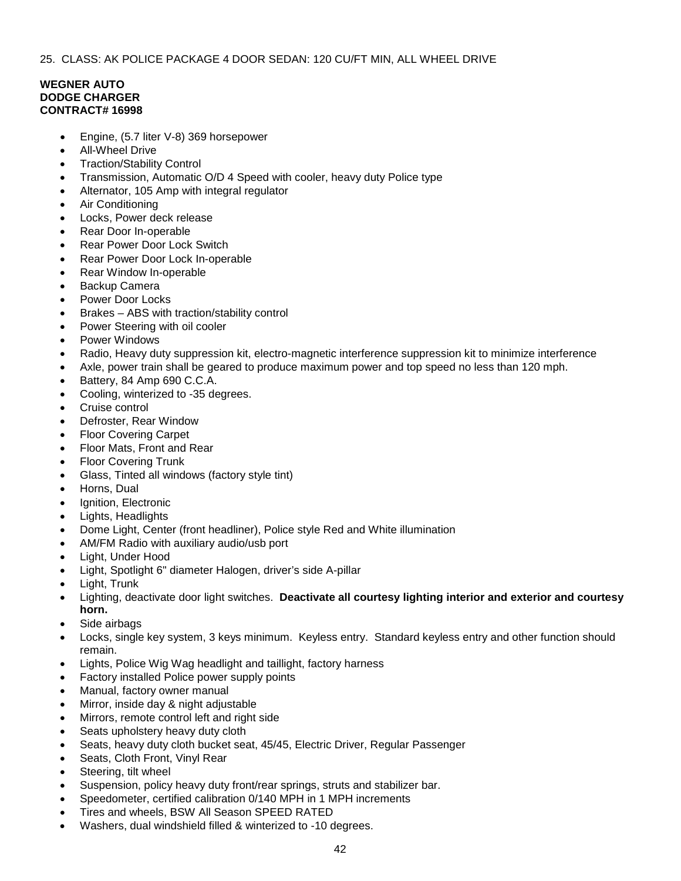#### **WEGNER AUTO DODGE CHARGER CONTRACT# 16998**

- Engine, (5.7 liter V-8) 369 horsepower
- All-Wheel Drive
- Traction/Stability Control
- Transmission, Automatic O/D 4 Speed with cooler, heavy duty Police type
- Alternator, 105 Amp with integral regulator
- Air Conditioning
- Locks, Power deck release
- Rear Door In-operable
- Rear Power Door Lock Switch
- Rear Power Door Lock In-operable
- Rear Window In-operable
- Backup Camera
- Power Door Locks
- Brakes ABS with traction/stability control
- Power Steering with oil cooler
- Power Windows
- Radio, Heavy duty suppression kit, electro-magnetic interference suppression kit to minimize interference
- Axle, power train shall be geared to produce maximum power and top speed no less than 120 mph.
- Battery, 84 Amp 690 C.C.A.
- Cooling, winterized to -35 degrees.
- Cruise control
- Defroster, Rear Window
- Floor Covering Carpet
- Floor Mats, Front and Rear
- Floor Covering Trunk
- Glass, Tinted all windows (factory style tint)
- Horns, Dual
- Ignition, Electronic
- Lights, Headlights
- Dome Light, Center (front headliner), Police style Red and White illumination
- AM/FM Radio with auxiliary audio/usb port
- Light, Under Hood
- Light, Spotlight 6" diameter Halogen, driver's side A-pillar
- Light, Trunk
- Lighting, deactivate door light switches. **Deactivate all courtesy lighting interior and exterior and courtesy horn.**
- Side airbags
- Locks, single key system, 3 keys minimum. Keyless entry. Standard keyless entry and other function should remain.
- Lights, Police Wig Wag headlight and taillight, factory harness
- Factory installed Police power supply points
- Manual, factory owner manual
- Mirror, inside day & night adjustable
- Mirrors, remote control left and right side
- Seats upholstery heavy duty cloth
- Seats, heavy duty cloth bucket seat, 45/45, Electric Driver, Regular Passenger
- Seats, Cloth Front, Vinyl Rear
- Steering, tilt wheel
- Suspension, policy heavy duty front/rear springs, struts and stabilizer bar.
- Speedometer, certified calibration 0/140 MPH in 1 MPH increments
- Tires and wheels, BSW All Season SPEED RATED
- Washers, dual windshield filled & winterized to -10 degrees.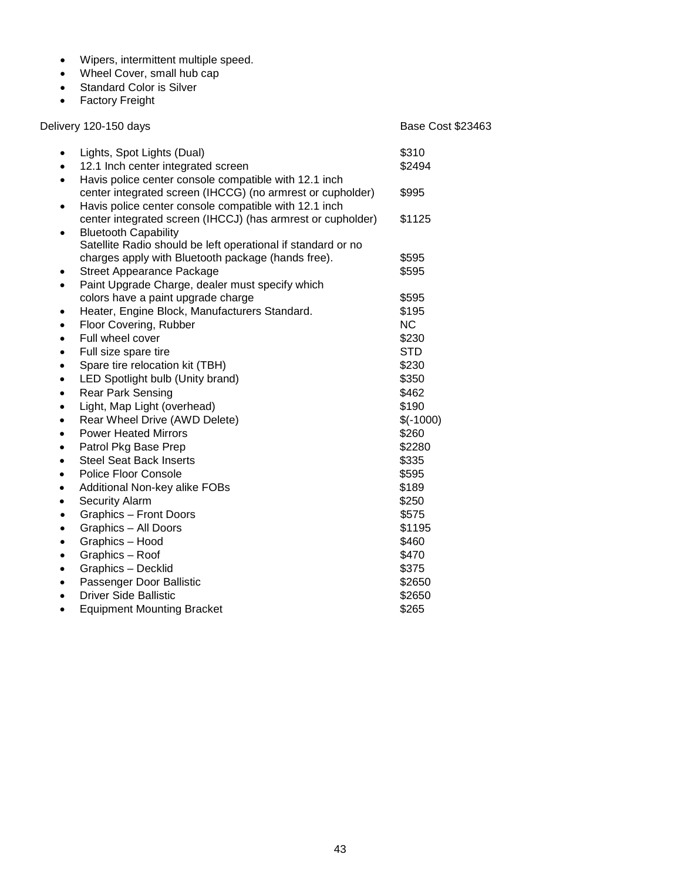- Wipers, intermittent multiple speed.
- Wheel Cover, small hub cap
- Standard Color is Silver
- Factory Freight

Delivery 120-150 days **Base Cost \$23463** 

| $\bullet$ | Lights, Spot Lights (Dual)                                                                                          | \$310      |
|-----------|---------------------------------------------------------------------------------------------------------------------|------------|
|           | 12.1 Inch center integrated screen                                                                                  | \$2494     |
| $\bullet$ | Havis police center console compatible with 12.1 inch<br>center integrated screen (IHCCG) (no armrest or cupholder) | \$995      |
|           | Havis police center console compatible with 12.1 inch                                                               |            |
|           | center integrated screen (IHCCJ) (has armrest or cupholder)                                                         | \$1125     |
|           | <b>Bluetooth Capability</b>                                                                                         |            |
|           | Satellite Radio should be left operational if standard or no                                                        |            |
|           | charges apply with Bluetooth package (hands free).                                                                  | \$595      |
|           | <b>Street Appearance Package</b>                                                                                    | \$595      |
|           | Paint Upgrade Charge, dealer must specify which                                                                     |            |
|           | colors have a paint upgrade charge                                                                                  | \$595      |
| $\bullet$ | Heater, Engine Block, Manufacturers Standard.                                                                       | \$195      |
|           | Floor Covering, Rubber                                                                                              | <b>NC</b>  |
| $\bullet$ | Full wheel cover                                                                                                    | \$230      |
|           | Full size spare tire                                                                                                | <b>STD</b> |
| $\bullet$ | Spare tire relocation kit (TBH)                                                                                     | \$230      |
|           | LED Spotlight bulb (Unity brand)                                                                                    | \$350      |
| ٠         | <b>Rear Park Sensing</b>                                                                                            | \$462      |
| ٠         | Light, Map Light (overhead)                                                                                         | \$190      |
| $\bullet$ | Rear Wheel Drive (AWD Delete)                                                                                       | $$(-1000)$ |
|           | <b>Power Heated Mirrors</b>                                                                                         | \$260      |
| $\bullet$ | Patrol Pkg Base Prep                                                                                                | \$2280     |
|           | <b>Steel Seat Back Inserts</b>                                                                                      | \$335      |
| $\bullet$ | Police Floor Console                                                                                                | \$595      |
| ٠         | Additional Non-key alike FOBs                                                                                       | \$189      |
| ٠         | <b>Security Alarm</b>                                                                                               | \$250      |
| $\bullet$ | <b>Graphics - Front Doors</b>                                                                                       | \$575      |
| $\bullet$ | Graphics - All Doors                                                                                                | \$1195     |
| $\bullet$ | Graphics - Hood                                                                                                     | \$460      |
| $\bullet$ | Graphics - Roof                                                                                                     | \$470      |
|           | Graphics - Decklid                                                                                                  | \$375      |
|           | Passenger Door Ballistic                                                                                            | \$2650     |
|           | <b>Driver Side Ballistic</b>                                                                                        | \$2650     |
|           | <b>Equipment Mounting Bracket</b>                                                                                   | \$265      |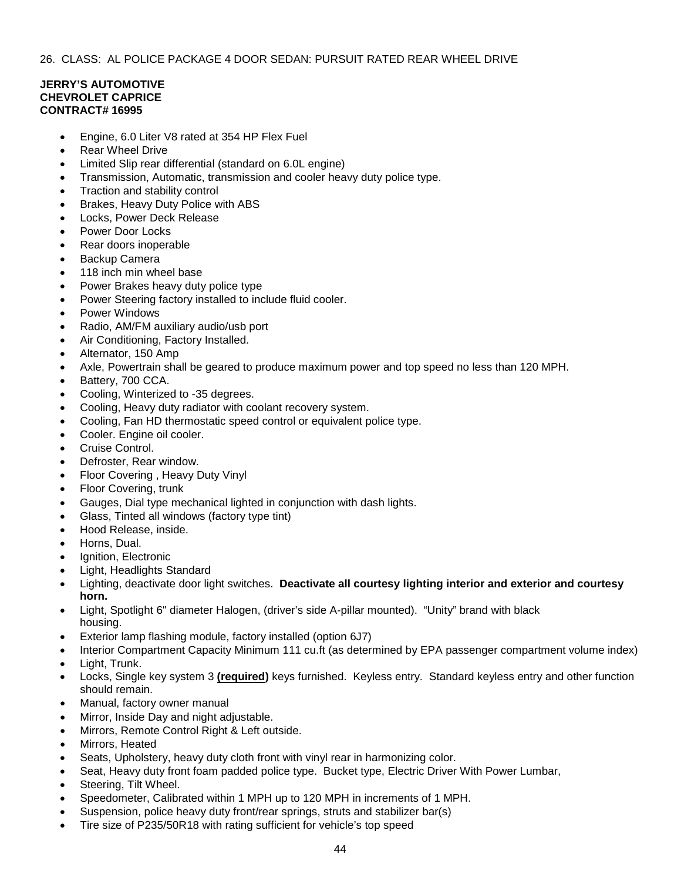## **JERRY'S AUTOMOTIVE CHEVROLET CAPRICE CONTRACT# 16995**

- Engine, 6.0 Liter V8 rated at 354 HP Flex Fuel
- **Rear Wheel Drive**
- Limited Slip rear differential (standard on 6.0L engine)
- Transmission, Automatic, transmission and cooler heavy duty police type.
- Traction and stability control
- Brakes, Heavy Duty Police with ABS
- Locks, Power Deck Release
- Power Door Locks
- Rear doors inoperable
- Backup Camera
- 118 inch min wheel base
- Power Brakes heavy duty police type
- Power Steering factory installed to include fluid cooler.
- Power Windows
- Radio, AM/FM auxiliary audio/usb port
- Air Conditioning, Factory Installed.
- Alternator, 150 Amp
- Axle, Powertrain shall be geared to produce maximum power and top speed no less than 120 MPH.
- Battery, 700 CCA.
- Cooling, Winterized to -35 degrees.
- Cooling, Heavy duty radiator with coolant recovery system.
- Cooling, Fan HD thermostatic speed control or equivalent police type.
- Cooler. Engine oil cooler.
- Cruise Control.
- Defroster, Rear window.
- Floor Covering , Heavy Duty Vinyl
- Floor Covering, trunk
- Gauges, Dial type mechanical lighted in conjunction with dash lights.
- Glass, Tinted all windows (factory type tint)
- Hood Release, inside.
- Horns, Dual.
- Ignition, Electronic
- Light, Headlights Standard
- Lighting, deactivate door light switches. **Deactivate all courtesy lighting interior and exterior and courtesy horn.**
- Light, Spotlight 6" diameter Halogen, (driver's side A-pillar mounted). "Unity" brand with black housing.
- Exterior lamp flashing module, factory installed (option 6J7)
- Interior Compartment Capacity Minimum 111 cu.ft (as determined by EPA passenger compartment volume index)
- Light, Trunk.
- Locks, Single key system 3 **(required)** keys furnished. Keyless entry. Standard keyless entry and other function should remain.
- Manual, factory owner manual
- Mirror, Inside Day and night adjustable.
- Mirrors, Remote Control Right & Left outside.
- Mirrors, Heated
- Seats, Upholstery, heavy duty cloth front with vinyl rear in harmonizing color.
- Seat, Heavy duty front foam padded police type. Bucket type, Electric Driver With Power Lumbar,
- Steering, Tilt Wheel.
- Speedometer, Calibrated within 1 MPH up to 120 MPH in increments of 1 MPH.
- Suspension, police heavy duty front/rear springs, struts and stabilizer bar(s)
- Tire size of P235/50R18 with rating sufficient for vehicle's top speed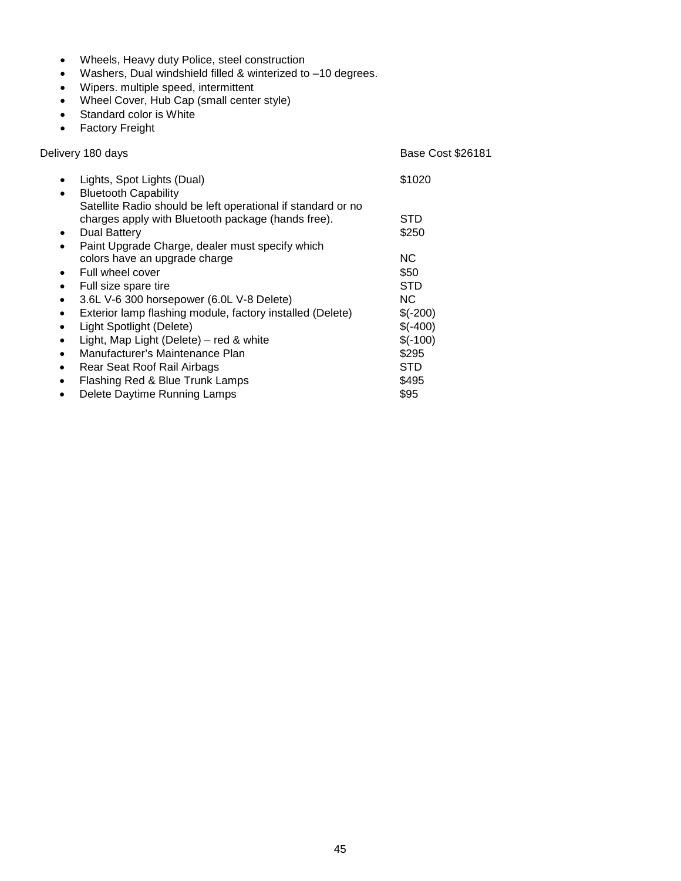- Wheels, Heavy duty Police, steel construction
- Washers, Dual windshield filled & winterized to –10 degrees.
- Wipers. multiple speed, intermittent
- Wheel Cover, Hub Cap (small center style)
- Standard color is White
- Factory Freight

| Delivery 180 days                                                                                                                               | <b>Base Cost \$26181</b> |
|-------------------------------------------------------------------------------------------------------------------------------------------------|--------------------------|
| Lights, Spot Lights (Dual)<br><b>Bluetooth Capability</b><br>$\bullet$                                                                          | \$1020                   |
| Satellite Radio should be left operational if standard or no<br>charges apply with Bluetooth package (hands free).<br>Dual Battery<br>$\bullet$ | STD<br>\$250             |
| Paint Upgrade Charge, dealer must specify which<br>$\bullet$<br>colors have an upgrade charge                                                   | NC.                      |
| Full wheel cover<br>$\bullet$<br>Full size spare tire<br>$\bullet$                                                                              | \$50<br><b>STD</b>       |
| 3.6L V-6 300 horsepower (6.0L V-8 Delete)<br>$\bullet$<br>Exterior lamp flashing module, factory installed (Delete)<br>$\bullet$                | NC.<br>$$(-200)$         |
| Light Spotlight (Delete)<br>$\bullet$<br>Light, Map Light (Delete) – red & white<br>٠                                                           | $$(-400)$<br>$$(-100)$   |
| Manufacturer's Maintenance Plan<br>$\bullet$<br>Rear Seat Roof Rail Airbags<br>$\bullet$                                                        | \$295<br>STD             |
| Flashing Red & Blue Trunk Lamps<br>$\bullet$<br>Delete Daytime Running Lamps<br>$\bullet$                                                       | \$495<br>\$95            |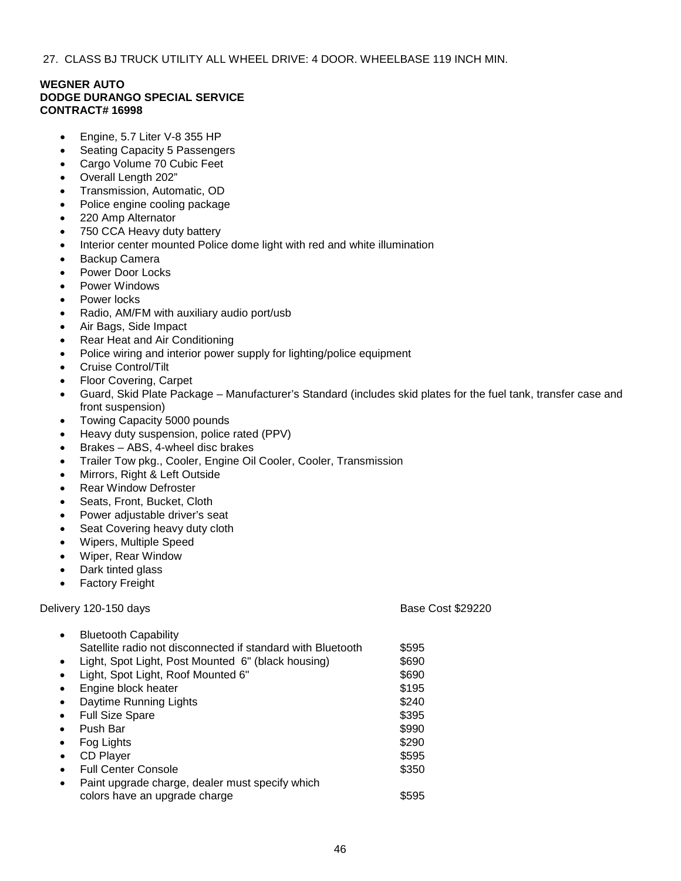27. CLASS BJ TRUCK UTILITY ALL WHEEL DRIVE: 4 DOOR. WHEELBASE 119 INCH MIN.

# **WEGNER AUTO DODGE DURANGO SPECIAL SERVICE CONTRACT# 16998**

- Engine, 5.7 Liter V-8 355 HP
- Seating Capacity 5 Passengers
- Cargo Volume 70 Cubic Feet
- Overall Length 202"
- Transmission, Automatic, OD
- Police engine cooling package
- 220 Amp Alternator
- 750 CCA Heavy duty battery
- Interior center mounted Police dome light with red and white illumination
- Backup Camera
- Power Door Locks
- Power Windows
- Power locks
- Radio, AM/FM with auxiliary audio port/usb
- Air Bags, Side Impact
- Rear Heat and Air Conditioning
- Police wiring and interior power supply for lighting/police equipment
- Cruise Control/Tilt
- Floor Covering, Carpet
- Guard, Skid Plate Package Manufacturer's Standard (includes skid plates for the fuel tank, transfer case and front suspension)
- Towing Capacity 5000 pounds
- Heavy duty suspension, police rated (PPV)
- Brakes ABS, 4-wheel disc brakes
- Trailer Tow pkg., Cooler, Engine Oil Cooler, Cooler, Transmission
- Mirrors, Right & Left Outside
- **Rear Window Defroster**
- Seats, Front, Bucket, Cloth
- Power adjustable driver's seat
- Seat Covering heavy duty cloth
- Wipers, Multiple Speed
- Wiper, Rear Window
- Dark tinted glass
- Factory Freight

Delivery 120-150 days **Base Cost \$29220** 

|           | <b>Bluetooth Capability</b>                                 |       |  |
|-----------|-------------------------------------------------------------|-------|--|
|           | Satellite radio not disconnected if standard with Bluetooth | \$595 |  |
|           | Light, Spot Light, Post Mounted 6" (black housing)          | \$690 |  |
|           | Light, Spot Light, Roof Mounted 6"                          | \$690 |  |
| $\bullet$ | Engine block heater                                         | \$195 |  |
|           | Daytime Running Lights                                      | \$240 |  |
|           | <b>Full Size Spare</b>                                      | \$395 |  |
|           | Push Bar                                                    | \$990 |  |
|           | Fog Lights                                                  | \$290 |  |
| $\bullet$ | <b>CD Player</b>                                            | \$595 |  |
| $\bullet$ | <b>Full Center Console</b>                                  | \$350 |  |
| $\bullet$ | Paint upgrade charge, dealer must specify which             |       |  |
|           | colors have an upgrade charge                               | \$595 |  |
|           |                                                             |       |  |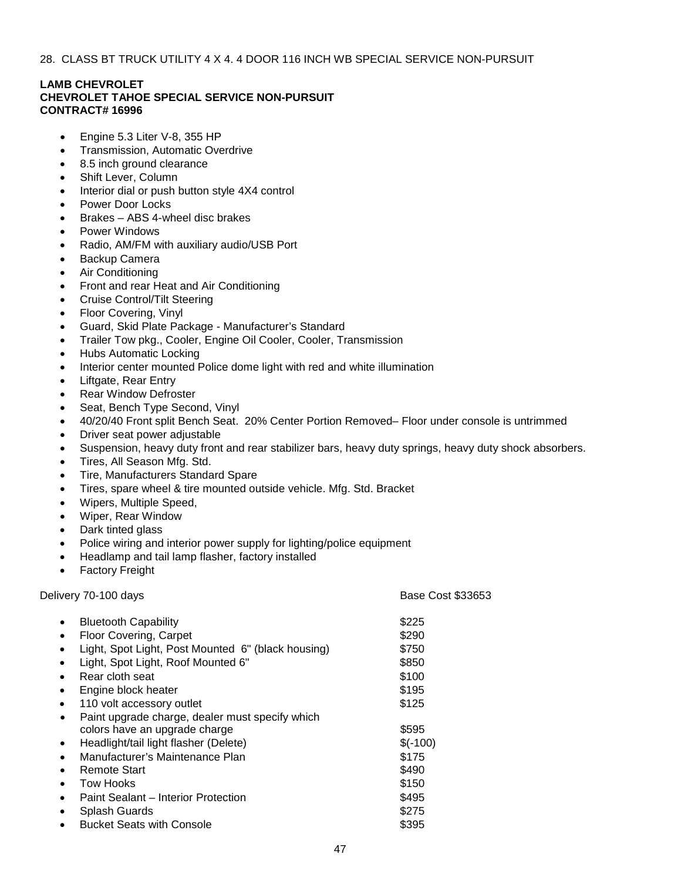# **LAMB CHEVROLET CHEVROLET TAHOE SPECIAL SERVICE NON-PURSUIT CONTRACT# 16996**

- Engine 5.3 Liter V-8, 355 HP
- Transmission, Automatic Overdrive
- 8.5 inch ground clearance
- Shift Lever, Column
- Interior dial or push button style 4X4 control
- Power Door Locks
- Brakes ABS 4-wheel disc brakes
- Power Windows
- Radio, AM/FM with auxiliary audio/USB Port
- Backup Camera
- Air Conditioning
- Front and rear Heat and Air Conditioning
- Cruise Control/Tilt Steering
- Floor Covering, Vinyl
- Guard, Skid Plate Package Manufacturer's Standard
- Trailer Tow pkg., Cooler, Engine Oil Cooler, Cooler, Transmission
- Hubs Automatic Locking
- Interior center mounted Police dome light with red and white illumination
- Liftgate, Rear Entry
- **Rear Window Defroster**
- Seat, Bench Type Second, Vinyl
- 40/20/40 Front split Bench Seat. 20% Center Portion Removed– Floor under console is untrimmed
- Driver seat power adjustable
- Suspension, heavy duty front and rear stabilizer bars, heavy duty springs, heavy duty shock absorbers.
- Tires, All Season Mfg. Std.
- Tire, Manufacturers Standard Spare
- Tires, spare wheel & tire mounted outside vehicle. Mfg. Std. Bracket
- Wipers, Multiple Speed,
- Wiper, Rear Window
- Dark tinted glass
- Police wiring and interior power supply for lighting/police equipment
- Headlamp and tail lamp flasher, factory installed
- **Factory Freight**

Delivery 70-100 days **Base Cost \$33653** Delivery 70-100 days **• Bluetooth Capability 6225** Floor Covering, Carpet \$290 Light, Spot Light, Post Mounted 6" (black housing) \$750 Light, Spot Light, Roof Mounted 6" \$850 **Property** Rear cloth seat  $\sim$  \$100 **Engine block heater \$195** 110 volt accessory outlet \$125 Paint upgrade charge, dealer must specify which colors have an upgrade charge  $$595$ • Headlight/tail light flasher (Delete) \$(-100) • Manufacturer's Maintenance Plan \$175 **• Remote Start \$490** Fow Hooks \$150 Paint Sealant – Interior Protection **\$495** • Splash Guards \$275 **Product Seats with Console 5395**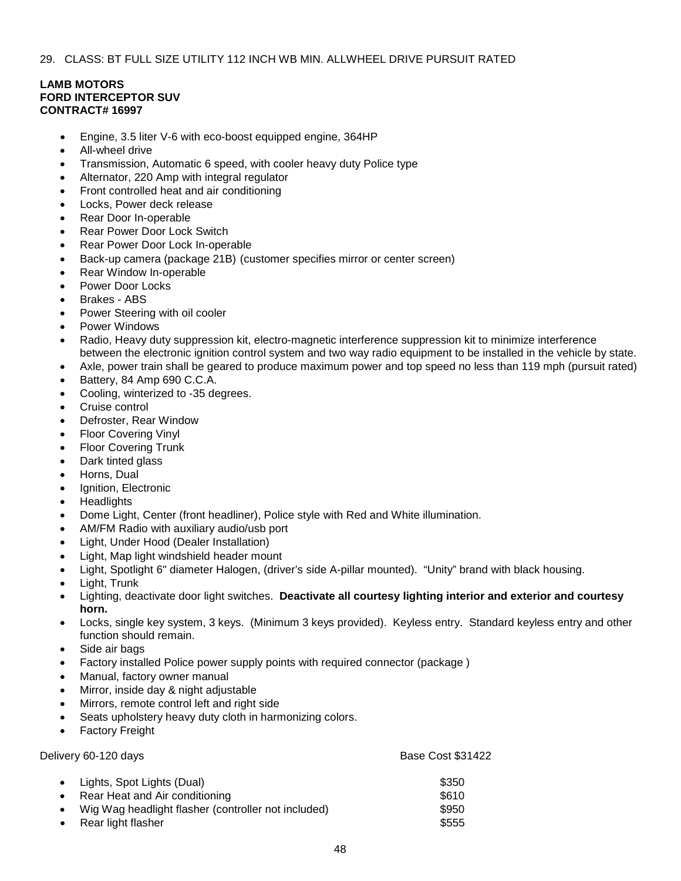# **LAMB MOTORS FORD INTERCEPTOR SUV CONTRACT# 16997**

- Engine, 3.5 liter V-6 with eco-boost equipped engine, 364HP
- All-wheel drive
- Transmission, Automatic 6 speed, with cooler heavy duty Police type
- Alternator, 220 Amp with integral regulator
- Front controlled heat and air conditioning
- Locks, Power deck release
- Rear Door In-operable
- Rear Power Door Lock Switch
- Rear Power Door Lock In-operable
- Back-up camera (package 21B) (customer specifies mirror or center screen)
- Rear Window In-operable
- Power Door Locks
- Brakes ABS
- Power Steering with oil cooler
- Power Windows
- Radio, Heavy duty suppression kit, electro-magnetic interference suppression kit to minimize interference between the electronic ignition control system and two way radio equipment to be installed in the vehicle by state.
- Axle, power train shall be geared to produce maximum power and top speed no less than 119 mph (pursuit rated)
- Battery, 84 Amp 690 C.C.A.
- Cooling, winterized to -35 degrees.
- Cruise control
- Defroster, Rear Window
- Floor Covering Vinyl
- **Floor Covering Trunk**
- Dark tinted glass
- Horns, Dual
- Ignition, Electronic
- **Headlights**
- Dome Light, Center (front headliner), Police style with Red and White illumination.
- AM/FM Radio with auxiliary audio/usb port
- Light, Under Hood (Dealer Installation)
- Light, Map light windshield header mount
- Light, Spotlight 6" diameter Halogen, (driver's side A-pillar mounted). "Unity" brand with black housing.
- Light, Trunk
- Lighting, deactivate door light switches. **Deactivate all courtesy lighting interior and exterior and courtesy horn.**
- Locks, single key system, 3 keys. (Minimum 3 keys provided). Keyless entry. Standard keyless entry and other function should remain.
- Side air bags
- Factory installed Police power supply points with required connector (package )
- Manual, factory owner manual
- Mirror, inside day & night adjustable
- Mirrors, remote control left and right side
- Seats upholstery heavy duty cloth in harmonizing colors.
- **Factory Freight**

Delivery 60-120 days **Base Cost \$31422** Cost \$31422 • Lights, Spot Lights (Dual) \$350 **Property** Rear Heat and Air conditioning the state of the state  $$610$ Wig Wag headlight flasher (controller not included) \$950 **Property Internal Superior Contract Contract Superior Contract Contract Superior S555**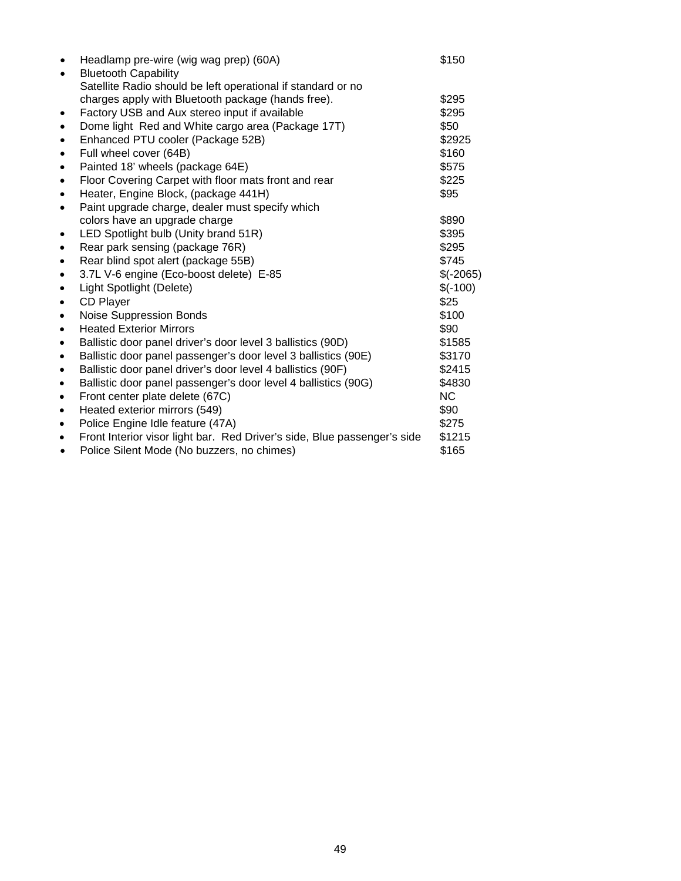| $\bullet$ | Headlamp pre-wire (wig wag prep) (60A)                                                      | \$150      |
|-----------|---------------------------------------------------------------------------------------------|------------|
| $\bullet$ | <b>Bluetooth Capability</b><br>Satellite Radio should be left operational if standard or no |            |
|           | charges apply with Bluetooth package (hands free).                                          | \$295      |
|           | Factory USB and Aux stereo input if available                                               | \$295      |
| $\bullet$ |                                                                                             | \$50       |
|           | Dome light Red and White cargo area (Package 17T)                                           |            |
| $\bullet$ | Enhanced PTU cooler (Package 52B)                                                           | \$2925     |
| $\bullet$ | Full wheel cover (64B)                                                                      | \$160      |
| $\bullet$ | Painted 18' wheels (package 64E)                                                            | \$575      |
| $\bullet$ | Floor Covering Carpet with floor mats front and rear                                        | \$225      |
| $\bullet$ | Heater, Engine Block, (package 441H)                                                        | \$95       |
| $\bullet$ | Paint upgrade charge, dealer must specify which                                             |            |
|           | colors have an upgrade charge                                                               | \$890      |
| $\bullet$ | LED Spotlight bulb (Unity brand 51R)                                                        | \$395      |
| $\bullet$ | Rear park sensing (package 76R)                                                             | \$295      |
| $\bullet$ | Rear blind spot alert (package 55B)                                                         | \$745      |
| $\bullet$ | 3.7L V-6 engine (Eco-boost delete) E-85                                                     | $$(-2065)$ |
| $\bullet$ | Light Spotlight (Delete)                                                                    | $$(-100)$  |
| $\bullet$ | <b>CD Player</b>                                                                            | \$25       |
| $\bullet$ | <b>Noise Suppression Bonds</b>                                                              | \$100      |
| $\bullet$ | <b>Heated Exterior Mirrors</b>                                                              | \$90       |
| $\bullet$ | Ballistic door panel driver's door level 3 ballistics (90D)                                 | \$1585     |
| $\bullet$ | Ballistic door panel passenger's door level 3 ballistics (90E)                              | \$3170     |
| $\bullet$ | Ballistic door panel driver's door level 4 ballistics (90F)                                 | \$2415     |
| $\bullet$ | Ballistic door panel passenger's door level 4 ballistics (90G)                              | \$4830     |
| $\bullet$ | Front center plate delete (67C)                                                             | NC.        |
| $\bullet$ | Heated exterior mirrors (549)                                                               | \$90       |
| $\bullet$ | Police Engine Idle feature (47A)                                                            | \$275      |
| $\bullet$ | Front Interior visor light bar. Red Driver's side, Blue passenger's side                    | \$1215     |
| ٠         | Police Silent Mode (No buzzers, no chimes)                                                  | \$165      |
|           |                                                                                             |            |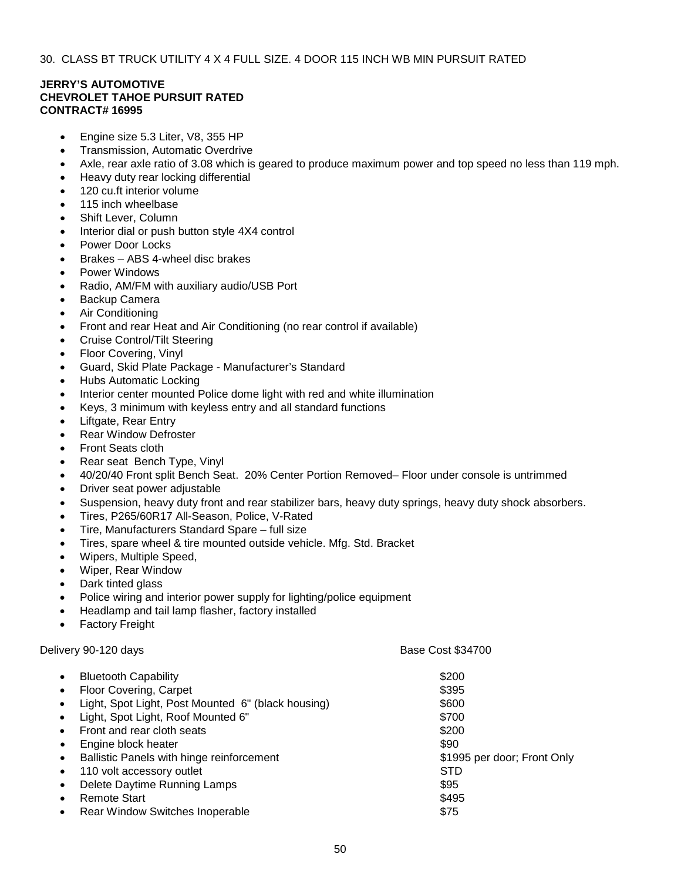# **JERRY'S AUTOMOTIVE CHEVROLET TAHOE PURSUIT RATED CONTRACT# 16995**

- Engine size 5.3 Liter, V8, 355 HP
- Transmission, Automatic Overdrive
- Axle, rear axle ratio of 3.08 which is geared to produce maximum power and top speed no less than 119 mph.
- Heavy duty rear locking differential
- 120 cu.ft interior volume
- 115 inch wheelbase
- Shift Lever, Column
- Interior dial or push button style 4X4 control
- Power Door Locks
- Brakes ABS 4-wheel disc brakes
- Power Windows
- Radio, AM/FM with auxiliary audio/USB Port
- Backup Camera
- Air Conditioning
- Front and rear Heat and Air Conditioning (no rear control if available)
- Cruise Control/Tilt Steering
- Floor Covering, Vinyl
- Guard, Skid Plate Package Manufacturer's Standard
- Hubs Automatic Locking
- Interior center mounted Police dome light with red and white illumination
- Keys, 3 minimum with keyless entry and all standard functions
- Liftgate, Rear Entry
- **Rear Window Defroster**
- Front Seats cloth
- Rear seat Bench Type, Vinyl
- 40/20/40 Front split Bench Seat. 20% Center Portion Removed– Floor under console is untrimmed
- Driver seat power adjustable
- Suspension, heavy duty front and rear stabilizer bars, heavy duty springs, heavy duty shock absorbers.
- Tires, P265/60R17 All-Season, Police, V-Rated
- Tire, Manufacturers Standard Spare full size
- Tires, spare wheel & tire mounted outside vehicle. Mfg. Std. Bracket
- Wipers, Multiple Speed,
- Wiper, Rear Window
- Dark tinted glass
- Police wiring and interior power supply for lighting/police equipment
- Headlamp and tail lamp flasher, factory installed
- **Factory Freight**

# Delivery 90-120 days **Base Cost \$34700** Delivery 90-120 days

| $\bullet$<br>$\bullet$<br>$\bullet$<br>$\bullet$<br>$\bullet$<br>$\bullet$<br>$\bullet$<br>$\bullet$<br>$\bullet$<br>$\bullet$ | <b>Bluetooth Capability</b><br>Floor Covering, Carpet<br>Light, Spot Light, Post Mounted 6" (black housing)<br>Light, Spot Light, Roof Mounted 6"<br>Front and rear cloth seats<br>Engine block heater<br>Ballistic Panels with hinge reinforcement<br>110 volt accessory outlet<br>Delete Daytime Running Lamps<br>Remote Start | \$200<br>\$395<br>\$600<br>\$700<br>\$200<br>\$90<br>\$1995 per door; Front Only<br><b>STD</b><br>\$95<br>\$495 |
|--------------------------------------------------------------------------------------------------------------------------------|----------------------------------------------------------------------------------------------------------------------------------------------------------------------------------------------------------------------------------------------------------------------------------------------------------------------------------|-----------------------------------------------------------------------------------------------------------------|
| $\bullet$                                                                                                                      | Rear Window Switches Inoperable                                                                                                                                                                                                                                                                                                  | \$75                                                                                                            |
|                                                                                                                                |                                                                                                                                                                                                                                                                                                                                  |                                                                                                                 |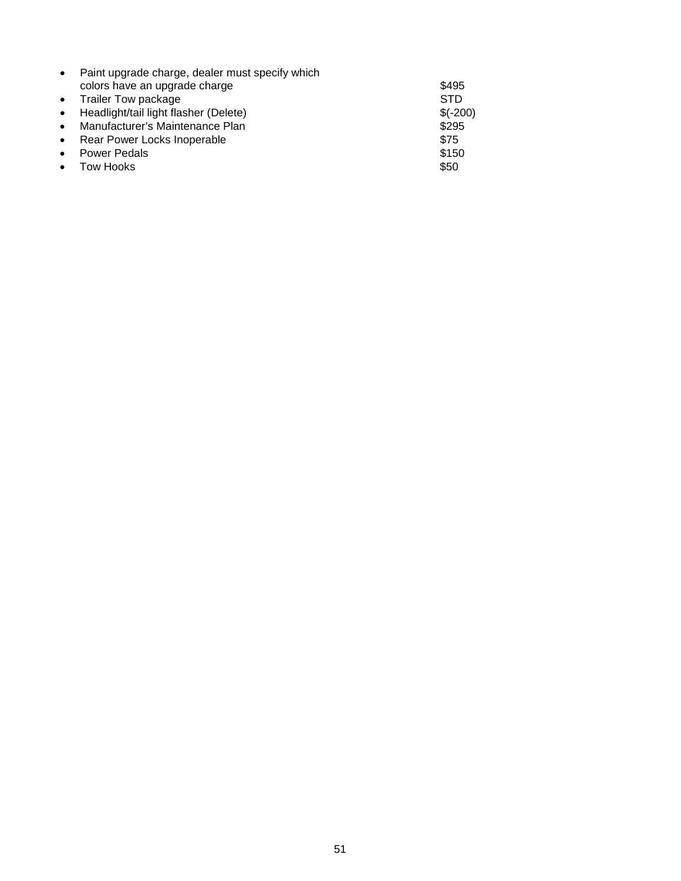| $\bullet$ | Paint upgrade charge, dealer must specify which |            |
|-----------|-------------------------------------------------|------------|
|           | colors have an upgrade charge                   | \$495      |
|           | • Trailer Tow package                           | <b>STD</b> |
|           | • Headlight/tail light flasher (Delete)         | $$(-200)$  |
| $\bullet$ | Manufacturer's Maintenance Plan                 | \$295      |
|           | • Rear Power Locks Inoperable                   | \$75       |
| $\bullet$ | <b>Power Pedals</b>                             | \$150      |
|           | • Tow Hooks                                     | \$50       |
|           |                                                 |            |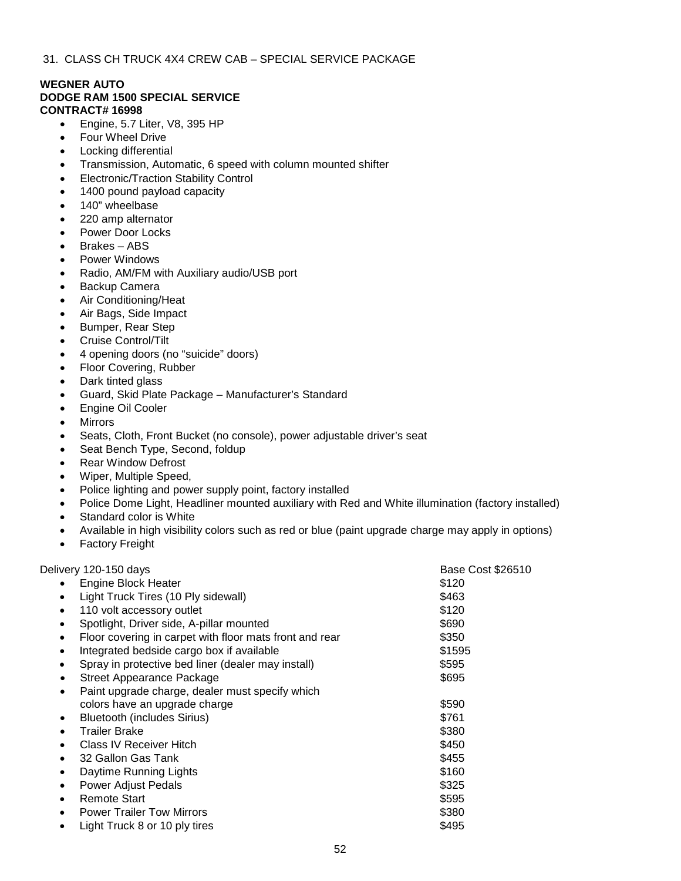#### **WEGNER AUTO DODGE RAM 1500 SPECIAL SERVICE CONTRACT# 16998**

- Engine, 5.7 Liter, V8, 395 HP
- Four Wheel Drive
- Locking differential
- Transmission, Automatic, 6 speed with column mounted shifter
- Electronic/Traction Stability Control
- 1400 pound payload capacity
- 140" wheelbase
- 220 amp alternator
- Power Door Locks
- Brakes ABS
- Power Windows
- Radio, AM/FM with Auxiliary audio/USB port
- Backup Camera
- Air Conditioning/Heat
- Air Bags, Side Impact
- Bumper, Rear Step
- Cruise Control/Tilt
- 4 opening doors (no "suicide" doors)
- Floor Covering, Rubber
- Dark tinted glass
- Guard, Skid Plate Package Manufacturer's Standard
- Engine Oil Cooler
- **Mirrors**
- Seats, Cloth, Front Bucket (no console), power adjustable driver's seat
- Seat Bench Type, Second, foldup
- Rear Window Defrost
- Wiper, Multiple Speed,
- Police lighting and power supply point, factory installed
- Police Dome Light, Headliner mounted auxiliary with Red and White illumination (factory installed)
- Standard color is White
- Available in high visibility colors such as red or blue (paint upgrade charge may apply in options)
- **Factory Freight**

Delivery 120-150 days **Base Cost \$26510** Delivery 120-150 days • Engine Block Heater  $$120$ Light Truck Tires (10 Ply sidewall) **Example 20 S463** at 110 volt accessory outlet  $$120$ Spotlight, Driver side, A-pillar mounted \$690 Floor covering in carpet with floor mats front and rear \$350 Integrated bedside cargo box if available  $$1595$ Spray in protective bed liner (dealer may install)  $$595$ **• Street Appearance Package \$695** Paint upgrade charge, dealer must specify which colors have an upgrade charge  $$590$ **Example 10 Bluetooth (includes Sirius)** \$761 • Trailer Brake \$380 **Class IV Receiver Hitch \$450** and Sallon Gas Tank \$455 and Sallon Gas Tank \$455 and Sallon Gas Tank \$455 and Sallon Street,  $\frac{1}{3}$ **Daytime Running Lights**  $\frac{1}{2}$  **5160 Power Adjust Pedals 6325 • Remote Start \$595 Power Trailer Tow Mirrors**  6380 Light Truck 8 or 10 ply tires \$495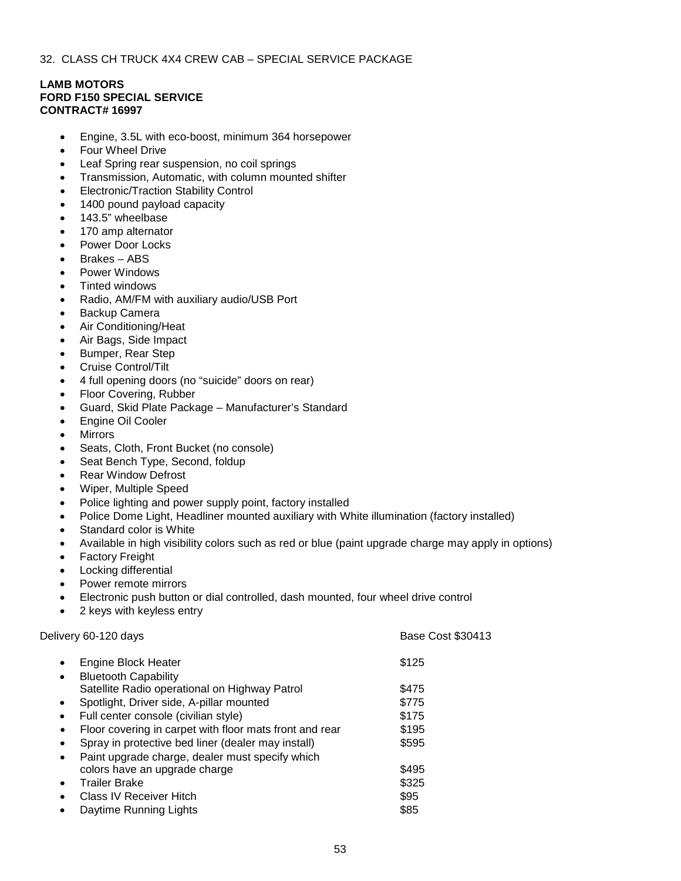32. CLASS CH TRUCK 4X4 CREW CAB – SPECIAL SERVICE PACKAGE

# **LAMB MOTORS FORD F150 SPECIAL SERVICE CONTRACT# 16997**

- Engine, 3.5L with eco-boost, minimum 364 horsepower
- Four Wheel Drive
- Leaf Spring rear suspension, no coil springs
- Transmission, Automatic, with column mounted shifter
- Electronic/Traction Stability Control
- 1400 pound payload capacity
- 143.5" wheelbase
- 170 amp alternator
- Power Door Locks
- Brakes ABS
- Power Windows
- Tinted windows
- Radio, AM/FM with auxiliary audio/USB Port
- Backup Camera
- Air Conditioning/Heat
- Air Bags, Side Impact
- Bumper, Rear Step
- Cruise Control/Tilt
- 4 full opening doors (no "suicide" doors on rear)
- Floor Covering, Rubber
- Guard, Skid Plate Package Manufacturer's Standard
- Engine Oil Cooler
- **Mirrors**
- Seats, Cloth, Front Bucket (no console)
- Seat Bench Type, Second, foldup
- Rear Window Defrost
- Wiper, Multiple Speed
- Police lighting and power supply point, factory installed
- Police Dome Light, Headliner mounted auxiliary with White illumination (factory installed)
- Standard color is White
- Available in high visibility colors such as red or blue (paint upgrade charge may apply in options)
- **Factory Freight**
- Locking differential
- Power remote mirrors
- Electronic push button or dial controlled, dash mounted, four wheel drive control
- 2 keys with keyless entry

Delivery 60-120 days **Base Cost \$30413** Delivery 60-120 days

| $\bullet$ | Engine Block Heater                                     | \$125 |  |
|-----------|---------------------------------------------------------|-------|--|
| $\bullet$ | <b>Bluetooth Capability</b>                             |       |  |
|           | Satellite Radio operational on Highway Patrol           | \$475 |  |
| $\bullet$ | Spotlight, Driver side, A-pillar mounted                | \$775 |  |
| $\bullet$ | Full center console (civilian style)                    | \$175 |  |
| $\bullet$ | Floor covering in carpet with floor mats front and rear | \$195 |  |
| $\bullet$ | Spray in protective bed liner (dealer may install)      | \$595 |  |
| $\bullet$ | Paint upgrade charge, dealer must specify which         |       |  |
|           | colors have an upgrade charge                           | \$495 |  |
| $\bullet$ | <b>Trailer Brake</b>                                    | \$325 |  |
| $\bullet$ | <b>Class IV Receiver Hitch</b>                          | \$95  |  |
| $\bullet$ | Daytime Running Lights                                  | \$85  |  |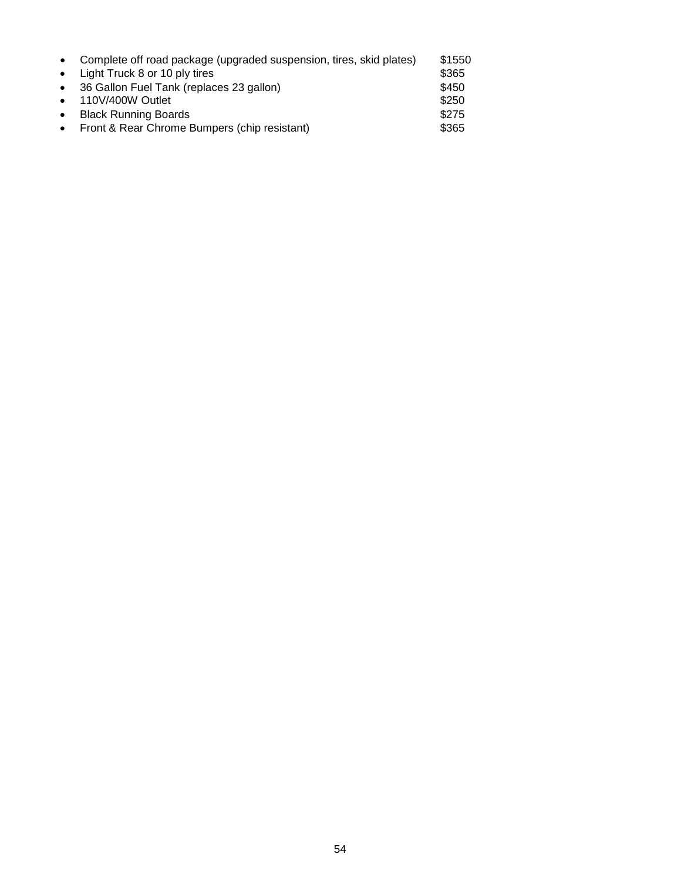| $\bullet$ | Complete off road package (upgraded suspension, tires, skid plates) | \$1550 |
|-----------|---------------------------------------------------------------------|--------|
|           | • Light Truck 8 or 10 ply tires                                     | \$365  |
| $\bullet$ | 36 Gallon Fuel Tank (replaces 23 gallon)                            | \$450  |
| $\bullet$ | 110V/400W Outlet                                                    | \$250  |
| $\bullet$ | <b>Black Running Boards</b>                                         | \$275  |
| $\bullet$ | Front & Rear Chrome Bumpers (chip resistant)                        | \$365  |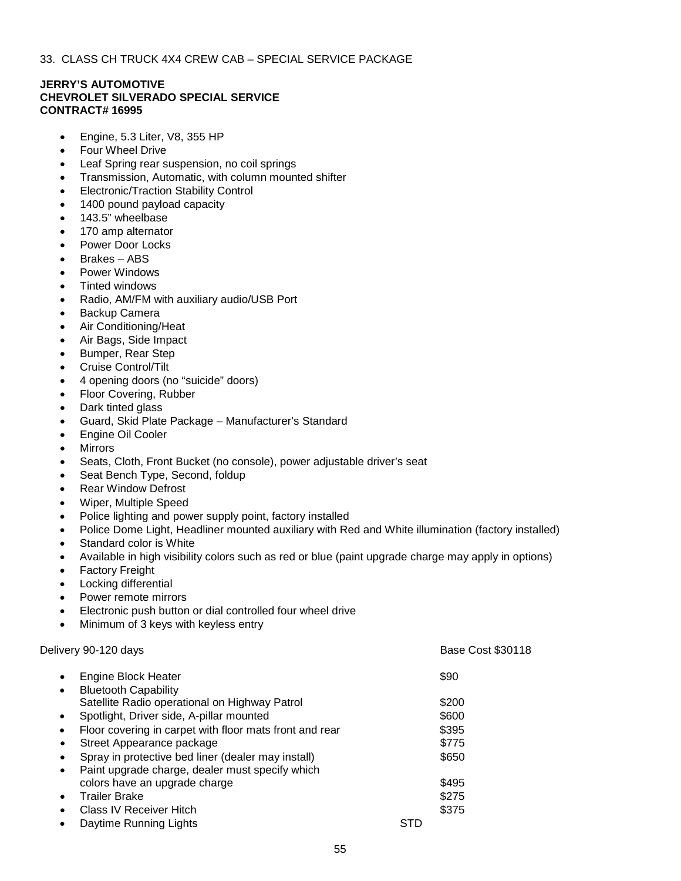# **JERRY'S AUTOMOTIVE CHEVROLET SILVERADO SPECIAL SERVICE CONTRACT# 16995**

- Engine, 5.3 Liter, V8, 355 HP
- Four Wheel Drive
- Leaf Spring rear suspension, no coil springs
- Transmission, Automatic, with column mounted shifter
- Electronic/Traction Stability Control
- 1400 pound payload capacity
- 143.5" wheelbase
- 170 amp alternator
- Power Door Locks
- Brakes ABS
- Power Windows
- Tinted windows
- Radio, AM/FM with auxiliary audio/USB Port
- Backup Camera
- Air Conditioning/Heat
- Air Bags, Side Impact
- Bumper, Rear Step
- Cruise Control/Tilt
- 4 opening doors (no "suicide" doors)
- Floor Covering, Rubber
- Dark tinted glass
- Guard, Skid Plate Package Manufacturer's Standard
- Engine Oil Cooler
- **Mirrors**
- Seats, Cloth, Front Bucket (no console), power adjustable driver's seat
- Seat Bench Type, Second, foldup
- Rear Window Defrost
- Wiper, Multiple Speed
- Police lighting and power supply point, factory installed
- Police Dome Light, Headliner mounted auxiliary with Red and White illumination (factory installed)
- Standard color is White
- Available in high visibility colors such as red or blue (paint upgrade charge may apply in options)
- **Factory Freight**
- Locking differential
- Power remote mirrors
- Electronic push button or dial controlled four wheel drive
- Minimum of 3 keys with keyless entry

# Delivery 90-120 days **Base Cost \$30118**

| $\bullet$ | <b>Engine Block Heater</b>                              |            | \$90  |  |
|-----------|---------------------------------------------------------|------------|-------|--|
| $\bullet$ | <b>Bluetooth Capability</b>                             |            |       |  |
|           | Satellite Radio operational on Highway Patrol           |            | \$200 |  |
| $\bullet$ | Spotlight, Driver side, A-pillar mounted                |            | \$600 |  |
| $\bullet$ | Floor covering in carpet with floor mats front and rear |            | \$395 |  |
| $\bullet$ | Street Appearance package                               |            | \$775 |  |
| $\bullet$ | Spray in protective bed liner (dealer may install)      |            | \$650 |  |
| $\bullet$ | Paint upgrade charge, dealer must specify which         |            |       |  |
|           | colors have an upgrade charge                           |            | \$495 |  |
| $\bullet$ | <b>Trailer Brake</b>                                    |            | \$275 |  |
| ٠         | Class IV Receiver Hitch                                 |            | \$375 |  |
| ٠         | Daytime Running Lights                                  | <b>STD</b> |       |  |
|           |                                                         |            |       |  |